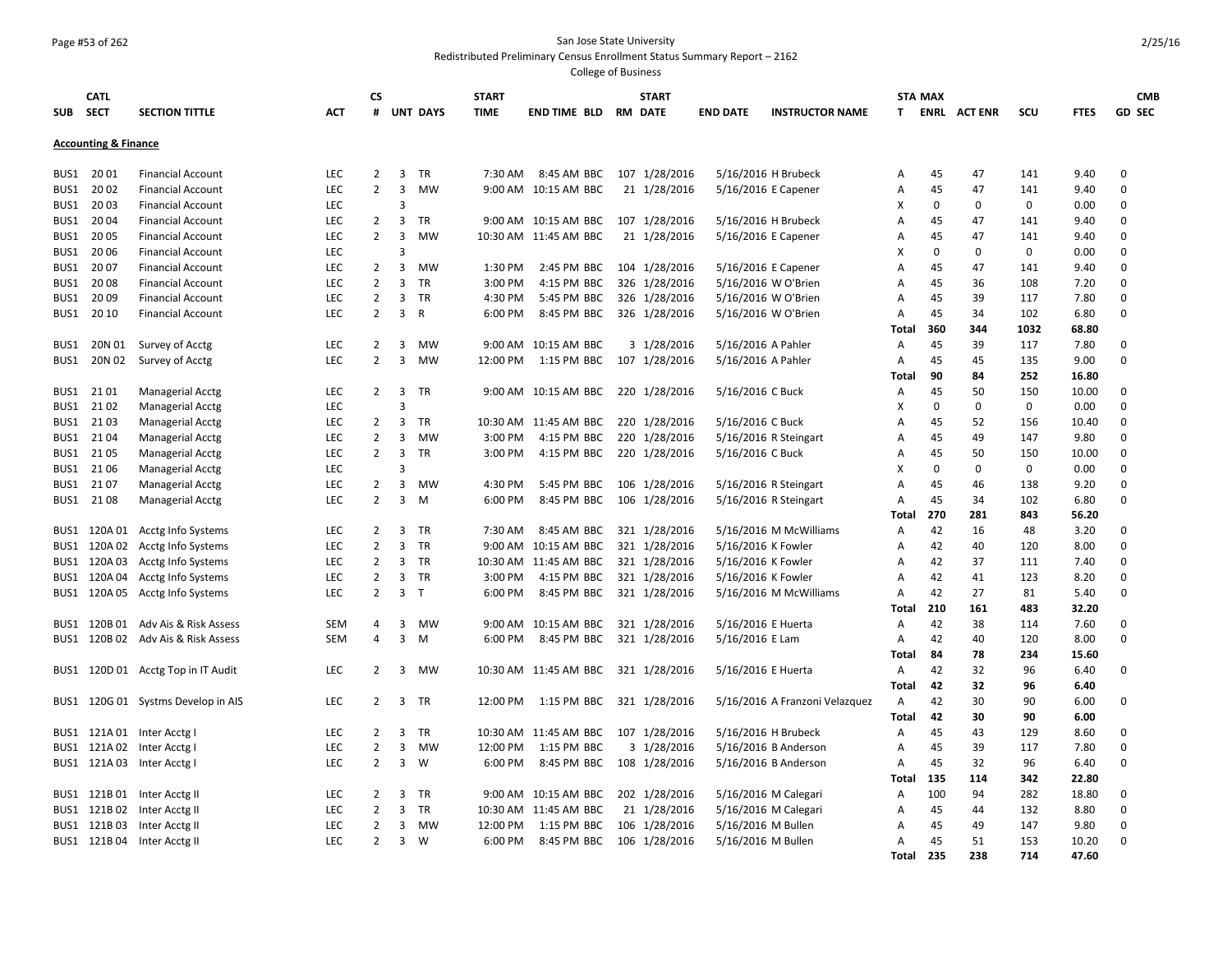#### Page #53 of 262 San Jose State University

#### Redistributed Preliminary Census Enrollment Status Summary Report – 2162

| SUB SECT | <b>CATL</b>                     | <b>SECTION TITTLE</b>                                      | АСТ        | CS<br>#        |                | <b>UNT DAYS</b> | <b>START</b><br><b>TIME</b> | <b>END TIME BLD</b>       | <b>START</b><br><b>RM DATE</b> | <b>END DATE</b>    | <b>INSTRUCTOR NAME</b>         | T.             | <b>STA MAX</b> | <b>ENRL ACTENR</b> | scu         | <b>FTES</b>   | <b>CMB</b><br><b>GD SEC</b> |
|----------|---------------------------------|------------------------------------------------------------|------------|----------------|----------------|-----------------|-----------------------------|---------------------------|--------------------------------|--------------------|--------------------------------|----------------|----------------|--------------------|-------------|---------------|-----------------------------|
|          | <b>Accounting &amp; Finance</b> |                                                            |            |                |                |                 |                             |                           |                                |                    |                                |                |                |                    |             |               |                             |
| BUS1     | 2001                            | <b>Financial Account</b>                                   | <b>LEC</b> | 2              | 3              | <b>TR</b>       | 7:30 AM                     | 8:45 AM BBC               | 107 1/28/2016                  |                    | 5/16/2016 H Brubeck            | Α              | 45             | 47                 | 141         | 9.40          | $\mathbf 0$                 |
| BUS1     | 20 02                           | <b>Financial Account</b>                                   | <b>LEC</b> | $\overline{2}$ | 3              | <b>MW</b>       |                             | 9:00 AM 10:15 AM BBC      | 21 1/28/2016                   |                    | 5/16/2016 E Capener            | Α              | 45             | 47                 | 141         | 9.40          | $\mathbf 0$                 |
| BUS1     | 2003                            | <b>Financial Account</b>                                   | <b>LEC</b> |                | 3              |                 |                             |                           |                                |                    |                                | X              | $\mathbf 0$    | $\mathbf 0$        | $\Omega$    | 0.00          | 0                           |
| BUS1     | 2004                            | <b>Financial Account</b>                                   | <b>LEC</b> | $\overline{2}$ | $\overline{3}$ | TR              |                             | 9:00 AM 10:15 AM BBC      | 107 1/28/2016                  |                    | 5/16/2016 H Brubeck            | A              | 45             | 47                 | 141         | 9.40          | 0                           |
| BUS1     | 2005                            | <b>Financial Account</b>                                   | <b>LEC</b> | $\overline{2}$ | $\overline{3}$ | <b>MW</b>       | 10:30 AM                    | 11:45 AM BBC              | 21 1/28/2016                   |                    | 5/16/2016 E Capener            | Α              | 45             | 47                 | 141         | 9.40          | 0                           |
| BUS1     | 2006                            | <b>Financial Account</b>                                   | <b>LEC</b> |                | 3              |                 |                             |                           |                                |                    |                                | x              | 0              | $\mathbf 0$        | $\mathbf 0$ | 0.00          | $\mathbf 0$                 |
| BUS1     | 2007                            | <b>Financial Account</b>                                   | <b>LEC</b> | 2              | 3              | <b>MW</b>       | 1:30 PM                     | 2:45 PM BBC               | 104 1/28/2016                  |                    | 5/16/2016 E Capener            | A              | 45             | 47                 | 141         | 9.40          | 0                           |
| BUS1     | 2008                            | <b>Financial Account</b>                                   | <b>LEC</b> | $\overline{2}$ | $\overline{3}$ | <b>TR</b>       | 3:00 PM                     | 4:15 PM BBC               | 326 1/28/2016                  |                    | 5/16/2016 W O'Brien            | A              | 45             | 36                 | 108         | 7.20          | 0                           |
| BUS1     | 2009                            | <b>Financial Account</b>                                   | <b>LEC</b> | $\overline{2}$ | 3              | <b>TR</b>       | 4:30 PM                     | 5:45 PM BBC               | 326 1/28/2016                  |                    | 5/16/2016 W O'Brien            | A              | 45             | 39                 | 117         | 7.80          | 0                           |
| BUS1     | 20 10                           | <b>Financial Account</b>                                   | <b>LEC</b> | $\overline{2}$ | 3              | R               | 6:00 PM                     | 8:45 PM BBC               | 326 1/28/2016                  |                    | 5/16/2016 W O'Brien            | A              | 45             | 34                 | 102         | 6.80          | 0                           |
|          |                                 |                                                            |            |                |                |                 |                             |                           |                                |                    |                                | Total          | 360            | 344                | 1032        | 68.80         |                             |
| BUS1     | 20N 01                          | Survey of Acctg                                            | <b>LEC</b> | 2              | 3              | MW              | 9:00 AM                     | 10:15 AM BBC              | 3 1/28/2016                    | 5/16/2016 A Pahler |                                | Α              | 45             | 39                 | 117         | 7.80          | 0                           |
| BUS1     | 20N 02                          | Survey of Acctg                                            | <b>LEC</b> | $\overline{2}$ | 3              | <b>MW</b>       | 12:00 PM                    | 1:15 PM BBC               | 107 1/28/2016                  | 5/16/2016 A Pahler |                                | Α              | 45             | 45                 | 135         | 9.00          | $\mathbf 0$                 |
|          |                                 |                                                            |            |                |                |                 |                             |                           |                                |                    |                                | Total          | 90             | 84                 | 252         | 16.80         |                             |
| BUS1     | 2101                            | <b>Managerial Acctg</b>                                    | <b>LEC</b> | $\overline{2}$ | 3              | <b>TR</b>       | 9:00 AM                     | 10:15 AM BBC              | 220 1/28/2016                  | 5/16/2016 C Buck   |                                | Α              | 45             | 50                 | 150         | 10.00         | 0                           |
| BUS1     | 21 02                           | Managerial Acctg                                           | <b>LEC</b> |                | 3              |                 |                             |                           |                                |                    |                                | X              | $\mathbf 0$    | 0                  | 0           | 0.00          | 0                           |
| BUS1     | 21 03                           | <b>Managerial Acctg</b>                                    | <b>LEC</b> | $\overline{2}$ | 3              | TR              | 10:30 AM                    | 11:45 AM BBC              | 220 1/28/2016                  | 5/16/2016 C Buck   |                                | $\overline{A}$ | 45             | 52                 | 156         | 10.40         | 0                           |
| BUS1     | 2104                            | <b>Managerial Acctg</b>                                    | <b>LEC</b> | $\overline{2}$ | 3              | <b>MW</b>       | 3:00 PM                     | 4:15 PM BBC               | 220 1/28/2016                  |                    | 5/16/2016 R Steingart          | A              | 45             | 49                 | 147         | 9.80          | 0                           |
| BUS1     | 2105                            | <b>Managerial Acctg</b>                                    | <b>LEC</b> | $\overline{2}$ | 3              | <b>TR</b>       | 3:00 PM                     | 4:15 PM BBC               | 220 1/28/2016                  | 5/16/2016 C Buck   |                                | A              | 45             | 50                 | 150         | 10.00         | $\mathbf 0$                 |
| BUS1     | 21 06                           | <b>Managerial Acctg</b>                                    | <b>LEC</b> |                | 3              |                 |                             |                           |                                |                    |                                | X              | $\Omega$       | $\mathbf 0$        | $\mathbf 0$ | 0.00          | 0                           |
| BUS1     | 2107                            | <b>Managerial Acctg</b>                                    | <b>LEC</b> | $\overline{2}$ | 3              | MW              | 4:30 PM                     | 5:45 PM BBC               | 106 1/28/2016                  |                    | $5/16/2016$ R Steingart        | $\overline{A}$ | 45             | 46                 | 138         | 9.20          | $\mathbf 0$                 |
| BUS1     | 2108                            | <b>Managerial Acctg</b>                                    | LEC        | $\overline{2}$ | 3              | M               | 6:00 PM                     | 8:45 PM BBC               | 106 1/28/2016                  |                    | 5/16/2016 R Steingart          | A              | 45             | 34                 | 102         | 6.80          | $\mathbf 0$                 |
|          |                                 |                                                            |            |                |                |                 |                             |                           |                                |                    |                                | Total          | 270            | 281                | 843         | 56.20         |                             |
|          |                                 | BUS1 120A 01 Acctg Info Systems                            | <b>LEC</b> | $\overline{2}$ | 3              | <b>TR</b>       | 7:30 AM                     | 8:45 AM BBC               | 321 1/28/2016                  |                    | 5/16/2016 M McWilliams         | Α              | 42             | 16                 | 48          | 3.20          | 0                           |
| BUS1     |                                 | 120A 02 Acctg Info Systems                                 | <b>LEC</b> | $\overline{2}$ | $\overline{3}$ | <b>TR</b>       | 9:00 AM                     | 10:15 AM BBC              | 321 1/28/2016                  | 5/16/2016 K Fowler |                                | Α              | 42             | 40                 | 120         | 8.00          | 0                           |
| BUS1     | 120A 03                         | Acctg Info Systems                                         | <b>LEC</b> | 2              | 3              | <b>TR</b>       | 10:30 AM                    | 11:45 AM BBC              | 321 1/28/2016                  | 5/16/2016 K Fowler |                                | Α              | 42             | 37                 | 111         | 7.40          | 0                           |
| BUS1     |                                 | 120A 04 Acctg Info Systems                                 | <b>LEC</b> | $\overline{2}$ | $\overline{3}$ | TR              | 3:00 PM                     | 4:15 PM BBC               | 321 1/28/2016                  | 5/16/2016 K Fowler |                                | Α              | 42             | 41                 | 123         | 8.20          | $\Omega$                    |
|          |                                 | BUS1 120A 05 Acctg Info Systems                            | <b>LEC</b> | $\overline{2}$ | $\overline{3}$ | $\top$          | 6:00 PM                     | 8:45 PM BBC               | 321 1/28/2016                  |                    | 5/16/2016 M McWilliams         | A<br>Total     | 42<br>210      | 27<br>161          | 81<br>483   | 5.40<br>32.20 | $\Omega$                    |
| BUS1     | 120B 01                         | Adv Ais & Risk Assess                                      | <b>SEM</b> | 4              | 3              | MW              | $9:00 \text{ AM}$           | 10:15 AM BBC              | 321 1/28/2016                  | 5/16/2016 E Huerta |                                | A              | 42             | 38                 | 114         | 7.60          | 0                           |
|          |                                 | BUS1 120B 02 Adv Ais & Risk Assess                         | <b>SEM</b> | 4              | 3              | M               | 6:00 PM                     | 8:45 PM BBC               | 321 1/28/2016                  | 5/16/2016 E Lam    |                                | A              | 42             | 40                 | 120         | 8.00          | 0                           |
|          |                                 |                                                            |            |                |                |                 |                             |                           |                                |                    |                                | Total          | 84             | 78                 | 234         | 15.60         |                             |
|          |                                 | BUS1 120D 01 Acctg Top in IT Audit                         | <b>LEC</b> | 2              | 3              | MW              |                             | 10:30 AM 11:45 AM BBC     | 321 1/28/2016                  | 5/16/2016 E Huerta |                                | A              | 42             | 32                 | 96          | 6.40          | 0                           |
|          |                                 |                                                            |            |                |                |                 |                             |                           |                                |                    |                                | Total          | 42             | 32                 | 96          | 6.40          |                             |
|          |                                 | BUS1 120G 01 Systms Develop in AIS                         | <b>LEC</b> | $\overline{2}$ |                | 3 TR            | 12:00 PM                    | 1:15 PM BBC 321 1/28/2016 |                                |                    | 5/16/2016 A Franzoni Velazquez | A              | 42             | 30                 | 90          | 6.00          | 0                           |
|          |                                 |                                                            |            |                |                |                 |                             |                           |                                |                    |                                | <b>Total</b>   | 42             | 30                 | 90          | 6.00          |                             |
|          |                                 | 121A 01 Inter Acctg I                                      | <b>LEC</b> | 2              | 3              | TR              | 10:30 AM                    | 11:45 AM BBC              | 107 1/28/2016                  |                    | 5/16/2016 H Brubeck            | Α              | 45             | 43                 | 129         | 8.60          | 0                           |
| BUS1     |                                 | 121A 02 Inter Acctg I                                      | <b>LEC</b> | $\overline{2}$ | 3              | MW              | 12:00 PM                    | 1:15 PM BBC               | 3 1/28/2016                    |                    | 5/16/2016 B Anderson           | Α              | 45             | 39                 | 117         | 7.80          | $\Omega$                    |
| BUS1     |                                 | BUS1 121A 03 Inter Acctg I                                 | <b>LEC</b> | 2              | 3              | W               | 6:00 PM                     | 8:45 PM BBC               | 108 1/28/2016                  |                    | 5/16/2016 B Anderson           | Α              | 45             | 32                 | 96          | 6.40          | $\Omega$                    |
|          |                                 |                                                            |            |                |                |                 |                             |                           |                                |                    |                                | Total          | 135            | 114                | 342         | 22.80         |                             |
|          |                                 |                                                            | <b>LEC</b> | 2              | 3              | <b>TR</b>       | $9:00 \text{ AM}$           | 10:15 AM BBC              | 202 1/28/2016                  |                    | 5/16/2016 M Calegari           | Α              | 100            | 94                 | 282         | 18.80         | 0                           |
|          |                                 | BUS1 121B 01 Inter Acctg II<br>BUS1 121B 02 Inter Acctg II | <b>LEC</b> | $\overline{2}$ | 3              | <b>TR</b>       | 10:30 AM                    | 11:45 AM BBC              | 21 1/28/2016                   |                    | 5/16/2016 M Calegari           | $\overline{A}$ | 45             | 44                 | 132         | 8.80          | $\mathbf 0$                 |
|          |                                 | BUS1 121B 03 Inter Acctg II                                | <b>LEC</b> | $\overline{2}$ | 3              | MW              | 12:00 PM                    | 1:15 PM BBC               | 106 1/28/2016                  | 5/16/2016 M Bullen |                                | A              | 45             | 49                 | 147         | 9.80          | $\mathbf 0$                 |
|          |                                 | BUS1 121B 04 Inter Acctg II                                | <b>LEC</b> | $\overline{2}$ | 3              | W               | 6:00 PM                     | 8:45 PM BBC               | 106 1/28/2016                  | 5/16/2016 M Bullen |                                | A              | 45             | 51                 | 153         | 10.20         | $\Omega$                    |
|          |                                 |                                                            |            |                |                |                 |                             |                           |                                |                    |                                | Total          | 235            | 238                | 714         | 47.60         |                             |
|          |                                 |                                                            |            |                |                |                 |                             |                           |                                |                    |                                |                |                |                    |             |               |                             |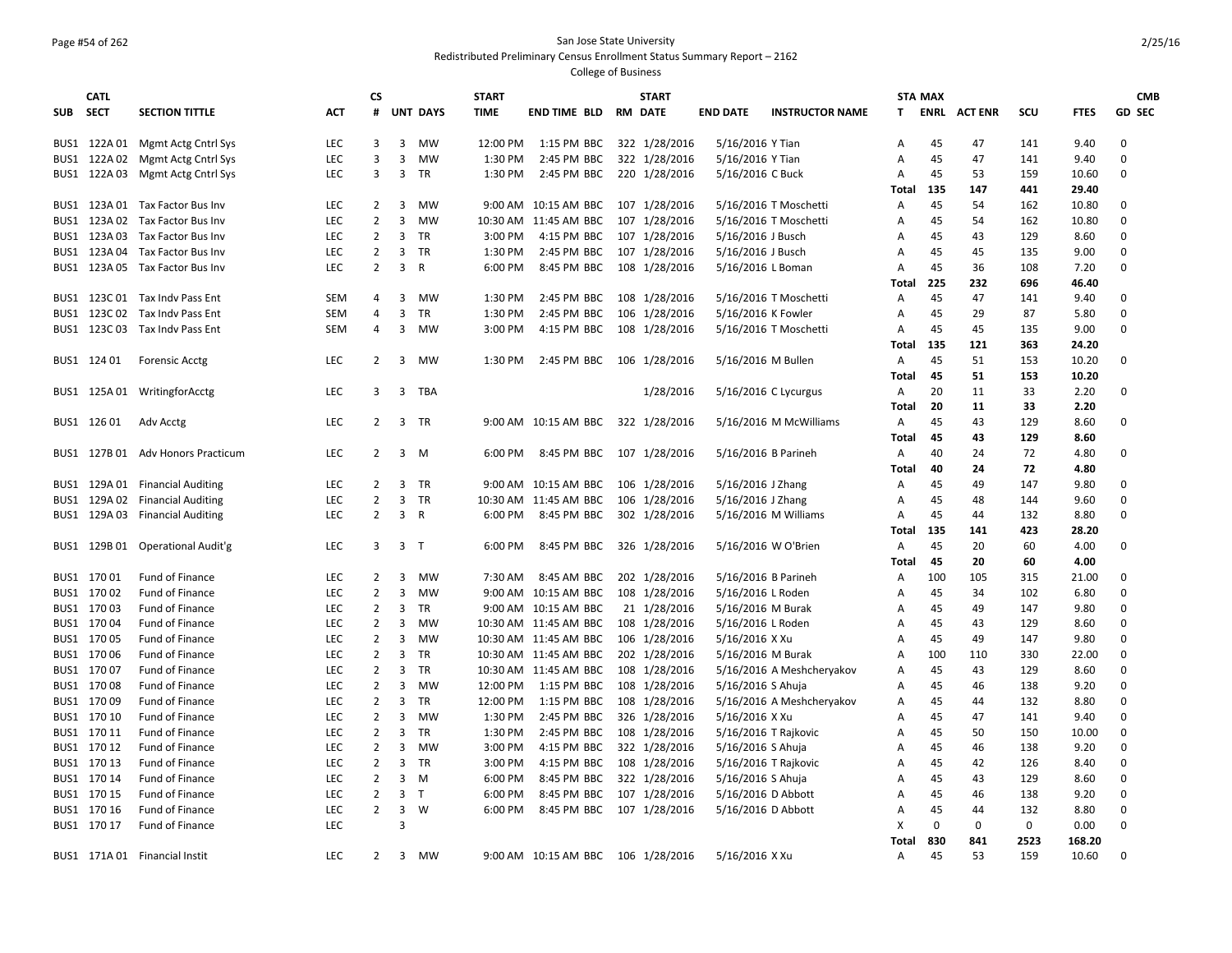#### Page #54 of 262 San Jose State University Redistributed Preliminary Census Enrollment Status Summary Report – 2162

|            | <b>CATL</b> |                                   |            | СS             |                |                 | <b>START</b> |                                    | <b>START</b>  |                     |                           |                | <b>STA MAX</b> |                    |             |             | <b>CMB</b>  |
|------------|-------------|-----------------------------------|------------|----------------|----------------|-----------------|--------------|------------------------------------|---------------|---------------------|---------------------------|----------------|----------------|--------------------|-------------|-------------|-------------|
| <b>SUB</b> | <b>SECT</b> | <b>SECTION TITTLE</b>             | АСТ        | #              |                | <b>UNT DAYS</b> | <b>TIME</b>  | END TIME BLD RM DATE               |               | <b>END DATE</b>     | <b>INSTRUCTOR NAME</b>    | T.             |                | <b>ENRL ACTENR</b> | scu         | <b>FTES</b> | GD SEC      |
|            |             | BUS1 122A 01 Mgmt Actg Cntrl Sys  | <b>LEC</b> | 3              | $\overline{3}$ | MW              | 12:00 PM     | 1:15 PM BBC 322 1/28/2016          |               | 5/16/2016 Y Tian    |                           | Α              | 45             | 47                 | 141         | 9.40        | $\mathbf 0$ |
|            |             | BUS1 122A 02 Mgmt Actg Cntrl Sys  | <b>LEC</b> | 3              | 3              | MW              | 1:30 PM      | 2:45 PM BBC                        | 322 1/28/2016 | 5/16/2016 Y Tian    |                           | Α              | 45             | 47                 | 141         | 9.40        | 0           |
|            |             | BUS1 122A 03 Mgmt Actg Cntrl Sys  | <b>LEC</b> | 3              | $\overline{3}$ | TR              | 1:30 PM      | 2:45 PM BBC 220 1/28/2016          |               | 5/16/2016 C Buck    |                           | Α              | 45             | 53                 | 159         | 10.60       | 0           |
|            |             |                                   |            |                |                |                 |              |                                    |               |                     |                           | Total          | 135            | 147                | 441         | 29.40       |             |
|            |             | BUS1 123A 01 Tax Factor Bus Inv   | <b>LEC</b> | $\overline{2}$ | $\overline{3}$ | <b>MW</b>       |              | 9:00 AM 10:15 AM BBC 107 1/28/2016 |               |                     | 5/16/2016 T Moschetti     | Α              | 45             | 54                 | 162         | 10.80       | $\mathbf 0$ |
|            |             | BUS1 123A 02 Tax Factor Bus Inv   | LEC        | $\overline{2}$ | $\overline{3}$ | MW              | 10:30 AM     | 11:45 AM BBC                       | 107 1/28/2016 |                     | 5/16/2016 T Moschetti     | Α              | 45             | 54                 | 162         | 10.80       | 0           |
|            |             | BUS1 123A 03 Tax Factor Bus Inv   | <b>LEC</b> | 2              | $\overline{3}$ | TR              | 3:00 PM      | 4:15 PM BBC                        | 107 1/28/2016 | 5/16/2016 J Busch   |                           | Α              | 45             | 43                 | 129         | 8.60        | $\Omega$    |
|            |             | BUS1 123A 04 Tax Factor Bus Inv   | <b>LEC</b> | $\overline{2}$ | 3              | <b>TR</b>       | 1:30 PM      | 2:45 PM BBC                        | 107 1/28/2016 | 5/16/2016 J Busch   |                           | A              | 45             | 45                 | 135         | 9.00        | $\Omega$    |
|            |             | BUS1 123A 05 Tax Factor Bus Inv   | <b>LEC</b> | $\overline{2}$ | $\overline{3}$ | $\mathsf{R}$    | 6:00 PM      | 8:45 PM BBC 108 1/28/2016          |               | 5/16/2016 L Boman   |                           | Α              | 45             | 36                 | 108         | 7.20        | $\Omega$    |
|            |             |                                   |            |                |                |                 |              |                                    |               |                     |                           | <b>Total</b>   | 225            | 232                | 696         | 46.40       |             |
|            |             | BUS1 123C 01 Tax Indv Pass Ent    | <b>SEM</b> | 4              | 3              | MW              | 1:30 PM      | 2:45 PM BBC 108 1/28/2016          |               |                     | 5/16/2016 T Moschetti     | Α              | 45             | 47                 | 141         | 9.40        | $\Omega$    |
|            |             | BUS1 123C 02 Tax Indv Pass Ent    | <b>SEM</b> | 4              | $\overline{3}$ | <b>TR</b>       | 1:30 PM      | 2:45 PM BBC                        | 106 1/28/2016 | 5/16/2016 K Fowler  |                           | A              | 45             | 29                 | 87          | 5.80        | $\Omega$    |
|            |             | BUS1 123C 03 Tax Indv Pass Ent    | SEM        | 4              | $\overline{3}$ | MW              | 3:00 PM      | 4:15 PM BBC 108 1/28/2016          |               |                     | 5/16/2016 T Moschetti     | A              | 45             | 45                 | 135         | 9.00        | 0           |
|            |             |                                   |            |                |                |                 |              |                                    |               |                     |                           | <b>Total</b>   | 135            | 121                | 363         | 24.20       |             |
|            | BUS1 124 01 | <b>Forensic Acctg</b>             | <b>LEC</b> | $\overline{2}$ | 3              | MW              | 1:30 PM      | 2:45 PM BBC 106 1/28/2016          |               | 5/16/2016 M Bullen  |                           | Α              | 45             | 51                 | 153         | 10.20       | 0           |
|            |             |                                   |            |                |                |                 |              |                                    |               |                     |                           | Total          | 45             | 51                 | 153         | 10.20       |             |
|            |             | BUS1 125A 01 Writingfor Acctg     | <b>LEC</b> | 3              | 3              | TBA             |              |                                    | 1/28/2016     |                     | 5/16/2016 C Lycurgus      | Α              | 20             | 11                 | 33          | 2.20        | 0           |
|            |             |                                   |            |                |                |                 |              |                                    |               |                     |                           | Total          | 20             | 11                 | 33          | 2.20        |             |
|            | BUS1 12601  | Adv Acctg                         | <b>LEC</b> | $\overline{2}$ |                | 3 TR            |              | 9:00 AM 10:15 AM BBC 322 1/28/2016 |               |                     | 5/16/2016 M McWilliams    | Α              | 45             | 43                 | 129         | 8.60        | 0           |
|            |             |                                   |            |                |                |                 |              |                                    |               |                     |                           | Total          | 45             | 43                 | 129         | 8.60        |             |
|            |             | BUS1 127B 01 Adv Honors Practicum | <b>LEC</b> | $\overline{2}$ | $\overline{3}$ | M               | 6:00 PM      | 8:45 PM BBC 107 1/28/2016          |               | 5/16/2016 B Parineh |                           | Α              | 40             | 24                 | 72          | 4.80        | 0           |
|            |             |                                   |            |                |                |                 |              |                                    |               |                     |                           | <b>Total</b>   | 40             | 24                 | 72          | 4.80        |             |
|            |             | BUS1 129A 01 Financial Auditing   | <b>LEC</b> | 2              | 3              | <b>TR</b>       | 9:00 AM      | 10:15 AM BBC 106 1/28/2016         |               | 5/16/2016 J Zhang   |                           | Α              | 45             | 49                 | 147         | 9.80        | 0           |
|            |             | BUS1 129A 02 Financial Auditing   | <b>LEC</b> | $\overline{2}$ | 3              | TR              |              | 10:30 AM 11:45 AM BBC              | 106 1/28/2016 | 5/16/2016 J Zhang   |                           | Α              | 45             | 48                 | 144         | 9.60        | 0           |
|            |             | BUS1 129A 03 Financial Auditing   | <b>LEC</b> | $\overline{2}$ | $\overline{3}$ | R               | 6:00 PM      | 8:45 PM BBC 302 1/28/2016          |               |                     | 5/16/2016 M Williams      | Α              | 45             | 44                 | 132         | 8.80        | 0           |
|            |             |                                   |            |                |                |                 |              |                                    |               |                     |                           | Total          | 135            | 141                | 423         | 28.20       |             |
|            |             | BUS1 129B 01 Operational Audit'g  | LEC        | 3              | 3 <sub>T</sub> |                 | 6:00 PM      | 8:45 PM BBC 326 1/28/2016          |               |                     | 5/16/2016 W O'Brien       | Α              | 45             | 20                 | 60          | 4.00        | 0           |
|            |             |                                   |            |                |                |                 |              |                                    |               |                     |                           | <b>Total</b>   | 45             | 20                 | 60          | 4.00        |             |
|            | BUS1 17001  | Fund of Finance                   | <b>LEC</b> | $\overline{2}$ | $\overline{3}$ | MW              | 7:30 AM      | 8:45 AM BBC 202 1/28/2016          |               | 5/16/2016 B Parineh |                           | Α              | 100            | 105                | 315         | 21.00       | 0           |
|            | BUS1 17002  | Fund of Finance                   | <b>LEC</b> | $\overline{2}$ | 3              | MW              |              | 9:00 AM 10:15 AM BBC               | 108 1/28/2016 | 5/16/2016 L Roden   |                           | Α              | 45             | 34                 | 102         | 6.80        | 0           |
|            | BUS1 170 03 | Fund of Finance                   | <b>LEC</b> | $\overline{2}$ | 3              | <b>TR</b>       |              | 9:00 AM 10:15 AM BBC               | 21 1/28/2016  | 5/16/2016 M Burak   |                           | Α              | 45             | 49                 | 147         | 9.80        | $\mathbf 0$ |
|            | BUS1 17004  | Fund of Finance                   | <b>LEC</b> | $\overline{2}$ | 3              | MW              |              | 10:30 AM 11:45 AM BBC              | 108 1/28/2016 | 5/16/2016 L Roden   |                           | Α              | 45             | 43                 | 129         | 8.60        | $\mathbf 0$ |
|            | BUS1 170 05 | Fund of Finance                   | <b>LEC</b> | $\overline{2}$ | 3              | MW              |              | 10:30 AM 11:45 AM BBC              | 106 1/28/2016 | 5/16/2016 X Xu      |                           | Α              | 45             | 49                 | 147         | 9.80        | 0           |
|            | BUS1 17006  | Fund of Finance                   | <b>LEC</b> | $\overline{2}$ | $\overline{3}$ | <b>TR</b>       |              | 10:30 AM 11:45 AM BBC              | 202 1/28/2016 | 5/16/2016 M Burak   |                           | $\overline{A}$ | 100            | 110                | 330         | 22.00       | $\mathbf 0$ |
|            | BUS1 17007  | Fund of Finance                   | <b>LEC</b> | $\overline{2}$ | 3              | <b>TR</b>       |              | 10:30 AM 11:45 AM BBC              | 108 1/28/2016 |                     | 5/16/2016 A Meshcheryakov | Α              | 45             | 43                 | 129         | 8.60        | 0           |
|            | BUS1 17008  | Fund of Finance                   | <b>LEC</b> | $\overline{2}$ | 3              | <b>MW</b>       | 12:00 PM     | 1:15 PM BBC                        | 108 1/28/2016 | 5/16/2016 S Ahuja   |                           | A              | 45             | 46                 | 138         | 9.20        | $\mathbf 0$ |
|            | BUS1 170 09 | Fund of Finance                   | <b>LEC</b> | $\overline{2}$ | 3              | <b>TR</b>       | 12:00 PM     | 1:15 PM BBC                        | 108 1/28/2016 |                     | 5/16/2016 A Meshcheryakov | Α              | 45             | 44                 | 132         | 8.80        | $\mathbf 0$ |
|            | BUS1 170 10 | Fund of Finance                   | <b>LEC</b> | $\overline{2}$ | 3              | MW              | 1:30 PM      | 2:45 PM BBC                        | 326 1/28/2016 | 5/16/2016 X Xu      |                           | A              | 45             | 47                 | 141         | 9.40        | $\mathbf 0$ |
|            | BUS1 170 11 | Fund of Finance                   | <b>LEC</b> | $\overline{2}$ | 3              | <b>TR</b>       | 1:30 PM      | 2:45 PM BBC                        | 108 1/28/2016 |                     | 5/16/2016 T Rajkovic      | Α              | 45             | 50                 | 150         | 10.00       | 0           |
|            | BUS1 170 12 | Fund of Finance                   | LEC        | $\overline{2}$ | $\overline{3}$ | MW              | 3:00 PM      | 4:15 PM BBC                        | 322 1/28/2016 | 5/16/2016 S Ahuja   |                           | A              | 45             | 46                 | 138         | 9.20        | $\mathbf 0$ |
|            | BUS1 170 13 | Fund of Finance                   | <b>LEC</b> | $\overline{2}$ | $\overline{3}$ | <b>TR</b>       | 3:00 PM      | 4:15 PM BBC                        | 108 1/28/2016 |                     | 5/16/2016 T Rajkovic      | Α              | 45             | 42                 | 126         | 8.40        | 0           |
|            | BUS1 170 14 | Fund of Finance                   | <b>LEC</b> | $\overline{2}$ | $\overline{3}$ | M               | 6:00 PM      | 8:45 PM BBC                        | 322 1/28/2016 | 5/16/2016 S Ahuja   |                           | A              | 45             | 43                 | 129         | 8.60        | 0           |
|            | BUS1 170 15 | Fund of Finance                   | <b>LEC</b> | $\overline{2}$ | $\overline{3}$ | T               | 6:00 PM      | 8:45 PM BBC                        | 107 1/28/2016 | 5/16/2016 D Abbott  |                           | Α              | 45             | 46                 | 138         | 9.20        | 0           |
|            | BUS1 170 16 | Fund of Finance                   | <b>LEC</b> | $\overline{2}$ | 3              | W               | 6:00 PM      | 8:45 PM BBC 107 1/28/2016          |               | 5/16/2016 D Abbott  |                           | Α              | 45             | 44                 | 132         | 8.80        | 0           |
|            | BUS1 170 17 | Fund of Finance                   | <b>LEC</b> |                | $\overline{3}$ |                 |              |                                    |               |                     |                           | X              | 0              | $\mathbf 0$        | $\mathbf 0$ | 0.00        | $\mathbf 0$ |
|            |             |                                   |            |                |                |                 |              |                                    |               |                     |                           | Total          | 830            | 841                | 2523        | 168.20      |             |
|            |             | BUS1 171A 01 Financial Instit     | LEC.       | $\overline{2}$ | 3              | MW              |              | 9:00 AM 10:15 AM BBC 106 1/28/2016 |               | 5/16/2016 X Xu      |                           | A              | 45             | 53                 | 159         | 10.60       | 0           |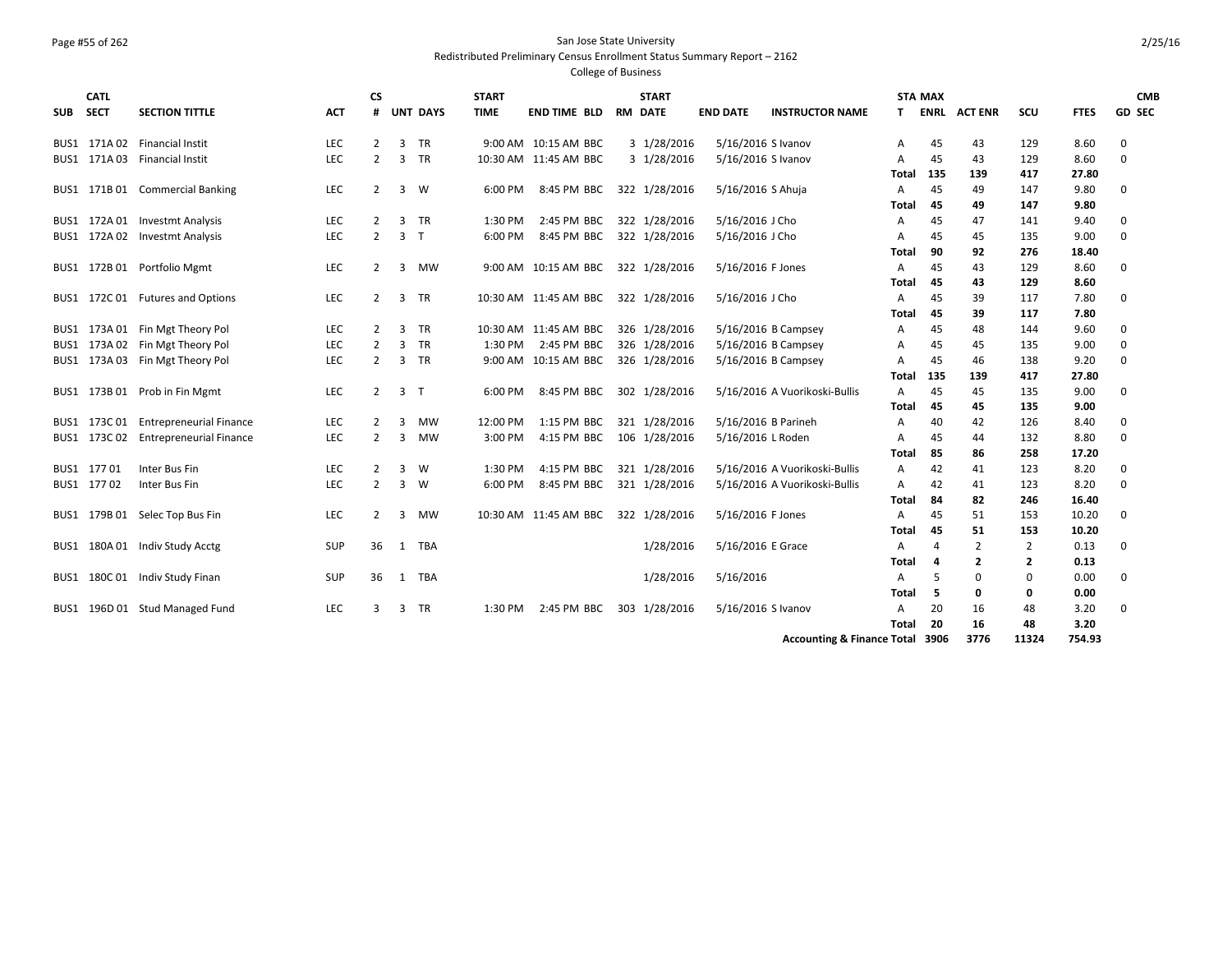# Page #55 of 262 San Jose State University

Redistributed Preliminary Census Enrollment Status Summary Report – 2162

| <b>GD SEC</b><br><b>SECTION TITTLE</b><br><b>UNT DAYS</b><br><b>TIME</b><br><b>END TIME BLD</b><br><b>END DATE</b><br><b>INSTRUCTOR NAME</b><br><b>ENRL ACTENR</b><br>scu<br><b>FTES</b><br><b>SECT</b><br>ACT<br>#<br><b>RM DATE</b><br>T.<br><b>SUB</b><br>TR<br>9:00 AM 10:15 AM BBC<br>3 1/28/2016<br>BUS1 171A 02 Financial Instit<br><b>LEC</b><br>2<br>3<br>5/16/2016 S Ivanov<br>43<br>129<br>8.60<br>0<br>45<br>Α<br>3 1/28/2016<br>$\mathbf 0$<br>BUS1 171A 03 Financial Instit<br><b>LEC</b><br>2<br>3<br><b>TR</b><br>10:30 AM 11:45 AM BBC<br>5/16/2016 S Ivanov<br>45<br>43<br>129<br>8.60<br>A<br>417<br>135<br>139<br>27.80<br>Total<br>BUS1 171B 01 Commercial Banking<br><b>LEC</b><br>8:45 PM BBC<br>322 1/28/2016<br>5/16/2016 S Ahuja<br>147<br>9.80<br>0<br>2<br>3<br>W<br>6:00 PM<br>45<br>49<br>A<br>147<br>45<br>49<br>9.80<br>Total<br>BUS1 172A01 Investmt Analysis<br><b>LEC</b><br>3<br>TR<br>1:30 PM<br>2:45 PM BBC<br>322 1/28/2016<br>5/16/2016 J Cho<br>45<br>47<br>141<br>9.40<br>$\mathbf 0$<br>2<br>A<br>LEC<br>$\overline{2}$<br>$\overline{3}$<br>T<br>$\mathbf 0$<br>BUS1 172A 02 Investmt Analysis<br>6:00 PM<br>8:45 PM BBC<br>322 1/28/2016<br>5/16/2016 J Cho<br>45<br>45<br>135<br>9.00<br>Α<br>90<br>276<br>18.40<br>92<br>Total<br>BUS1 172B 01 Portfolio Mgmt<br><b>LEC</b><br>9:00 AM 10:15 AM BBC<br>322 1/28/2016<br>5/16/2016 F Jones<br>129<br>$\mathbf 0$<br>$\overline{2}$<br>3<br>MW<br>45<br>43<br>8.60<br>A<br>129<br>45<br>8.60<br>Total<br>43<br>10:30 AM 11:45 AM BBC<br>5/16/2016 J Cho<br>BUS1 172C 01 Futures and Options<br><b>LEC</b><br>$\overline{2}$<br>3<br><b>TR</b><br>322 1/28/2016<br>39<br>117<br>7.80<br>0<br>A<br>45<br>39<br>117<br>7.80<br>45<br>Total<br>173A 01 Fin Mgt Theory Pol<br><b>LEC</b><br><b>TR</b><br>326 1/28/2016<br>5/16/2016 B Campsey<br>144<br>9.60<br>0<br>2<br>3<br>10:30 AM 11:45 AM BBC<br>45<br>48<br>BUS1<br>A<br>173A 02 Fin Mgt Theory Pol<br><b>TR</b><br>5/16/2016 B Campsey<br><b>LEC</b><br>3<br>2:45 PM BBC<br>326 1/28/2016<br>135<br>0<br>2<br>1:30 PM<br>45<br>45<br>9.00<br>BUS1<br>A<br><b>TR</b><br>173A 03 Fin Mgt Theory Pol<br><b>LEC</b><br>2<br>3<br>9:00 AM 10:15 AM BBC<br>326 1/28/2016<br>5/16/2016 B Campsey<br>46<br>138<br>9.20<br>$\mathbf 0$<br>$\overline{A}$<br>45<br>BUS1<br>417<br>139<br>27.80<br>Total<br>135<br><b>LEC</b><br>$\overline{3}$<br>5/16/2016 A Vuorikoski-Bullis<br>45<br>45<br>135<br>9.00<br>0<br>BUS1 173B 01 Prob in Fin Mgmt<br>2<br>6:00 PM<br>8:45 PM BBC<br>302 1/28/2016<br>$\overline{A}$<br>ா<br>45<br>135<br>9.00<br><b>Total</b><br>45<br>173C 01 Entrepreneurial Finance<br><b>MW</b><br>12:00 PM<br>5/16/2016 B Parineh<br>126<br>0<br><b>LEC</b><br>2<br>3<br>1:15 PM BBC<br>321 1/28/2016<br>40<br>42<br>8.40<br>A<br>BUS1<br>BUS1 173C 02 Entrepreneurial Finance<br>5/16/2016 L Roden<br>132<br><b>LEC</b><br>$\overline{2}$<br>3<br>MW<br>3:00 PM<br>4:15 PM BBC 106 1/28/2016<br>8.80<br>0<br>45<br>44<br>A<br>85<br>86<br>258<br>17.20<br>Total<br>Inter Bus Fin<br>1:30 PM<br>321 1/28/2016<br>5/16/2016 A Vuorikoski-Bullis<br>123<br>$\mathbf 0$<br>BUS1 17701<br><b>LEC</b><br>2<br>3<br>W<br>4:15 PM BBC<br>42<br>8.20<br>A<br>41<br>BUS1 17702<br>Inter Bus Fin<br><b>LEC</b><br>2<br>$\overline{3}$<br>6:00 PM<br>8:45 PM BBC<br>321 1/28/2016<br>5/16/2016 A Vuorikoski-Bullis<br>42<br>123<br>8.20<br>$\Omega$<br>W<br>A<br>41<br>84<br>82<br>246<br>16.40<br>Total<br>BUS1 179B 01 Selec Top Bus Fin<br>LEC<br>10:30 AM 11:45 AM BBC<br>322 1/28/2016<br>5/16/2016 F Jones<br>153<br>10.20<br>0<br>$\overline{2}$<br>3<br>MW<br>A<br>45<br>51<br>45<br>51<br>153<br>10.20<br>Total<br>5/16/2016 E Grace<br>180A 01 Indiv Study Acctg<br>SUP<br>36<br><b>TBA</b><br>1/28/2016<br>2<br>0.13<br>0<br>A<br>2<br>BUS1<br>1<br>4<br>$\overline{2}$<br>$\mathbf{2}$<br>0.13<br>Total<br>4<br><b>TBA</b><br>1/28/2016<br>5/16/2016<br>180C 01 Indiv Study Finan<br>SUP<br>36<br>$\mathbf 0$<br>0<br>0.00<br>0<br>1<br>A<br>.5<br>BUS1<br>5<br>0.00<br>Total<br>0<br>0<br>5/16/2016 S Ivanov<br>196D 01 Stud Managed Fund<br>LEC<br><b>TR</b><br>2:45 PM BBC<br>303 1/28/2016<br>20<br>16<br>48<br>3.20<br>0<br>3<br>3<br>1:30 PM<br>A<br>BUS1<br>20<br>16<br>48<br>3.20<br>Total<br>3776<br>11324<br><b>Accounting &amp; Finance Total 3906</b><br>754.93 | <b>CATL</b> |  | СS |  | <b>START</b> |  | <b>START</b> |  | <b>STA MAX</b> |  | <b>CMB</b> |
|-----------------------------------------------------------------------------------------------------------------------------------------------------------------------------------------------------------------------------------------------------------------------------------------------------------------------------------------------------------------------------------------------------------------------------------------------------------------------------------------------------------------------------------------------------------------------------------------------------------------------------------------------------------------------------------------------------------------------------------------------------------------------------------------------------------------------------------------------------------------------------------------------------------------------------------------------------------------------------------------------------------------------------------------------------------------------------------------------------------------------------------------------------------------------------------------------------------------------------------------------------------------------------------------------------------------------------------------------------------------------------------------------------------------------------------------------------------------------------------------------------------------------------------------------------------------------------------------------------------------------------------------------------------------------------------------------------------------------------------------------------------------------------------------------------------------------------------------------------------------------------------------------------------------------------------------------------------------------------------------------------------------------------------------------------------------------------------------------------------------------------------------------------------------------------------------------------------------------------------------------------------------------------------------------------------------------------------------------------------------------------------------------------------------------------------------------------------------------------------------------------------------------------------------------------------------------------------------------------------------------------------------------------------------------------------------------------------------------------------------------------------------------------------------------------------------------------------------------------------------------------------------------------------------------------------------------------------------------------------------------------------------------------------------------------------------------------------------------------------------------------------------------------------------------------------------------------------------------------------------------------------------------------------------------------------------------------------------------------------------------------------------------------------------------------------------------------------------------------------------------------------------------------------------------------------------------------------------------------------------------------------------------------------------------------------------------------------------------------------------------------------------------------------------------------------------------------------------------------------------------------------------------------------------------------------------------------------------------------------------------------------------------------------------------------------------------------------------------------------------------------------------------------------------------------------------------------------------------------------------------------------------------------------------------------------------------------------------|-------------|--|----|--|--------------|--|--------------|--|----------------|--|------------|
|                                                                                                                                                                                                                                                                                                                                                                                                                                                                                                                                                                                                                                                                                                                                                                                                                                                                                                                                                                                                                                                                                                                                                                                                                                                                                                                                                                                                                                                                                                                                                                                                                                                                                                                                                                                                                                                                                                                                                                                                                                                                                                                                                                                                                                                                                                                                                                                                                                                                                                                                                                                                                                                                                                                                                                                                                                                                                                                                                                                                                                                                                                                                                                                                                                                                                                                                                                                                                                                                                                                                                                                                                                                                                                                                                                                                                                                                                                                                                                                                                                                                                                                                                                                                                                                                                                                                         |             |  |    |  |              |  |              |  |                |  |            |
|                                                                                                                                                                                                                                                                                                                                                                                                                                                                                                                                                                                                                                                                                                                                                                                                                                                                                                                                                                                                                                                                                                                                                                                                                                                                                                                                                                                                                                                                                                                                                                                                                                                                                                                                                                                                                                                                                                                                                                                                                                                                                                                                                                                                                                                                                                                                                                                                                                                                                                                                                                                                                                                                                                                                                                                                                                                                                                                                                                                                                                                                                                                                                                                                                                                                                                                                                                                                                                                                                                                                                                                                                                                                                                                                                                                                                                                                                                                                                                                                                                                                                                                                                                                                                                                                                                                                         |             |  |    |  |              |  |              |  |                |  |            |
|                                                                                                                                                                                                                                                                                                                                                                                                                                                                                                                                                                                                                                                                                                                                                                                                                                                                                                                                                                                                                                                                                                                                                                                                                                                                                                                                                                                                                                                                                                                                                                                                                                                                                                                                                                                                                                                                                                                                                                                                                                                                                                                                                                                                                                                                                                                                                                                                                                                                                                                                                                                                                                                                                                                                                                                                                                                                                                                                                                                                                                                                                                                                                                                                                                                                                                                                                                                                                                                                                                                                                                                                                                                                                                                                                                                                                                                                                                                                                                                                                                                                                                                                                                                                                                                                                                                                         |             |  |    |  |              |  |              |  |                |  |            |
|                                                                                                                                                                                                                                                                                                                                                                                                                                                                                                                                                                                                                                                                                                                                                                                                                                                                                                                                                                                                                                                                                                                                                                                                                                                                                                                                                                                                                                                                                                                                                                                                                                                                                                                                                                                                                                                                                                                                                                                                                                                                                                                                                                                                                                                                                                                                                                                                                                                                                                                                                                                                                                                                                                                                                                                                                                                                                                                                                                                                                                                                                                                                                                                                                                                                                                                                                                                                                                                                                                                                                                                                                                                                                                                                                                                                                                                                                                                                                                                                                                                                                                                                                                                                                                                                                                                                         |             |  |    |  |              |  |              |  |                |  |            |
|                                                                                                                                                                                                                                                                                                                                                                                                                                                                                                                                                                                                                                                                                                                                                                                                                                                                                                                                                                                                                                                                                                                                                                                                                                                                                                                                                                                                                                                                                                                                                                                                                                                                                                                                                                                                                                                                                                                                                                                                                                                                                                                                                                                                                                                                                                                                                                                                                                                                                                                                                                                                                                                                                                                                                                                                                                                                                                                                                                                                                                                                                                                                                                                                                                                                                                                                                                                                                                                                                                                                                                                                                                                                                                                                                                                                                                                                                                                                                                                                                                                                                                                                                                                                                                                                                                                                         |             |  |    |  |              |  |              |  |                |  |            |
|                                                                                                                                                                                                                                                                                                                                                                                                                                                                                                                                                                                                                                                                                                                                                                                                                                                                                                                                                                                                                                                                                                                                                                                                                                                                                                                                                                                                                                                                                                                                                                                                                                                                                                                                                                                                                                                                                                                                                                                                                                                                                                                                                                                                                                                                                                                                                                                                                                                                                                                                                                                                                                                                                                                                                                                                                                                                                                                                                                                                                                                                                                                                                                                                                                                                                                                                                                                                                                                                                                                                                                                                                                                                                                                                                                                                                                                                                                                                                                                                                                                                                                                                                                                                                                                                                                                                         |             |  |    |  |              |  |              |  |                |  |            |
|                                                                                                                                                                                                                                                                                                                                                                                                                                                                                                                                                                                                                                                                                                                                                                                                                                                                                                                                                                                                                                                                                                                                                                                                                                                                                                                                                                                                                                                                                                                                                                                                                                                                                                                                                                                                                                                                                                                                                                                                                                                                                                                                                                                                                                                                                                                                                                                                                                                                                                                                                                                                                                                                                                                                                                                                                                                                                                                                                                                                                                                                                                                                                                                                                                                                                                                                                                                                                                                                                                                                                                                                                                                                                                                                                                                                                                                                                                                                                                                                                                                                                                                                                                                                                                                                                                                                         |             |  |    |  |              |  |              |  |                |  |            |
|                                                                                                                                                                                                                                                                                                                                                                                                                                                                                                                                                                                                                                                                                                                                                                                                                                                                                                                                                                                                                                                                                                                                                                                                                                                                                                                                                                                                                                                                                                                                                                                                                                                                                                                                                                                                                                                                                                                                                                                                                                                                                                                                                                                                                                                                                                                                                                                                                                                                                                                                                                                                                                                                                                                                                                                                                                                                                                                                                                                                                                                                                                                                                                                                                                                                                                                                                                                                                                                                                                                                                                                                                                                                                                                                                                                                                                                                                                                                                                                                                                                                                                                                                                                                                                                                                                                                         |             |  |    |  |              |  |              |  |                |  |            |
|                                                                                                                                                                                                                                                                                                                                                                                                                                                                                                                                                                                                                                                                                                                                                                                                                                                                                                                                                                                                                                                                                                                                                                                                                                                                                                                                                                                                                                                                                                                                                                                                                                                                                                                                                                                                                                                                                                                                                                                                                                                                                                                                                                                                                                                                                                                                                                                                                                                                                                                                                                                                                                                                                                                                                                                                                                                                                                                                                                                                                                                                                                                                                                                                                                                                                                                                                                                                                                                                                                                                                                                                                                                                                                                                                                                                                                                                                                                                                                                                                                                                                                                                                                                                                                                                                                                                         |             |  |    |  |              |  |              |  |                |  |            |
|                                                                                                                                                                                                                                                                                                                                                                                                                                                                                                                                                                                                                                                                                                                                                                                                                                                                                                                                                                                                                                                                                                                                                                                                                                                                                                                                                                                                                                                                                                                                                                                                                                                                                                                                                                                                                                                                                                                                                                                                                                                                                                                                                                                                                                                                                                                                                                                                                                                                                                                                                                                                                                                                                                                                                                                                                                                                                                                                                                                                                                                                                                                                                                                                                                                                                                                                                                                                                                                                                                                                                                                                                                                                                                                                                                                                                                                                                                                                                                                                                                                                                                                                                                                                                                                                                                                                         |             |  |    |  |              |  |              |  |                |  |            |
|                                                                                                                                                                                                                                                                                                                                                                                                                                                                                                                                                                                                                                                                                                                                                                                                                                                                                                                                                                                                                                                                                                                                                                                                                                                                                                                                                                                                                                                                                                                                                                                                                                                                                                                                                                                                                                                                                                                                                                                                                                                                                                                                                                                                                                                                                                                                                                                                                                                                                                                                                                                                                                                                                                                                                                                                                                                                                                                                                                                                                                                                                                                                                                                                                                                                                                                                                                                                                                                                                                                                                                                                                                                                                                                                                                                                                                                                                                                                                                                                                                                                                                                                                                                                                                                                                                                                         |             |  |    |  |              |  |              |  |                |  |            |
|                                                                                                                                                                                                                                                                                                                                                                                                                                                                                                                                                                                                                                                                                                                                                                                                                                                                                                                                                                                                                                                                                                                                                                                                                                                                                                                                                                                                                                                                                                                                                                                                                                                                                                                                                                                                                                                                                                                                                                                                                                                                                                                                                                                                                                                                                                                                                                                                                                                                                                                                                                                                                                                                                                                                                                                                                                                                                                                                                                                                                                                                                                                                                                                                                                                                                                                                                                                                                                                                                                                                                                                                                                                                                                                                                                                                                                                                                                                                                                                                                                                                                                                                                                                                                                                                                                                                         |             |  |    |  |              |  |              |  |                |  |            |
|                                                                                                                                                                                                                                                                                                                                                                                                                                                                                                                                                                                                                                                                                                                                                                                                                                                                                                                                                                                                                                                                                                                                                                                                                                                                                                                                                                                                                                                                                                                                                                                                                                                                                                                                                                                                                                                                                                                                                                                                                                                                                                                                                                                                                                                                                                                                                                                                                                                                                                                                                                                                                                                                                                                                                                                                                                                                                                                                                                                                                                                                                                                                                                                                                                                                                                                                                                                                                                                                                                                                                                                                                                                                                                                                                                                                                                                                                                                                                                                                                                                                                                                                                                                                                                                                                                                                         |             |  |    |  |              |  |              |  |                |  |            |
|                                                                                                                                                                                                                                                                                                                                                                                                                                                                                                                                                                                                                                                                                                                                                                                                                                                                                                                                                                                                                                                                                                                                                                                                                                                                                                                                                                                                                                                                                                                                                                                                                                                                                                                                                                                                                                                                                                                                                                                                                                                                                                                                                                                                                                                                                                                                                                                                                                                                                                                                                                                                                                                                                                                                                                                                                                                                                                                                                                                                                                                                                                                                                                                                                                                                                                                                                                                                                                                                                                                                                                                                                                                                                                                                                                                                                                                                                                                                                                                                                                                                                                                                                                                                                                                                                                                                         |             |  |    |  |              |  |              |  |                |  |            |
|                                                                                                                                                                                                                                                                                                                                                                                                                                                                                                                                                                                                                                                                                                                                                                                                                                                                                                                                                                                                                                                                                                                                                                                                                                                                                                                                                                                                                                                                                                                                                                                                                                                                                                                                                                                                                                                                                                                                                                                                                                                                                                                                                                                                                                                                                                                                                                                                                                                                                                                                                                                                                                                                                                                                                                                                                                                                                                                                                                                                                                                                                                                                                                                                                                                                                                                                                                                                                                                                                                                                                                                                                                                                                                                                                                                                                                                                                                                                                                                                                                                                                                                                                                                                                                                                                                                                         |             |  |    |  |              |  |              |  |                |  |            |
|                                                                                                                                                                                                                                                                                                                                                                                                                                                                                                                                                                                                                                                                                                                                                                                                                                                                                                                                                                                                                                                                                                                                                                                                                                                                                                                                                                                                                                                                                                                                                                                                                                                                                                                                                                                                                                                                                                                                                                                                                                                                                                                                                                                                                                                                                                                                                                                                                                                                                                                                                                                                                                                                                                                                                                                                                                                                                                                                                                                                                                                                                                                                                                                                                                                                                                                                                                                                                                                                                                                                                                                                                                                                                                                                                                                                                                                                                                                                                                                                                                                                                                                                                                                                                                                                                                                                         |             |  |    |  |              |  |              |  |                |  |            |
|                                                                                                                                                                                                                                                                                                                                                                                                                                                                                                                                                                                                                                                                                                                                                                                                                                                                                                                                                                                                                                                                                                                                                                                                                                                                                                                                                                                                                                                                                                                                                                                                                                                                                                                                                                                                                                                                                                                                                                                                                                                                                                                                                                                                                                                                                                                                                                                                                                                                                                                                                                                                                                                                                                                                                                                                                                                                                                                                                                                                                                                                                                                                                                                                                                                                                                                                                                                                                                                                                                                                                                                                                                                                                                                                                                                                                                                                                                                                                                                                                                                                                                                                                                                                                                                                                                                                         |             |  |    |  |              |  |              |  |                |  |            |
|                                                                                                                                                                                                                                                                                                                                                                                                                                                                                                                                                                                                                                                                                                                                                                                                                                                                                                                                                                                                                                                                                                                                                                                                                                                                                                                                                                                                                                                                                                                                                                                                                                                                                                                                                                                                                                                                                                                                                                                                                                                                                                                                                                                                                                                                                                                                                                                                                                                                                                                                                                                                                                                                                                                                                                                                                                                                                                                                                                                                                                                                                                                                                                                                                                                                                                                                                                                                                                                                                                                                                                                                                                                                                                                                                                                                                                                                                                                                                                                                                                                                                                                                                                                                                                                                                                                                         |             |  |    |  |              |  |              |  |                |  |            |
|                                                                                                                                                                                                                                                                                                                                                                                                                                                                                                                                                                                                                                                                                                                                                                                                                                                                                                                                                                                                                                                                                                                                                                                                                                                                                                                                                                                                                                                                                                                                                                                                                                                                                                                                                                                                                                                                                                                                                                                                                                                                                                                                                                                                                                                                                                                                                                                                                                                                                                                                                                                                                                                                                                                                                                                                                                                                                                                                                                                                                                                                                                                                                                                                                                                                                                                                                                                                                                                                                                                                                                                                                                                                                                                                                                                                                                                                                                                                                                                                                                                                                                                                                                                                                                                                                                                                         |             |  |    |  |              |  |              |  |                |  |            |
|                                                                                                                                                                                                                                                                                                                                                                                                                                                                                                                                                                                                                                                                                                                                                                                                                                                                                                                                                                                                                                                                                                                                                                                                                                                                                                                                                                                                                                                                                                                                                                                                                                                                                                                                                                                                                                                                                                                                                                                                                                                                                                                                                                                                                                                                                                                                                                                                                                                                                                                                                                                                                                                                                                                                                                                                                                                                                                                                                                                                                                                                                                                                                                                                                                                                                                                                                                                                                                                                                                                                                                                                                                                                                                                                                                                                                                                                                                                                                                                                                                                                                                                                                                                                                                                                                                                                         |             |  |    |  |              |  |              |  |                |  |            |
|                                                                                                                                                                                                                                                                                                                                                                                                                                                                                                                                                                                                                                                                                                                                                                                                                                                                                                                                                                                                                                                                                                                                                                                                                                                                                                                                                                                                                                                                                                                                                                                                                                                                                                                                                                                                                                                                                                                                                                                                                                                                                                                                                                                                                                                                                                                                                                                                                                                                                                                                                                                                                                                                                                                                                                                                                                                                                                                                                                                                                                                                                                                                                                                                                                                                                                                                                                                                                                                                                                                                                                                                                                                                                                                                                                                                                                                                                                                                                                                                                                                                                                                                                                                                                                                                                                                                         |             |  |    |  |              |  |              |  |                |  |            |
|                                                                                                                                                                                                                                                                                                                                                                                                                                                                                                                                                                                                                                                                                                                                                                                                                                                                                                                                                                                                                                                                                                                                                                                                                                                                                                                                                                                                                                                                                                                                                                                                                                                                                                                                                                                                                                                                                                                                                                                                                                                                                                                                                                                                                                                                                                                                                                                                                                                                                                                                                                                                                                                                                                                                                                                                                                                                                                                                                                                                                                                                                                                                                                                                                                                                                                                                                                                                                                                                                                                                                                                                                                                                                                                                                                                                                                                                                                                                                                                                                                                                                                                                                                                                                                                                                                                                         |             |  |    |  |              |  |              |  |                |  |            |
|                                                                                                                                                                                                                                                                                                                                                                                                                                                                                                                                                                                                                                                                                                                                                                                                                                                                                                                                                                                                                                                                                                                                                                                                                                                                                                                                                                                                                                                                                                                                                                                                                                                                                                                                                                                                                                                                                                                                                                                                                                                                                                                                                                                                                                                                                                                                                                                                                                                                                                                                                                                                                                                                                                                                                                                                                                                                                                                                                                                                                                                                                                                                                                                                                                                                                                                                                                                                                                                                                                                                                                                                                                                                                                                                                                                                                                                                                                                                                                                                                                                                                                                                                                                                                                                                                                                                         |             |  |    |  |              |  |              |  |                |  |            |
|                                                                                                                                                                                                                                                                                                                                                                                                                                                                                                                                                                                                                                                                                                                                                                                                                                                                                                                                                                                                                                                                                                                                                                                                                                                                                                                                                                                                                                                                                                                                                                                                                                                                                                                                                                                                                                                                                                                                                                                                                                                                                                                                                                                                                                                                                                                                                                                                                                                                                                                                                                                                                                                                                                                                                                                                                                                                                                                                                                                                                                                                                                                                                                                                                                                                                                                                                                                                                                                                                                                                                                                                                                                                                                                                                                                                                                                                                                                                                                                                                                                                                                                                                                                                                                                                                                                                         |             |  |    |  |              |  |              |  |                |  |            |
|                                                                                                                                                                                                                                                                                                                                                                                                                                                                                                                                                                                                                                                                                                                                                                                                                                                                                                                                                                                                                                                                                                                                                                                                                                                                                                                                                                                                                                                                                                                                                                                                                                                                                                                                                                                                                                                                                                                                                                                                                                                                                                                                                                                                                                                                                                                                                                                                                                                                                                                                                                                                                                                                                                                                                                                                                                                                                                                                                                                                                                                                                                                                                                                                                                                                                                                                                                                                                                                                                                                                                                                                                                                                                                                                                                                                                                                                                                                                                                                                                                                                                                                                                                                                                                                                                                                                         |             |  |    |  |              |  |              |  |                |  |            |
|                                                                                                                                                                                                                                                                                                                                                                                                                                                                                                                                                                                                                                                                                                                                                                                                                                                                                                                                                                                                                                                                                                                                                                                                                                                                                                                                                                                                                                                                                                                                                                                                                                                                                                                                                                                                                                                                                                                                                                                                                                                                                                                                                                                                                                                                                                                                                                                                                                                                                                                                                                                                                                                                                                                                                                                                                                                                                                                                                                                                                                                                                                                                                                                                                                                                                                                                                                                                                                                                                                                                                                                                                                                                                                                                                                                                                                                                                                                                                                                                                                                                                                                                                                                                                                                                                                                                         |             |  |    |  |              |  |              |  |                |  |            |
|                                                                                                                                                                                                                                                                                                                                                                                                                                                                                                                                                                                                                                                                                                                                                                                                                                                                                                                                                                                                                                                                                                                                                                                                                                                                                                                                                                                                                                                                                                                                                                                                                                                                                                                                                                                                                                                                                                                                                                                                                                                                                                                                                                                                                                                                                                                                                                                                                                                                                                                                                                                                                                                                                                                                                                                                                                                                                                                                                                                                                                                                                                                                                                                                                                                                                                                                                                                                                                                                                                                                                                                                                                                                                                                                                                                                                                                                                                                                                                                                                                                                                                                                                                                                                                                                                                                                         |             |  |    |  |              |  |              |  |                |  |            |
|                                                                                                                                                                                                                                                                                                                                                                                                                                                                                                                                                                                                                                                                                                                                                                                                                                                                                                                                                                                                                                                                                                                                                                                                                                                                                                                                                                                                                                                                                                                                                                                                                                                                                                                                                                                                                                                                                                                                                                                                                                                                                                                                                                                                                                                                                                                                                                                                                                                                                                                                                                                                                                                                                                                                                                                                                                                                                                                                                                                                                                                                                                                                                                                                                                                                                                                                                                                                                                                                                                                                                                                                                                                                                                                                                                                                                                                                                                                                                                                                                                                                                                                                                                                                                                                                                                                                         |             |  |    |  |              |  |              |  |                |  |            |
|                                                                                                                                                                                                                                                                                                                                                                                                                                                                                                                                                                                                                                                                                                                                                                                                                                                                                                                                                                                                                                                                                                                                                                                                                                                                                                                                                                                                                                                                                                                                                                                                                                                                                                                                                                                                                                                                                                                                                                                                                                                                                                                                                                                                                                                                                                                                                                                                                                                                                                                                                                                                                                                                                                                                                                                                                                                                                                                                                                                                                                                                                                                                                                                                                                                                                                                                                                                                                                                                                                                                                                                                                                                                                                                                                                                                                                                                                                                                                                                                                                                                                                                                                                                                                                                                                                                                         |             |  |    |  |              |  |              |  |                |  |            |
|                                                                                                                                                                                                                                                                                                                                                                                                                                                                                                                                                                                                                                                                                                                                                                                                                                                                                                                                                                                                                                                                                                                                                                                                                                                                                                                                                                                                                                                                                                                                                                                                                                                                                                                                                                                                                                                                                                                                                                                                                                                                                                                                                                                                                                                                                                                                                                                                                                                                                                                                                                                                                                                                                                                                                                                                                                                                                                                                                                                                                                                                                                                                                                                                                                                                                                                                                                                                                                                                                                                                                                                                                                                                                                                                                                                                                                                                                                                                                                                                                                                                                                                                                                                                                                                                                                                                         |             |  |    |  |              |  |              |  |                |  |            |
|                                                                                                                                                                                                                                                                                                                                                                                                                                                                                                                                                                                                                                                                                                                                                                                                                                                                                                                                                                                                                                                                                                                                                                                                                                                                                                                                                                                                                                                                                                                                                                                                                                                                                                                                                                                                                                                                                                                                                                                                                                                                                                                                                                                                                                                                                                                                                                                                                                                                                                                                                                                                                                                                                                                                                                                                                                                                                                                                                                                                                                                                                                                                                                                                                                                                                                                                                                                                                                                                                                                                                                                                                                                                                                                                                                                                                                                                                                                                                                                                                                                                                                                                                                                                                                                                                                                                         |             |  |    |  |              |  |              |  |                |  |            |
|                                                                                                                                                                                                                                                                                                                                                                                                                                                                                                                                                                                                                                                                                                                                                                                                                                                                                                                                                                                                                                                                                                                                                                                                                                                                                                                                                                                                                                                                                                                                                                                                                                                                                                                                                                                                                                                                                                                                                                                                                                                                                                                                                                                                                                                                                                                                                                                                                                                                                                                                                                                                                                                                                                                                                                                                                                                                                                                                                                                                                                                                                                                                                                                                                                                                                                                                                                                                                                                                                                                                                                                                                                                                                                                                                                                                                                                                                                                                                                                                                                                                                                                                                                                                                                                                                                                                         |             |  |    |  |              |  |              |  |                |  |            |
|                                                                                                                                                                                                                                                                                                                                                                                                                                                                                                                                                                                                                                                                                                                                                                                                                                                                                                                                                                                                                                                                                                                                                                                                                                                                                                                                                                                                                                                                                                                                                                                                                                                                                                                                                                                                                                                                                                                                                                                                                                                                                                                                                                                                                                                                                                                                                                                                                                                                                                                                                                                                                                                                                                                                                                                                                                                                                                                                                                                                                                                                                                                                                                                                                                                                                                                                                                                                                                                                                                                                                                                                                                                                                                                                                                                                                                                                                                                                                                                                                                                                                                                                                                                                                                                                                                                                         |             |  |    |  |              |  |              |  |                |  |            |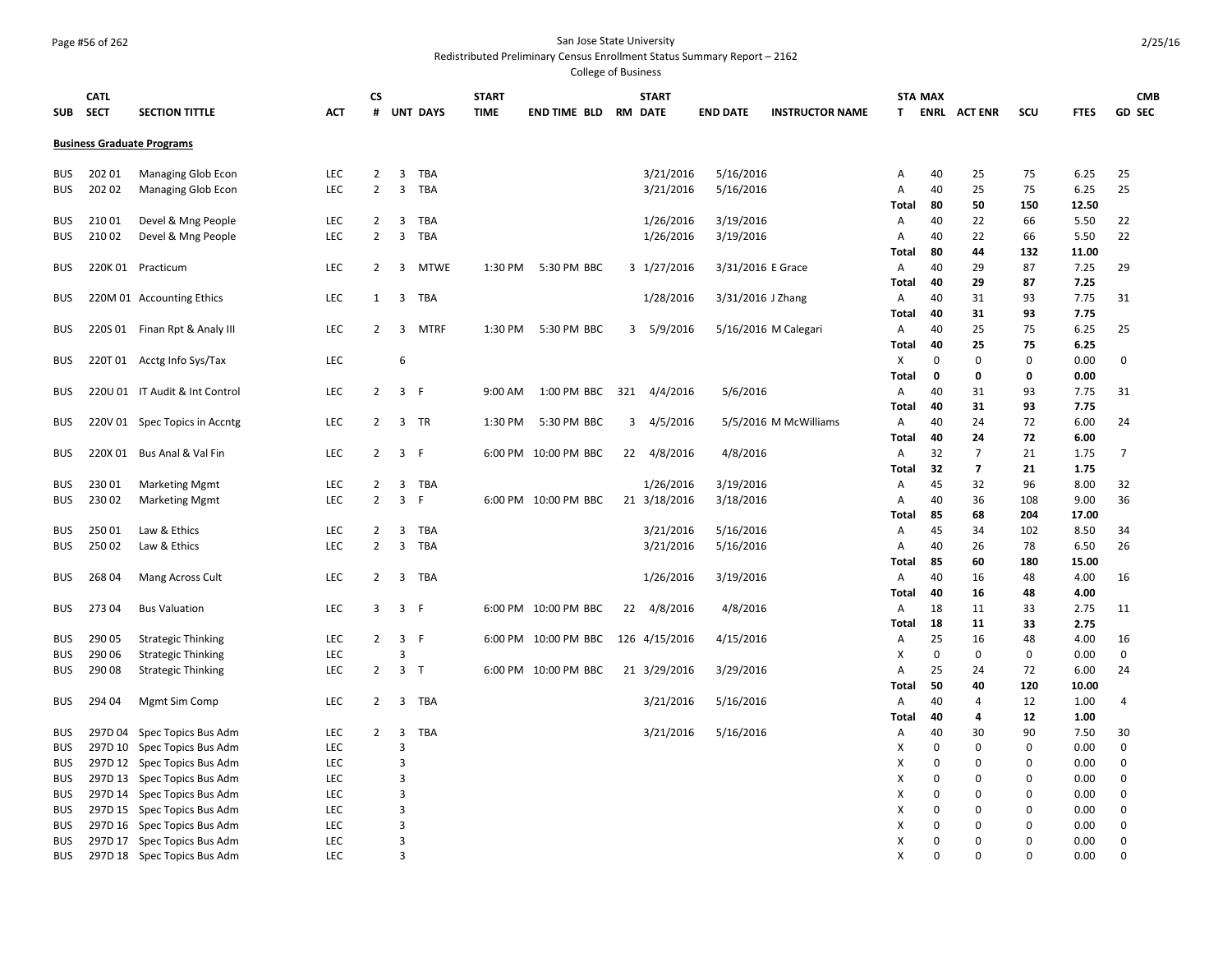## Page #56 of 262 San Jose State University

#### Redistributed Preliminary Census Enrollment Status Summary Report – 2162

| SUB                      | <b>CATL</b><br><b>SECT</b> | <b>SECTION TITTLE</b>             | <b>ACT</b>               | СS<br>#        |                         | <b>UNT DAYS</b> | <b>START</b><br><b>TIME</b> | <b>END TIME BLD RM DATE</b> |     | <b>START</b>  | <b>END DATE</b>   | <b>INSTRUCTOR NAME</b> | T.           | <b>STA MAX</b>          | <b>ENRL ACTENR</b>      | scu                     | <b>FTES</b>  | <b>CMB</b><br><b>GD SEC</b> |
|--------------------------|----------------------------|-----------------------------------|--------------------------|----------------|-------------------------|-----------------|-----------------------------|-----------------------------|-----|---------------|-------------------|------------------------|--------------|-------------------------|-------------------------|-------------------------|--------------|-----------------------------|
|                          |                            |                                   |                          |                |                         |                 |                             |                             |     |               |                   |                        |              |                         |                         |                         |              |                             |
|                          |                            | <b>Business Graduate Programs</b> |                          |                |                         |                 |                             |                             |     |               |                   |                        |              |                         |                         |                         |              |                             |
| <b>BUS</b>               | 202 01                     | Managing Glob Econ                | <b>LEC</b>               | $\overline{2}$ | 3                       | <b>TBA</b>      |                             |                             |     | 3/21/2016     | 5/16/2016         |                        | Α            | 40                      | 25                      | 75                      | 6.25         | 25                          |
| <b>BUS</b>               | 202 02                     | Managing Glob Econ                | <b>LEC</b>               | $\overline{2}$ | $\overline{3}$          | TBA             |                             |                             |     | 3/21/2016     | 5/16/2016         |                        | Α            | 40                      | 25                      | 75                      | 6.25         | 25                          |
|                          |                            |                                   |                          |                |                         |                 |                             |                             |     |               |                   |                        | <b>Total</b> | 80                      | 50                      | 150                     | 12.50        |                             |
| <b>BUS</b>               | 21001                      | Devel & Mng People                | LEC                      | $\overline{2}$ | 3                       | TBA             |                             |                             |     | 1/26/2016     | 3/19/2016         |                        | A            | 40                      | 22                      | 66                      | 5.50         | 22                          |
| <b>BUS</b>               | 210 02                     | Devel & Mng People                | LEC                      | $\overline{2}$ | $\overline{3}$          | <b>TBA</b>      |                             |                             |     | 1/26/2016     | 3/19/2016         |                        | A            | 40                      | 22                      | 66                      | 5.50         | 22                          |
|                          |                            |                                   |                          |                |                         |                 |                             |                             |     |               |                   |                        | Total        | 80                      | 44                      | 132                     | 11.00        |                             |
| <b>BUS</b>               |                            | 220K 01 Practicum                 | LEC                      | $\overline{2}$ | 3                       | <b>MTWE</b>     | 1:30 PM                     | 5:30 PM BBC                 |     | 3 1/27/2016   | 3/31/2016 E Grace |                        | A            | 40                      | 29                      | 87                      | 7.25         | 29                          |
|                          |                            |                                   |                          |                |                         |                 |                             |                             |     |               |                   |                        | Total        | 40                      | 29                      | 87                      | 7.25         |                             |
| <b>BUS</b>               |                            | 220M 01 Accounting Ethics         | LEC                      | 1              | 3                       | <b>TBA</b>      |                             |                             |     | 1/28/2016     | 3/31/2016 J Zhang |                        | A            | 40                      | 31                      | 93                      | 7.75         | 31                          |
|                          |                            |                                   |                          |                |                         |                 |                             |                             |     |               |                   |                        | Total        | 40                      | 31                      | 93                      | 7.75         |                             |
| <b>BUS</b>               |                            | 220S 01 Finan Rpt & Analy III     | LEC                      | $\overline{2}$ | 3                       | <b>MTRF</b>     | 1:30 PM                     | 5:30 PM BBC                 | 3   | 5/9/2016      |                   | 5/16/2016 M Calegari   | Α            | 40                      | 25                      | 75                      | 6.25         | 25                          |
|                          |                            |                                   |                          |                |                         |                 |                             |                             |     |               |                   |                        | Total        | 40                      | 25                      | 75                      | 6.25         |                             |
| <b>BUS</b>               |                            | 220T 01 Acctg Info Sys/Tax        | LEC                      |                | 6                       |                 |                             |                             |     |               |                   |                        | $\times$     | 0                       | $\mathbf 0$             | $\mathbf 0$             | 0.00         | $\mathbf 0$                 |
|                          |                            |                                   |                          |                |                         |                 |                             |                             |     |               |                   |                        | Total        | 0                       | 0                       | 0                       | 0.00         |                             |
| <b>BUS</b>               |                            | 220U 01 IT Audit & Int Control    | <b>LEC</b>               | 2              | $\overline{3}$          | -F              | 9:00 AM                     | 1:00 PM BBC                 | 321 | 4/4/2016      | 5/6/2016          |                        | $\mathsf{A}$ | 40                      | 31                      | 93                      | 7.75         | 31                          |
|                          |                            |                                   |                          |                |                         |                 |                             |                             |     |               |                   |                        | Total        | 40                      | 31                      | 93<br>72                | 7.75         |                             |
| <b>BUS</b>               |                            | 220V 01 Spec Topics in Accntg     | <b>LEC</b>               | 2              | 3                       | TR              | 1:30 PM                     | 5:30 PM BBC                 | 3   | 4/5/2016      |                   | 5/5/2016 M McWilliams  | A            | 40                      | 24                      | 72                      | 6.00         | 24                          |
| <b>BUS</b>               |                            | 220X 01 Bus Anal & Val Fin        | <b>LEC</b>               | $\overline{2}$ | $\overline{3}$          | - F             |                             | 6:00 PM 10:00 PM BBC        | 22  | 4/8/2016      | 4/8/2016          |                        | Total<br>A   | 40<br>32                | 24<br>$\overline{7}$    | 21                      | 6.00<br>1.75 | $\overline{7}$              |
|                          |                            |                                   |                          |                |                         |                 |                             |                             |     |               |                   |                        | Total        | 32                      | $\overline{\mathbf{z}}$ | 21                      | 1.75         |                             |
| <b>BUS</b>               | 230 01                     | <b>Marketing Mgmt</b>             | <b>LEC</b>               | 2              | 3                       | TBA             |                             |                             |     | 1/26/2016     | 3/19/2016         |                        | A            | 45                      | 32                      | 96                      | 8.00         | 32                          |
| <b>BUS</b>               | 23002                      | <b>Marketing Mgmt</b>             | LEC                      | $\overline{2}$ | 3                       | -F              |                             | 6:00 PM 10:00 PM BBC        |     | 21 3/18/2016  | 3/18/2016         |                        | Α            | 40                      | 36                      | 108                     | 9.00         | 36                          |
|                          |                            |                                   |                          |                |                         |                 |                             |                             |     |               |                   |                        | <b>Total</b> | 85                      | 68                      | 204                     | 17.00        |                             |
| <b>BUS</b>               | 25001                      | Law & Ethics                      | LEC                      | $\overline{2}$ | 3                       | TBA             |                             |                             |     | 3/21/2016     | 5/16/2016         |                        | Α            | 45                      | 34                      | 102                     | 8.50         | 34                          |
| <b>BUS</b>               | 250 02                     | Law & Ethics                      | <b>LEC</b>               | $\overline{2}$ | 3                       | TBA             |                             |                             |     | 3/21/2016     | 5/16/2016         |                        | Α            | 40                      | 26                      | 78                      | 6.50         | 26                          |
|                          |                            |                                   |                          |                |                         |                 |                             |                             |     |               |                   |                        | Total        | 85                      | 60                      | 180                     | 15.00        |                             |
| <b>BUS</b>               | 268 04                     | Mang Across Cult                  | LEC                      | $\overline{2}$ | 3                       | TBA             |                             |                             |     | 1/26/2016     | 3/19/2016         |                        | A            | 40                      | 16                      | 48                      | 4.00         | 16                          |
|                          |                            |                                   |                          |                |                         |                 |                             |                             |     |               |                   |                        | Total        | 40                      | 16                      | 48                      | 4.00         |                             |
| <b>BUS</b>               | 273 04                     | <b>Bus Valuation</b>              | <b>LEC</b>               | 3              |                         | 3 F             |                             | 6:00 PM 10:00 PM BBC        | 22  | 4/8/2016      | 4/8/2016          |                        | A            | 18                      | 11                      | 33                      | 2.75         | 11                          |
|                          |                            |                                   |                          |                |                         |                 |                             |                             |     |               |                   |                        | Total        | 18                      | 11                      | 33                      | 2.75         |                             |
| <b>BUS</b>               | 290 05                     | <b>Strategic Thinking</b>         | LEC                      | $\overline{2}$ | $\overline{\mathbf{3}}$ | -F              |                             | 6:00 PM 10:00 PM BBC        |     | 126 4/15/2016 | 4/15/2016         |                        | Α            | 25                      | 16                      | 48                      | 4.00         | 16                          |
| <b>BUS</b>               | 290 06                     | <b>Strategic Thinking</b>         | LEC                      |                | 3                       |                 |                             |                             |     |               |                   |                        | Х            | 0                       | 0                       | 0                       | 0.00         | 0                           |
| <b>BUS</b>               | 290 08                     | <b>Strategic Thinking</b>         | <b>LEC</b>               | $\overline{2}$ |                         | 3 <sub>T</sub>  |                             | 6:00 PM 10:00 PM BBC        |     | 21 3/29/2016  | 3/29/2016         |                        | $\mathsf{A}$ | 25                      | 24                      | 72                      | 6.00         | 24                          |
|                          |                            |                                   |                          |                |                         |                 |                             |                             |     |               |                   |                        | Total        | 50                      | 40                      | 120                     | 10.00        |                             |
| <b>BUS</b>               | 294 04                     | Mgmt Sim Comp                     | LEC                      | 2              | 3                       | TBA             |                             |                             |     | 3/21/2016     | 5/16/2016         |                        | A            | 40                      | 4                       | 12                      | 1.00         | 4                           |
|                          |                            |                                   |                          |                |                         |                 |                             |                             |     |               |                   |                        | Total        | 40                      | 4                       | 12                      | 1.00         |                             |
| <b>BUS</b>               |                            | 297D 04 Spec Topics Bus Adm       | LEC                      | $\overline{2}$ | 3                       | <b>TBA</b>      |                             |                             |     | 3/21/2016     | 5/16/2016         |                        | A            | 40                      | 30                      | 90                      | 7.50         | 30                          |
| <b>BUS</b>               |                            | 297D 10 Spec Topics Bus Adm       | LEC                      |                | $\overline{3}$          |                 |                             |                             |     |               |                   |                        | Χ            | $\Omega$                | 0                       | $\mathbf 0$             | 0.00         | 0                           |
| <b>BUS</b>               |                            | 297D 12 Spec Topics Bus Adm       | <b>LEC</b>               |                | 3                       |                 |                             |                             |     |               |                   |                        | X            | $\mathbf 0$             | 0                       | $\mathbf 0$             | 0.00         | 0                           |
| <b>BUS</b>               |                            | 297D 13 Spec Topics Bus Adm       | <b>LEC</b>               |                | 3                       |                 |                             |                             |     |               |                   |                        | X            | $\mathbf 0$             | 0                       | $\mathbf 0$             | 0.00         | 0                           |
| <b>BUS</b>               |                            | 297D 14 Spec Topics Bus Adm       | <b>LEC</b>               |                | 3                       |                 |                             |                             |     |               |                   |                        | X            | $\overline{0}$          | 0                       | $\mathbf 0$             | 0.00         | 0                           |
| <b>BUS</b>               |                            | 297D 15 Spec Topics Bus Adm       | LEC                      |                | 3                       |                 |                             |                             |     |               |                   |                        | X            | $\Omega$                | 0                       | $\mathbf 0$             | 0.00         | 0                           |
| <b>BUS</b>               |                            | 297D 16 Spec Topics Bus Adm       | <b>LEC</b>               |                | 3                       |                 |                             |                             |     |               |                   |                        | X            | $\mathbf 0$             | 0                       | $\mathbf 0$             | 0.00         | 0                           |
| <b>BUS</b><br><b>BUS</b> |                            | 297D 17 Spec Topics Bus Adm       | <b>LEC</b><br><b>LEC</b> |                | 3<br>$\overline{3}$     |                 |                             |                             |     |               |                   |                        | X<br>X       | $\mathbf 0$<br>$\Omega$ | 0<br>$\Omega$           | $\mathbf 0$<br>$\Omega$ | 0.00<br>0.00 | $\mathbf 0$<br>$\mathbf 0$  |
|                          |                            | 297D 18 Spec Topics Bus Adm       |                          |                |                         |                 |                             |                             |     |               |                   |                        |              |                         |                         |                         |              |                             |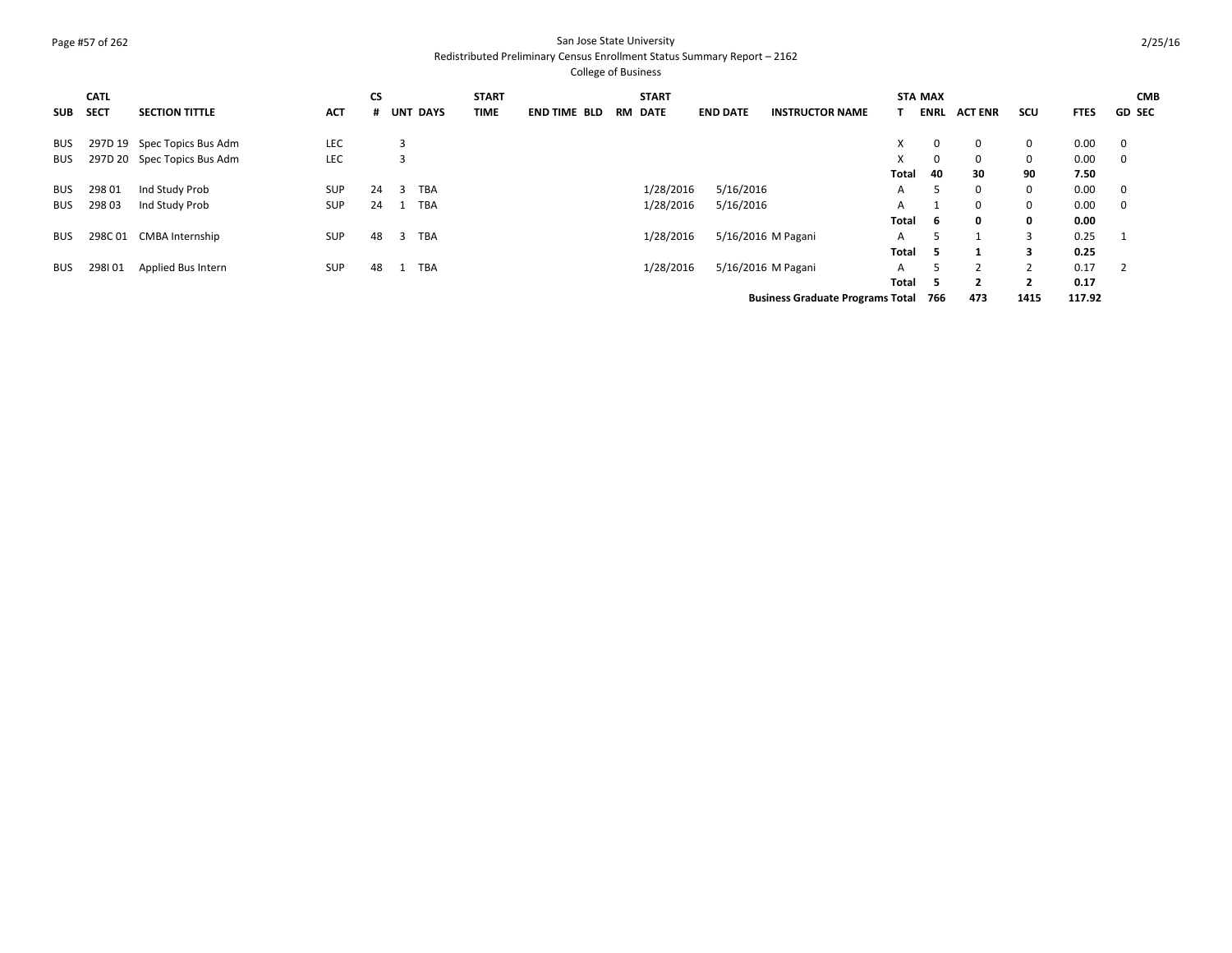## Page #57 of 262 San Jose State University

#### Redistributed Preliminary Census Enrollment Status Summary Report – 2162

|            | <b>CATL</b> |                             |            | <b>CS</b> |                 | <b>START</b> |                     |    | <b>START</b> |                 |           |                                         |              | <b>STA MAX</b> |                |                |             | <b>CMB</b>     |
|------------|-------------|-----------------------------|------------|-----------|-----------------|--------------|---------------------|----|--------------|-----------------|-----------|-----------------------------------------|--------------|----------------|----------------|----------------|-------------|----------------|
| SUB SECT   |             | <b>SECTION TITTLE</b>       | <b>ACT</b> |           | # UNT DAYS      | TIME         | <b>END TIME BLD</b> | RM | DATE         | <b>END DATE</b> |           | <b>INSTRUCTOR NAME</b>                  |              | <b>ENRL</b>    | <b>ACT ENR</b> | scu            | <b>FTES</b> | <b>GD SEC</b>  |
| <b>BUS</b> |             | 297D 19 Spec Topics Bus Adm | <b>LEC</b> |           | 3               |              |                     |    |              |                 |           |                                         | X            | 0              | 0              | $\mathbf 0$    | 0.00        | $\overline{0}$ |
| <b>BUS</b> |             | 297D 20 Spec Topics Bus Adm | <b>LEC</b> |           | 3               |              |                     |    |              |                 |           |                                         |              | 0              | 0              | 0              | 0.00        | $\overline{0}$ |
|            |             |                             |            |           |                 |              |                     |    |              |                 |           |                                         | Total        | 40             | 30             | 90             | 7.50        |                |
| BUS        | 298 01      | Ind Study Prob              | <b>SUP</b> | 24        | <b>TBA</b><br>3 |              |                     |    | 1/28/2016    |                 | 5/16/2016 |                                         | A            | 5              | 0              | 0              | 0.00        | $\overline{0}$ |
| <b>BUS</b> | 29803       | Ind Study Prob              | <b>SUP</b> | 24        | <b>TBA</b>      |              |                     |    | 1/28/2016    |                 | 5/16/2016 |                                         | А            |                | $\Omega$       | $\mathbf 0$    | 0.00        | $\overline{0}$ |
|            |             |                             |            |           |                 |              |                     |    |              |                 |           |                                         | Total        | -6             | 0              | 0              | 0.00        |                |
| <b>BUS</b> |             | 298C 01 CMBA Internship     | <b>SUP</b> | 48        | <b>TBA</b><br>3 |              |                     |    | 1/28/2016    |                 |           | 5/16/2016 M Pagani                      | A            | ╮              |                | 3              | 0.25        |                |
|            |             |                             |            |           |                 |              |                     |    |              |                 |           |                                         | <b>Total</b> | -5             |                | 3              | 0.25        |                |
| <b>BUS</b> | 298101      | Applied Bus Intern          | <b>SUP</b> | 48        | TBA             |              |                     |    | 1/28/2016    |                 |           | 5/16/2016 M Pagani                      | A            |                | 2              | 2              | 0.17        | $\overline{2}$ |
|            |             |                             |            |           |                 |              |                     |    |              |                 |           |                                         | Total        | -5             | $\overline{2}$ | $\overline{2}$ | 0.17        |                |
|            |             |                             |            |           |                 |              |                     |    |              |                 |           | <b>Business Graduate Programs Total</b> |              | 766            | 473            | 1415           | 117.92      |                |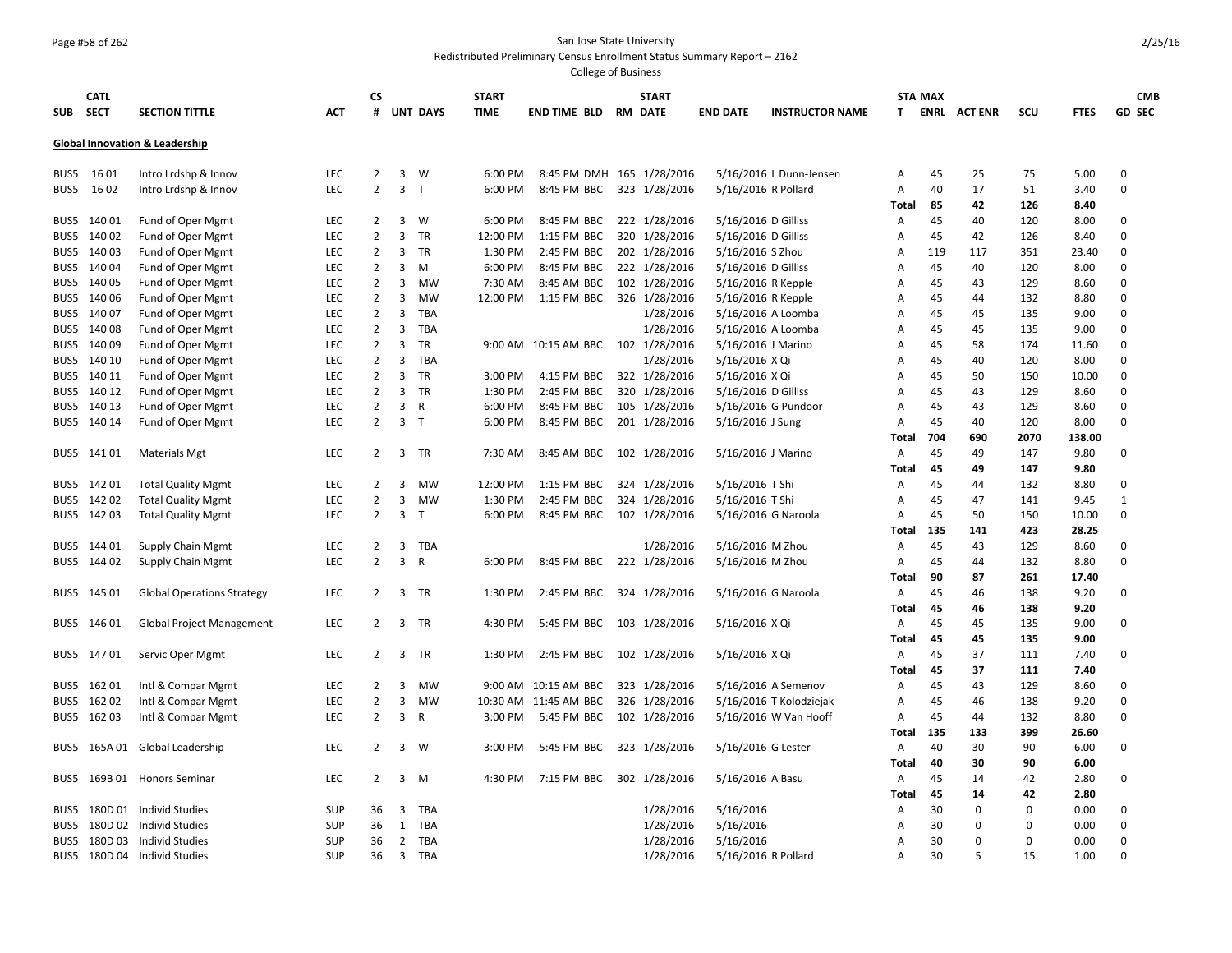## Page #58 of 262 San Jose State University

#### Redistributed Preliminary Census Enrollment Status Summary Report – 2162

| <b>SUB</b> | <b>CATL</b><br><b>SECT</b> | <b>SECTION TITTLE</b>                     | ACT        | CS<br>#        |                         | <b>UNT DAYS</b> | <b>START</b><br>TIME | <b>END TIME BLD</b>                | <b>START</b><br><b>RM DATE</b> | <b>END DATE</b>     | <b>INSTRUCTOR NAME</b>  | T.           | <b>STA MAX</b> | <b>ENRL ACTENR</b> | scu         | <b>FTES</b> | <b>CMB</b><br><b>GD SEC</b> |
|------------|----------------------------|-------------------------------------------|------------|----------------|-------------------------|-----------------|----------------------|------------------------------------|--------------------------------|---------------------|-------------------------|--------------|----------------|--------------------|-------------|-------------|-----------------------------|
|            |                            | <b>Global Innovation &amp; Leadership</b> |            |                |                         |                 |                      |                                    |                                |                     |                         |              |                |                    |             |             |                             |
| BUS5       | 16 01                      | Intro Lrdshp & Innov                      | <b>LEC</b> | 2              | 3                       | W               | 6:00 PM              | 8:45 PM DMH 165 1/28/2016          |                                |                     | 5/16/2016 L Dunn-Jensen | Α            | 45             | 25                 | 75          | 5.00        | $\mathbf 0$                 |
| BUS5       | 16 02                      | Intro Lrdshp & Innov                      | <b>LEC</b> | $\overline{2}$ | $\overline{3}$          | T               | 6:00 PM              | 8:45 PM BBC 323 1/28/2016          |                                | 5/16/2016 R Pollard |                         | Α            | 40             | 17                 | 51          | 3.40        | $\mathbf 0$                 |
|            |                            |                                           |            |                |                         |                 |                      |                                    |                                |                     |                         | Total        | 85             | 42                 | 126         | 8.40        |                             |
| BUS5       | 14001                      | Fund of Oper Mgmt                         | LEC        | $\overline{2}$ | $\overline{3}$          | W               | 6:00 PM              | 8:45 PM BBC                        | 222 1/28/2016                  | 5/16/2016 D Gilliss |                         | Α            | 45             | 40                 | 120         | 8.00        | 0                           |
| BUS5       | 140 02                     | Fund of Oper Mgmt                         | LEC        | $\overline{2}$ | 3                       | <b>TR</b>       | 12:00 PM             | 1:15 PM BBC                        | 320 1/28/2016                  | 5/16/2016 D Gilliss |                         | A            | 45             | 42                 | 126         | 8.40        | 0                           |
| BUS5       | 14003                      | Fund of Oper Mgmt                         | LEC        | $\overline{2}$ | 3                       | TR              | 1:30 PM              | 2:45 PM BBC                        | 202 1/28/2016                  | 5/16/2016 S Zhou    |                         | A            | 119            | 117                | 351         | 23.40       | 0                           |
| BUS5       | 14004                      | Fund of Oper Mgmt                         | <b>LEC</b> | $\overline{2}$ | 3                       | M               | 6:00 PM              | 8:45 PM BBC                        | 222 1/28/2016                  | 5/16/2016 D Gilliss |                         | A            | 45             | 40                 | 120         | 8.00        | $\mathbf 0$                 |
| BUS5       | 140 05                     | Fund of Oper Mgmt                         | <b>LEC</b> | $\overline{2}$ | 3                       | MW              | 7:30 AM              | 8:45 AM BBC                        | 102 1/28/2016                  | 5/16/2016 R Kepple  |                         | A            | 45             | 43                 | 129         | 8.60        | 0                           |
| BUS5       | 140 06                     | Fund of Oper Mgmt                         | <b>LEC</b> | $\overline{2}$ | 3                       | <b>MW</b>       | 12:00 PM             | 1:15 PM BBC                        | 326 1/28/2016                  | 5/16/2016 R Kepple  |                         | A            | 45             | 44                 | 132         | 8.80        | 0                           |
| BUS5       | 14007                      | Fund of Oper Mgmt                         | <b>LEC</b> | $\overline{2}$ | 3                       | <b>TBA</b>      |                      |                                    | 1/28/2016                      |                     | 5/16/2016 A Loomba      | A            | 45             | 45                 | 135         | 9.00        | 0                           |
| BUS5       | 140 08                     | Fund of Oper Mgmt                         | <b>LEC</b> | $\overline{2}$ | 3                       | <b>TBA</b>      |                      |                                    | 1/28/2016                      |                     | 5/16/2016 A Loomba      | A            | 45             | 45                 | 135         | 9.00        | 0                           |
| BUS5       | 140 09                     | Fund of Oper Mgmt                         | LEC        | $\overline{2}$ | $\overline{3}$          | TR              |                      | 9:00 AM 10:15 AM BBC 102 1/28/2016 |                                | 5/16/2016 J Marino  |                         | A            | 45             | 58                 | 174         | 11.60       | $\mathbf 0$                 |
| BUS5       | 140 10                     | Fund of Oper Mgmt                         | <b>LEC</b> | $\overline{2}$ | 3                       | <b>TBA</b>      |                      |                                    | 1/28/2016                      | 5/16/2016 X Qi      |                         | Α            | 45             | 40                 | 120         | 8.00        | 0                           |
| BUS5       | 140 11                     | Fund of Oper Mgmt                         | LEC        | $\overline{2}$ | 3                       | <b>TR</b>       | 3:00 PM              | 4:15 PM BBC                        | 322 1/28/2016                  | 5/16/2016 X Qi      |                         | Α            | 45             | 50                 | 150         | 10.00       | 0                           |
| BUS5       | 140 12                     | Fund of Oper Mgmt                         | <b>LEC</b> | $\overline{2}$ | 3                       | <b>TR</b>       | 1:30 PM              | 2:45 PM BBC                        | 320 1/28/2016                  | 5/16/2016 D Gilliss |                         | Α            | 45             | 43                 | 129         | 8.60        | 0                           |
| BUS5       | 140 13                     | Fund of Oper Mgmt                         | LEC        | $\overline{2}$ | 3                       | R               | 6:00 PM              | 8:45 PM BBC                        | 105 1/28/2016                  |                     | 5/16/2016 G Pundoor     | Α            | 45             | 43                 | 129         | 8.60        | 0                           |
|            | BUS5 140 14                | Fund of Oper Mgmt                         | <b>LEC</b> | $\overline{2}$ | 3                       | T               | 6:00 PM              | 8:45 PM BBC                        | 201 1/28/2016                  | 5/16/2016 J Sung    |                         | A            | 45             | 40                 | 120         | 8.00        | 0                           |
|            |                            |                                           |            |                |                         |                 |                      |                                    |                                |                     |                         | Total        | 704            | 690                | 2070        | 138.00      |                             |
| BUS5       | 141 01                     | <b>Materials Mgt</b>                      | <b>LEC</b> | $\overline{2}$ | 3                       | TR              | 7:30 AM              | 8:45 AM BBC                        | 102 1/28/2016                  | 5/16/2016 J Marino  |                         | $\mathsf{A}$ | 45             | 49                 | 147         | 9.80        | 0                           |
|            |                            |                                           |            |                |                         |                 |                      |                                    |                                |                     |                         | Total        | 45             | 49                 | 147         | 9.80        |                             |
| BUS5       | 142 01                     | <b>Total Quality Mgmt</b>                 | <b>LEC</b> | 2              | 3                       | MW              | 12:00 PM             | 1:15 PM BBC                        | 324 1/28/2016                  | 5/16/2016 T Shi     |                         | A            | 45             | 44                 | 132         | 8.80        | 0                           |
| BUS5       | 142 02                     | <b>Total Quality Mgmt</b>                 | <b>LEC</b> | $\overline{2}$ | 3                       | MW              | 1:30 PM              | 2:45 PM BBC                        | 324 1/28/2016                  | 5/16/2016 T Shi     |                         | Α            | 45             | 47                 | 141         | 9.45        | 1                           |
| BUS5       | 14203                      | <b>Total Quality Mgmt</b>                 | <b>LEC</b> | $\overline{2}$ | $\overline{3}$          | T               | 6:00 PM              | 8:45 PM BBC                        | 102 1/28/2016                  |                     | 5/16/2016 G Naroola     | A            | 45             | 50                 | 150         | 10.00       | $\mathbf 0$                 |
|            |                            |                                           |            |                |                         |                 |                      |                                    |                                |                     |                         | Total        | 135            | 141                | 423         | 28.25       |                             |
| BUS5       | 144 01                     | Supply Chain Mgmt                         | <b>LEC</b> | $\overline{2}$ | 3                       | TBA             |                      |                                    | 1/28/2016                      | 5/16/2016 M Zhou    |                         | Α            | 45             | 43                 | 129         | 8.60        | 0                           |
| BUS5       | 144 02                     | Supply Chain Mgmt                         | LEC        | $\overline{2}$ | 3                       | R               | 6:00 PM              | 8:45 PM BBC                        | 222 1/28/2016                  | 5/16/2016 M Zhou    |                         | A            | 45             | 44                 | 132         | 8.80        | 0                           |
|            |                            |                                           |            |                |                         |                 |                      |                                    |                                |                     |                         | <b>Total</b> | 90             | 87                 | 261         | 17.40       |                             |
|            | BUS5 145 01                | <b>Global Operations Strategy</b>         | LEC        | 2              | 3                       | TR              | 1:30 PM              | 2:45 PM BBC                        | 324 1/28/2016                  |                     | 5/16/2016 G Naroola     | Α            | 45             | 46                 | 138         | 9.20        | 0                           |
|            |                            |                                           |            |                |                         |                 |                      |                                    |                                |                     |                         | Total        | 45             | 46                 | 138         | 9.20        |                             |
| BUS5       | 146 01                     | Global Project Management                 | LEC        | 2              | 3                       | <b>TR</b>       | 4:30 PM              | 5:45 PM BBC                        | 103 1/28/2016                  | 5/16/2016 X Qi      |                         | $\mathsf{A}$ | 45             | 45                 | 135         | 9.00        | 0                           |
|            |                            |                                           |            |                |                         |                 |                      |                                    |                                |                     |                         | Total        | 45             | 45                 | 135         | 9.00        |                             |
| BUS5       | 147 01                     | Servic Oper Mgmt                          | <b>LEC</b> | 2              | 3                       | TR              | 1:30 PM              | 2:45 PM BBC                        | 102 1/28/2016                  | 5/16/2016 X Qi      |                         | $\mathsf{A}$ | 45             | 37                 | 111         | 7.40        | 0                           |
|            |                            |                                           |            |                |                         |                 |                      |                                    |                                |                     |                         | Total        | 45             | 37                 | 111         | 7.40        |                             |
| BUS5       | 16201                      | Intl & Compar Mgmt                        | <b>LEC</b> | 2              | 3                       | MW              | 9:00 AM              | 10:15 AM BBC                       | 323 1/28/2016                  |                     | 5/16/2016 A Semenov     | Α            | 45             | 43                 | 129         | 8.60        | 0                           |
| BUS5       | 16202                      | Intl & Compar Mgmt                        | LEC        | $\overline{2}$ | 3                       | MW              | 10:30 AM             | 11:45 AM BBC                       | 326 1/28/2016                  |                     | 5/16/2016 T Kolodziejak | Α            | 45             | 46                 | 138         | 9.20        | $\mathbf 0$                 |
| BUS5       | 16203                      | Intl & Compar Mgmt                        | LEC        | $\overline{2}$ | 3                       | R               | 3:00 PM              | 5:45 PM BBC                        | 102 1/28/2016                  |                     | 5/16/2016 W Van Hooff   | A            | 45             | 44                 | 132         | 8.80        | 0                           |
|            |                            |                                           |            |                |                         |                 |                      |                                    |                                |                     |                         | Total        | 135            | 133                | 399         | 26.60       |                             |
| BUS5       | 165A 01                    | Global Leadership                         | LEC        | $\overline{2}$ | 3                       | W               | 3:00 PM              | 5:45 PM BBC                        | 323 1/28/2016                  | 5/16/2016 G Lester  |                         | Α            | 40             | 30                 | 90          | 6.00        | 0                           |
|            |                            |                                           |            |                |                         |                 |                      |                                    |                                |                     |                         | Total        | 40             | 30                 | 90          | 6.00        |                             |
| BUS5       |                            | 169B 01 Honors Seminar                    | <b>LEC</b> | $\overline{2}$ | $\overline{\mathbf{3}}$ | M               | 4:30 PM              | 7:15 PM BBC                        | 302 1/28/2016                  | 5/16/2016 A Basu    |                         | A            | 45             | 14                 | 42          | 2.80        | 0                           |
|            |                            |                                           |            |                |                         |                 |                      |                                    |                                |                     |                         | Total        | 45             | 14                 | 42          | 2.80        |                             |
| BUS5       |                            | 180D 01 Individ Studies                   | <b>SUP</b> | 36             | 3                       | TBA             |                      |                                    | 1/28/2016                      | 5/16/2016           |                         | A            | 30             | $\mathbf 0$        | $\mathbf 0$ | 0.00        | 0                           |
| BUS5       |                            | 180D 02 Individ Studies                   | <b>SUP</b> | 36             | 1                       | <b>TBA</b>      |                      |                                    | 1/28/2016                      | 5/16/2016           |                         | A            | 30             | $\mathbf 0$        | $\Omega$    | 0.00        | $\mathbf 0$                 |
| BUS5       |                            | 180D 03 Individ Studies                   | <b>SUP</b> | 36             | $\overline{2}$          | TBA             |                      |                                    | 1/28/2016                      | 5/16/2016           |                         | Α            | 30             | $\Omega$           | $\Omega$    | 0.00        | $\Omega$                    |
|            |                            | BUS5 180D 04 Individ Studies              | <b>SUP</b> | 36             | $\overline{\mathbf{3}}$ | TBA             |                      |                                    | 1/28/2016                      | 5/16/2016 R Pollard |                         | A            | 30             | 5                  | 15          | 1.00        | $\mathbf 0$                 |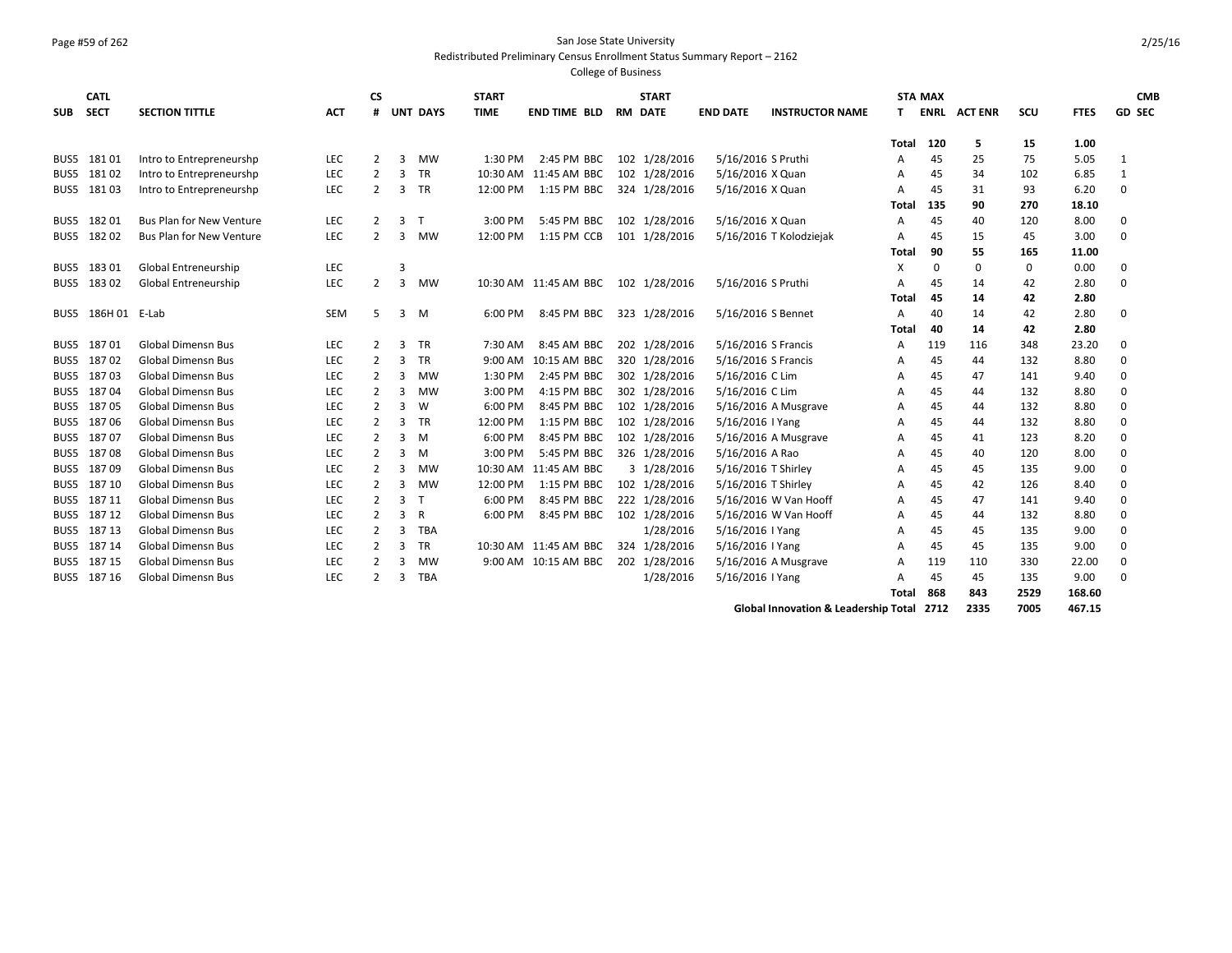## Page #59 of 262 San Jose State University

Redistributed Preliminary Census Enrollment Status Summary Report – 2162

College of Business

|            | <b>CATL</b>        |                                 |            | СS             |                |                 | <b>START</b> |                                     | <b>START</b>   |                     |                         |              | <b>STA MAX</b> |                |                      |             | <b>CMB</b>    |
|------------|--------------------|---------------------------------|------------|----------------|----------------|-----------------|--------------|-------------------------------------|----------------|---------------------|-------------------------|--------------|----------------|----------------|----------------------|-------------|---------------|
| <b>SUB</b> | <b>SECT</b>        | <b>SECTION TITTLE</b>           | <b>ACT</b> | #              |                | <b>UNT DAYS</b> | <b>TIME</b>  | <b>END TIME BLD</b>                 | <b>RM DATE</b> | <b>END DATE</b>     | <b>INSTRUCTOR NAME</b>  | Τ.           | ENRL           | <b>ACT ENR</b> | scu                  | <b>FTES</b> | <b>GD SEC</b> |
|            |                    |                                 |            |                |                |                 |              |                                     |                |                     |                         | Total        | 120            | 5              | 15                   | 1.00        |               |
|            | BUS5 18101         | Intro to Entrepreneurshp        | <b>LEC</b> | $\overline{2}$ | 3              | <b>MW</b>       | 1:30 PM      | 2:45 PM BBC                         | 102 1/28/2016  | 5/16/2016 S Pruthi  |                         | A            | 45             | 25             | 75                   | 5.05        | -1            |
| BUS5       | 18102              | Intro to Entrepreneurshp        | <b>LEC</b> | 2              | 3              | <b>TR</b>       | 10:30 AM     | 11:45 AM BBC                        | 102 1/28/2016  | 5/16/2016 X Quan    |                         | A            | 45             | 34             | 102                  | 6.85        | 1             |
|            | BUS5 18103         | Intro to Entrepreneurshp        | <b>LEC</b> | $\overline{2}$ | 3              | <b>TR</b>       | 12:00 PM     | 1:15 PM BBC                         | 324 1/28/2016  | 5/16/2016 X Quan    |                         | A            | 45             | 31             | 93                   | 6.20        | $\mathbf 0$   |
|            |                    |                                 |            |                |                |                 |              |                                     |                |                     |                         |              |                |                |                      |             |               |
|            | BUS5 182 01        |                                 |            |                |                | т               |              |                                     |                |                     |                         | Tota         | 135            | 90             | 270                  | 18.10       |               |
|            |                    | <b>Bus Plan for New Venture</b> | <b>LEC</b> | 2              | 3              |                 | 3:00 PM      | 5:45 PM BBC 102 1/28/2016           |                | 5/16/2016 X Quan    |                         | A            | 45             | 40             | 120                  | 8.00        | $\mathbf 0$   |
|            | BUS5 182 02        | <b>Bus Plan for New Venture</b> | <b>LEC</b> | 2              | 3              | <b>MW</b>       | 12:00 PM     | 1:15 PM CCB                         | 101 1/28/2016  |                     | 5/16/2016 T Kolodziejak | A            | 45             | 15             | 45                   | 3.00        | $\Omega$      |
|            |                    |                                 |            |                |                |                 |              |                                     |                |                     |                         | <b>Total</b> | 90             | 55             | 165                  | 11.00       |               |
|            | BUS5 183 01        | Global Entreneurship            | <b>LEC</b> |                | 3              |                 |              |                                     |                |                     |                         | X            | 0              | 0              | 0                    | 0.00        | $\Omega$      |
|            | BUS5 183 02        | Global Entreneurship            | <b>LEC</b> | 2              | 3              | MW              |              | 10:30 AM 11:45 AM BBC 102 1/28/2016 |                | 5/16/2016 S Pruthi  |                         | A            | 45             | 14             | 42                   | 2.80        | $\Omega$      |
|            |                    |                                 |            |                |                |                 |              |                                     |                |                     |                         | Total        | 45             | 14             | 42                   | 2.80        |               |
|            | BUS5 186H 01 E-Lab |                                 | SEM        | 5              | 3              | M               | 6:00 PM      | 8:45 PM BBC                         | 323 1/28/2016  | 5/16/2016 S Bennet  |                         | A            | 40             | 14             | 42                   | 2.80        | $\Omega$      |
|            |                    |                                 |            |                |                |                 |              |                                     |                |                     |                         | Total        | 40             | 14             | 42                   | 2.80        |               |
|            | BUS5 18701         | <b>Global Dimensn Bus</b>       | <b>LEC</b> | 2              | 3              | <b>TR</b>       | 7:30 AM      | 8:45 AM BBC                         | 202 1/28/2016  | 5/16/2016 S Francis |                         | A            | 119            | 116            | 348                  | 23.20       | $\Omega$      |
| BUS5       | 18702              | <b>Global Dimensn Bus</b>       | <b>LEC</b> | 2              | 3              | TR              | 9:00 AM      | 10:15 AM BBC                        | 320 1/28/2016  | 5/16/2016 S Francis |                         | A            | 45             | 44             | 132                  | 8.80        | 0             |
| BUS5       | 18703              | <b>Global Dimensn Bus</b>       | <b>LEC</b> | 2              | 3              | MW              | 1:30 PM      | 2:45 PM BBC                         | 302 1/28/2016  | 5/16/2016 C Lim     |                         | A            | 45             | 47             | 141                  | 9.40        | $\Omega$      |
| BUS5       | 18704              | Global Dimensn Bus              | <b>LEC</b> | 2              | 3              | MW              | 3:00 PM      | 4:15 PM BBC                         | 302 1/28/2016  | 5/16/2016 C Lim     |                         | A            | 45             | 44             | 132                  | 8.80        | $\Omega$      |
| BUS5       | 18705              | <b>Global Dimensn Bus</b>       | LEC        | 2              | 3              | W               | 6:00 PM      | 8:45 PM BBC                         | 102 1/28/2016  |                     | 5/16/2016 A Musgrave    | А            | 45             | 44             | 132                  | 8.80        | $\Omega$      |
| BUS5       | 18706              | <b>Global Dimensn Bus</b>       | <b>LEC</b> | 2              | 3              | TR              | 12:00 PM     | 1:15 PM BBC                         | 102 1/28/2016  | 5/16/2016   Yang    |                         | A            | 45             | 44             | 132                  | 8.80        | $\Omega$      |
| BUS5       | 18707              | <b>Global Dimensn Bus</b>       | <b>LEC</b> | 2              | 3              | M               | 6:00 PM      | 8:45 PM BBC                         | 102 1/28/2016  |                     | 5/16/2016 A Musgrave    | A            | 45             | 41             | 123                  | 8.20        | $\mathbf 0$   |
| BUS5       | 18708              | <b>Global Dimensn Bus</b>       | <b>LEC</b> | 2              | 3              | M               | 3:00 PM      | 5:45 PM BBC                         | 326 1/28/2016  | 5/16/2016 A Rao     |                         | A            | 45             | 40             | 120                  | 8.00        | $\mathbf 0$   |
| BUS5       | 18709              | <b>Global Dimensn Bus</b>       | <b>LEC</b> | 2              | 3              | MW              |              | 10:30 AM 11:45 AM BBC               | 3 1/28/2016    | 5/16/2016 T Shirley |                         | A            | 45             | 45             | 135                  | 9.00        | $\mathbf 0$   |
|            | BUS5 187 10        | <b>Global Dimensn Bus</b>       | LEC        | 2              | $\overline{3}$ | <b>MW</b>       | 12:00 PM     | 1:15 PM BBC                         | 102 1/28/2016  | 5/16/2016 T Shirley |                         | A            | 45             | 42             | 126                  | 8.40        | $\Omega$      |
|            | BUS5 18711         | <b>Global Dimensn Bus</b>       | <b>LEC</b> | 2              | 3              | $\mathsf{T}$    | 6:00 PM      | 8:45 PM BBC                         | 222 1/28/2016  |                     | 5/16/2016 W Van Hooff   | A            | 45             | 47             | 141                  | 9.40        | $\Omega$      |
| BUS5       | 18712              | <b>Global Dimensn Bus</b>       | <b>LEC</b> | 2              | 3              | R               | 6:00 PM      | 8:45 PM BBC                         | 102 1/28/2016  |                     | 5/16/2016 W Van Hooff   | A            | 45             | 44             | 132                  | 8.80        | $\mathbf 0$   |
| BUS5       | 18713              | <b>Global Dimensn Bus</b>       | <b>LEC</b> | 2              | 3              | <b>TBA</b>      |              |                                     | 1/28/2016      | 5/16/2016   Yang    |                         | A            | 45             | 45             | 135                  | 9.00        | $\mathbf 0$   |
|            | BUS5 187 14        | <b>Global Dimensn Bus</b>       | <b>LEC</b> | 2              | 3              | <b>TR</b>       |              | 10:30 AM 11:45 AM BBC               | 324 1/28/2016  | 5/16/2016   Yang    |                         | A            | 45             | 45             | 135                  | 9.00        | $\Omega$      |
|            | BUS5 187 15        | <b>Global Dimensn Bus</b>       | <b>LEC</b> | 2              | 3              | MW              |              | 9:00 AM 10:15 AM BBC                | 202 1/28/2016  |                     | 5/16/2016 A Musgrave    | A            | 119            | 110            | 330                  | 22.00       | $\mathbf 0$   |
|            | BUS5 187 16        | <b>Global Dimensn Bus</b>       | <b>LEC</b> | 2              | 3              | <b>TBA</b>      |              |                                     | 1/28/2016      | 5/16/2016   Yang    |                         | A            | 45             | 45             | 135                  | 9.00        | $\Omega$      |
|            |                    |                                 |            |                |                |                 |              |                                     |                |                     |                         | Total        | 868            | 843            | 2529                 | 168.60      |               |
|            |                    |                                 |            |                |                |                 |              |                                     |                |                     | .                       |              | $- - - -$      | $\cdots$       | $\sim$ $\sim$ $\sim$ |             |               |

**Global Innovation & Leadership Total 2712 2335 7005 467.15**

2/25/16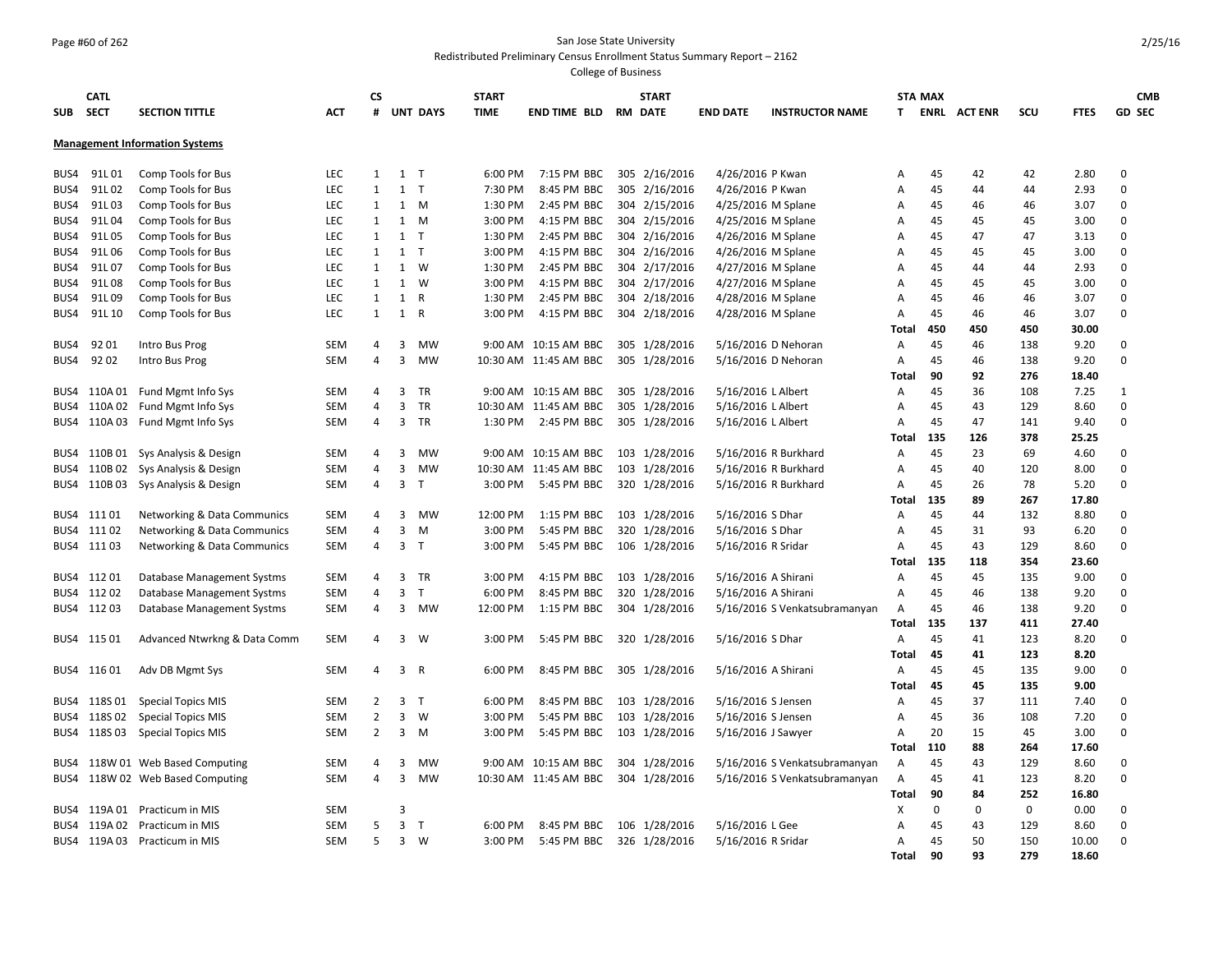## Page #60 of 262 San Jose State University

#### Redistributed Preliminary Census Enrollment Status Summary Report – 2162

| <b>SUB</b> | <b>CATL</b><br>SECT | <b>SECTION TITTLE</b>                  | <b>ACT</b> | СS<br>#        |                | <b>UNT DAYS</b> | <b>START</b><br><b>TIME</b> | END TIME BLD              | <b>START</b><br><b>RM DATE</b> | <b>END DATE</b>     | <b>INSTRUCTOR NAME</b>        | T.             | <b>STA MAX</b> | <b>ENRL ACTENR</b> | scu | <b>FTES</b> | <b>CMB</b><br><b>GD SEC</b> |
|------------|---------------------|----------------------------------------|------------|----------------|----------------|-----------------|-----------------------------|---------------------------|--------------------------------|---------------------|-------------------------------|----------------|----------------|--------------------|-----|-------------|-----------------------------|
|            |                     | <b>Management Information Systems</b>  |            |                |                |                 |                             |                           |                                |                     |                               |                |                |                    |     |             |                             |
| BUS4       | 91L01               | Comp Tools for Bus                     | <b>LEC</b> | $\mathbf{1}$   | 1              | T               | 6:00 PM                     | 7:15 PM BBC               | 305 2/16/2016                  | 4/26/2016 P Kwan    |                               | A              | 45             | 42                 | 42  | 2.80        | $\Omega$                    |
| BUS4       | 91L02               | Comp Tools for Bus                     | <b>LEC</b> | $\mathbf{1}$   | $1$ T          |                 | 7:30 PM                     | 8:45 PM BBC               | 305 2/16/2016                  | 4/26/2016 P Kwan    |                               | A              | 45             | 44                 | 44  | 2.93        | $\Omega$                    |
| BUS4       | 91L03               | Comp Tools for Bus                     | <b>LEC</b> | $\mathbf{1}$   | 1              | M               | 1:30 PM                     | 2:45 PM BBC               | 304 2/15/2016                  | 4/25/2016 M Splane  |                               | A              | 45             | 46                 | 46  | 3.07        | $\Omega$                    |
| BUS4       | 91L04               | Comp Tools for Bus                     | <b>LEC</b> | $\mathbf{1}$   | 1              | M               | 3:00 PM                     | 4:15 PM BBC               | 304 2/15/2016                  | 4/25/2016 M Splane  |                               | A              | 45             | 45                 | 45  | 3.00        | $\Omega$                    |
| BUS4       | 91L05               | Comp Tools for Bus                     | <b>LEC</b> | $\mathbf{1}$   | 1              | T               | 1:30 PM                     | 2:45 PM BBC               | 304 2/16/2016                  | 4/26/2016 M Splane  |                               | $\overline{A}$ | 45             | 47                 | 47  | 3.13        | $\Omega$                    |
| BUS4       | 91L06               | Comp Tools for Bus                     | LEC        | $\mathbf{1}$   | $1$ T          |                 | 3:00 PM                     | 4:15 PM BBC               | 304 2/16/2016                  | 4/26/2016 M Splane  |                               | Α              | 45             | 45                 | 45  | 3.00        | $\Omega$                    |
| BUS4       | 91L07               | Comp Tools for Bus                     | LEC        | $\mathbf{1}$   | 1              | W               | 1:30 PM                     | 2:45 PM BBC               | 304 2/17/2016                  | 4/27/2016 M Splane  |                               | Α              | 45             | 44                 | 44  | 2.93        | $\Omega$                    |
| BUS4       | 91L08               | Comp Tools for Bus                     | <b>LEC</b> | $\mathbf{1}$   | 1              | W               | 3:00 PM                     | 4:15 PM BBC               | 304 2/17/2016                  | 4/27/2016 M Splane  |                               | A              | 45             | 45                 | 45  | 3.00        | $\Omega$                    |
| BUS4       | 91L09               | Comp Tools for Bus                     | <b>LEC</b> | $\mathbf{1}$   | 1              | R               | 1:30 PM                     | 2:45 PM BBC               | 304 2/18/2016                  | 4/28/2016 M Splane  |                               | A              | 45             | 46                 | 46  | 3.07        | $\Omega$                    |
| BUS4       | 91L 10              | Comp Tools for Bus                     | <b>LEC</b> | $\mathbf{1}$   | 1              | $\mathsf{R}$    | 3:00 PM                     | 4:15 PM BBC               | 304 2/18/2016                  | 4/28/2016 M Splane  |                               | Α              | 45             | 46                 | 46  | 3.07        | $\Omega$                    |
|            |                     |                                        |            |                |                |                 |                             |                           |                                |                     |                               | Total          | 450            | 450                | 450 | 30.00       |                             |
| BUS4       | 92 01               | Intro Bus Prog                         | <b>SEM</b> | 4              | 3              | MW              |                             | 9:00 AM 10:15 AM BBC      | 305 1/28/2016                  |                     | 5/16/2016 D Nehoran           | A              | 45             | 46                 | 138 | 9.20        | $\mathbf 0$                 |
| BUS4       | 9202                | Intro Bus Prog                         | <b>SEM</b> | 4              | 3              | <b>MW</b>       |                             | 10:30 AM 11:45 AM BBC     | 305 1/28/2016                  |                     | 5/16/2016 D Nehoran           | Α              | 45             | 46                 | 138 | 9.20        | $\Omega$                    |
|            |                     |                                        |            |                |                |                 |                             |                           |                                |                     |                               | Total          | 90             | 92                 | 276 | 18.40       |                             |
| BUS4       |                     | 110A 01 Fund Mgmt Info Sys             | <b>SEM</b> | 4              | 3              | <b>TR</b>       |                             | 9:00 AM 10:15 AM BBC      | 305 1/28/2016                  | 5/16/2016 L Albert  |                               | A              | 45             | 36                 | 108 | 7.25        | $\mathbf{1}$                |
| BUS4       |                     | 110A 02 Fund Mgmt Info Sys             | <b>SEM</b> | 4              | $\overline{3}$ | <b>TR</b>       | 10:30 AM                    | 11:45 AM BBC              | 305 1/28/2016                  | 5/16/2016 L Albert  |                               | A              | 45             | 43                 | 129 | 8.60        | $\Omega$                    |
|            |                     | BUS4 110A 03 Fund Mgmt Info Sys        | SEM        | 4              | $\overline{3}$ | <b>TR</b>       | 1:30 PM                     | 2:45 PM BBC               | 305 1/28/2016                  | 5/16/2016 L Albert  |                               | A              | 45             | 47                 | 141 | 9.40        | $\Omega$                    |
|            |                     |                                        |            |                |                |                 |                             |                           |                                |                     |                               | <b>Total</b>   | 135            | 126                | 378 | 25.25       |                             |
| BUS4       | 110B 01             | Sys Analysis & Design                  | <b>SEM</b> | 4              | 3              | <b>MW</b>       | $9:00$ AM                   | 10:15 AM BBC              | 103 1/28/2016                  |                     | 5/16/2016 R Burkhard          | $\overline{A}$ | 45             | 23                 | 69  | 4.60        | $\Omega$                    |
| BUS4       | 110B 02             | Sys Analysis & Design                  | <b>SEM</b> | 4              | 3              | <b>MW</b>       | 10:30 AM                    | 11:45 AM BBC              | 103 1/28/2016                  |                     | 5/16/2016 R Burkhard          | A              | 45             | 40                 | 120 | 8.00        | $\Omega$                    |
|            |                     | BUS4 110B 03 Sys Analysis & Design     | <b>SEM</b> | 4              | $\overline{3}$ | $\top$          | 3:00 PM                     | 5:45 PM BBC               | 320 1/28/2016                  |                     | 5/16/2016 R Burkhard          | A              | 45             | 26                 | 78  | 5.20        | $\Omega$                    |
|            |                     |                                        |            |                |                |                 |                             |                           |                                |                     |                               | Total          | 135            | 89                 | 267 | 17.80       |                             |
| BUS4       | 11101               | <b>Networking &amp; Data Communics</b> | <b>SEM</b> | 4              | 3              | MW              | 12:00 PM                    | 1:15 PM BBC               | 103 1/28/2016                  | 5/16/2016 S Dhar    |                               | Α              | 45             | 44                 | 132 | 8.80        | $\mathbf 0$                 |
|            | BUS4 11102          | Networking & Data Communics            | <b>SEM</b> | 4              | $\overline{3}$ | M               | 3:00 PM                     | 5:45 PM BBC               | 320 1/28/2016                  | 5/16/2016 S Dhar    |                               | A              | 45             | 31                 | 93  | 6.20        | $\Omega$                    |
|            | BUS4 111 03         | Networking & Data Communics            | <b>SEM</b> | 4              | 3 <sub>1</sub> |                 | 3:00 PM                     | 5:45 PM BBC               | 106 1/28/2016                  | 5/16/2016 R Sridar  |                               | $\overline{A}$ | 45             | 43                 | 129 | 8.60        | $\Omega$                    |
|            |                     |                                        |            |                |                |                 |                             |                           |                                |                     |                               | Total          | 135            | 118                | 354 | 23.60       |                             |
|            | BUS4 11201          | Database Management Systms             | <b>SEM</b> | 4              |                | 3 TR            | 3:00 PM                     | 4:15 PM BBC               | 103 1/28/2016                  | 5/16/2016 A Shirani |                               | A              | 45             | 45                 | 135 | 9.00        | $\mathbf 0$                 |
|            | BUS4 112 02         | Database Management Systms             | <b>SEM</b> | 4              | 3              | T               | 6:00 PM                     | 8:45 PM BBC               | 320 1/28/2016                  | 5/16/2016 A Shirani |                               | A              | 45             | 46                 | 138 | 9.20        | $\mathbf 0$                 |
|            | BUS4 11203          | Database Management Systms             | <b>SEM</b> | 4              | 3              | MW              | 12:00 PM                    | 1:15 PM BBC               | 304 1/28/2016                  |                     | 5/16/2016 S Venkatsubramanyan | A              | 45             | 46                 | 138 | 9.20        | $\Omega$                    |
|            |                     |                                        |            |                |                |                 |                             |                           |                                |                     |                               | <b>Total</b>   | 135            | 137                | 411 | 27.40       |                             |
|            | BUS4 115 01         | Advanced Ntwrkng & Data Comm           | SEM        | 4              | $\overline{3}$ | W               | 3:00 PM                     | 5:45 PM BBC               | 320 1/28/2016                  | 5/16/2016 S Dhar    |                               | $\overline{A}$ | 45             | 41                 | 123 | 8.20        | $\mathbf 0$                 |
|            |                     |                                        |            |                |                |                 |                             |                           |                                |                     |                               | Total          | 45             | 41                 | 123 | 8.20        |                             |
|            | BUS4 11601          | Adv DB Mgmt Sys                        | SEM        | 4              | $\mathbf{3}$   | R               | 6:00 PM                     | 8:45 PM BBC               | 305 1/28/2016                  | 5/16/2016 A Shirani |                               | Α              | 45             | 45                 | 135 | 9.00        | $\Omega$                    |
|            |                     |                                        |            |                |                |                 |                             |                           |                                |                     |                               | <b>Total</b>   | 45             | 45                 | 135 | 9.00        |                             |
|            | BUS4 118S 01        | <b>Special Topics MIS</b>              | <b>SEM</b> | 2              | $\overline{3}$ | $\mathsf{T}$    | 6:00 PM                     | 8:45 PM BBC               | 103 1/28/2016                  | 5/16/2016 S Jensen  |                               | A              | 45             | 37                 | 111 | 7.40        | $\Omega$                    |
| BUS4       | 118S 02             | <b>Special Topics MIS</b>              | <b>SEM</b> | $\overline{2}$ | $\overline{3}$ | W               | 3:00 PM                     | 5:45 PM BBC               | 103 1/28/2016                  | 5/16/2016 S Jensen  |                               | Α              | 45             | 36                 | 108 | 7.20        | $\Omega$                    |
| BUS4       | 118S 03             | <b>Special Topics MIS</b>              | <b>SEM</b> | 2              | 3              | M               | 3:00 PM                     | 5:45 PM BBC               | 103 1/28/2016                  | 5/16/2016 J Sawyer  |                               | A              | 20             | 15                 | 45  | 3.00        | $\Omega$                    |
|            |                     |                                        |            |                |                |                 |                             |                           |                                |                     |                               | Total          | 110            | 88                 | 264 | 17.60       |                             |
| BUS4       |                     | 118W 01 Web Based Computing            | SEM        | 4              | 3              | MW              | 9:00 AM                     | 10:15 AM BBC              | 304 1/28/2016                  |                     | 5/16/2016 S Venkatsubramanyan | Α              | 45             | 43                 | 129 | 8.60        | $\Omega$                    |
| BUS4       |                     | 118W 02 Web Based Computing            | <b>SEM</b> | 4              | $\overline{3}$ | MW              |                             | 10:30 AM 11:45 AM BBC     | 304 1/28/2016                  |                     | 5/16/2016 S Venkatsubramanyan | A              | 45             | 41                 | 123 | 8.20        | $\mathbf 0$                 |
|            |                     |                                        |            |                |                |                 |                             |                           |                                |                     |                               | Total          | 90             | 84                 | 252 | 16.80       |                             |
| BUS4       |                     | 119A 01 Practicum in MIS               | <b>SEM</b> |                | 3              |                 |                             |                           |                                |                     |                               | X              | $\mathbf 0$    | 0                  | 0   | 0.00        | $\mathbf 0$                 |
| BUS4       |                     | 119A 02 Practicum in MIS               | <b>SEM</b> | 5              | 3              | T               | 6:00 PM                     | 8:45 PM BBC               | 106 1/28/2016                  | 5/16/2016 L Gee     |                               | $\overline{A}$ | 45             | 43                 | 129 | 8.60        | $\Omega$                    |
|            |                     | BUS4 119A 03 Practicum in MIS          | <b>SEM</b> | 5              | 3              | w               | 3:00 PM                     | 5:45 PM BBC 326 1/28/2016 |                                | 5/16/2016 R Sridar  |                               | A              | 45             | 50                 | 150 | 10.00       | $\Omega$                    |
|            |                     |                                        |            |                |                |                 |                             |                           |                                |                     |                               | <b>Total</b>   | 90             | 93                 | 279 | 18.60       |                             |
|            |                     |                                        |            |                |                |                 |                             |                           |                                |                     |                               |                |                |                    |     |             |                             |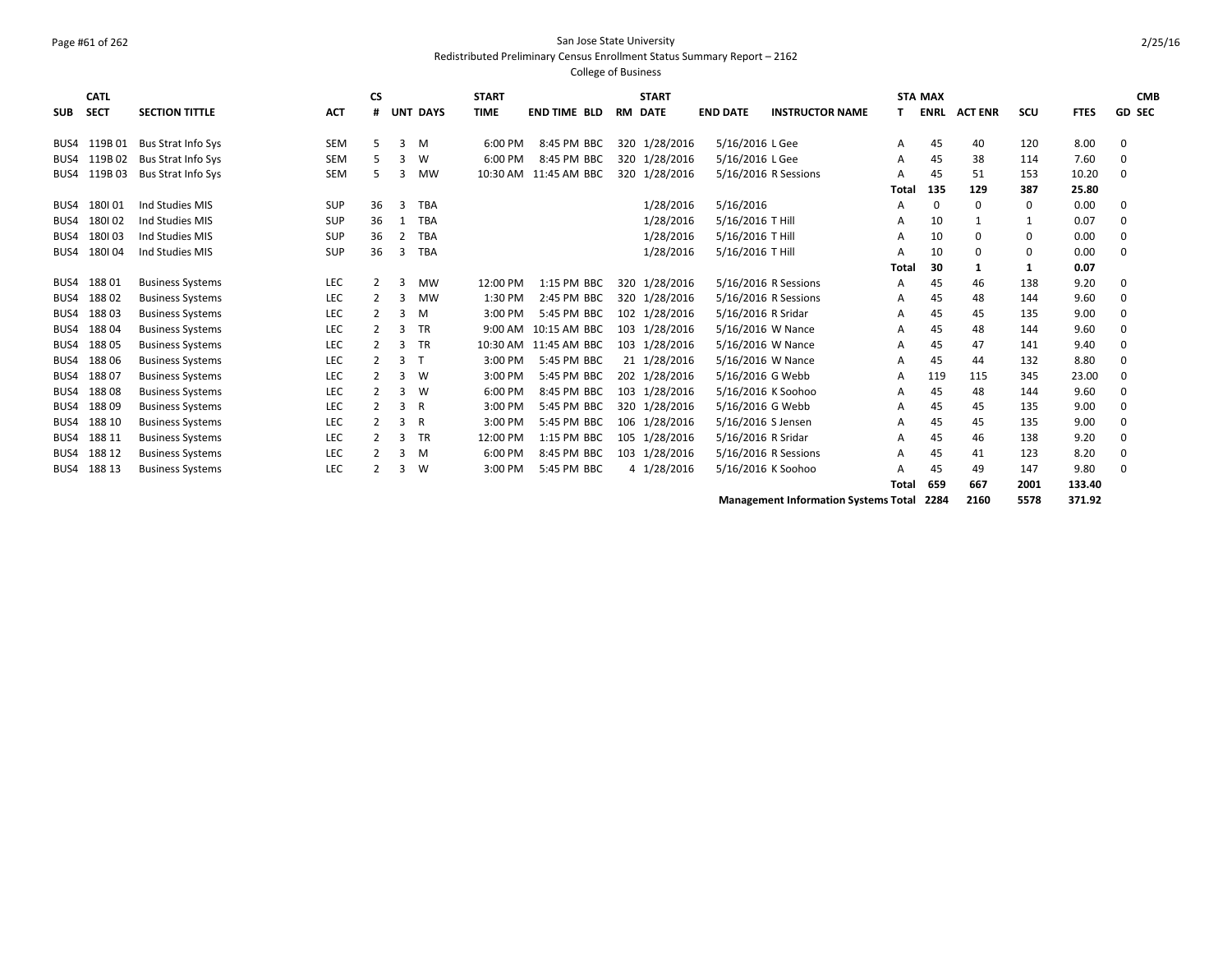# Page #61 of 262 San Jose State University

Redistributed Preliminary Census Enrollment Status Summary Report – 2162 College of Business

|            | <b>CATL</b> |                           |            | <b>CS</b>     |   |                 | <b>START</b> |                     |    | <b>START</b>  |                      |                        |       | <b>STA MAX</b> |                |             |             | <b>CMB</b>    |
|------------|-------------|---------------------------|------------|---------------|---|-----------------|--------------|---------------------|----|---------------|----------------------|------------------------|-------|----------------|----------------|-------------|-------------|---------------|
| <b>SUB</b> | <b>SECT</b> | <b>SECTION TITTLE</b>     | <b>ACT</b> | #             |   | <b>UNT DAYS</b> | <b>TIME</b>  | <b>END TIME BLD</b> | RM | <b>DATE</b>   | <b>END DATE</b>      | <b>INSTRUCTOR NAME</b> | Τ.    | <b>ENRL</b>    | <b>ACT ENR</b> | scu         | <b>FTES</b> | <b>GD SEC</b> |
| BUS4       | 119B01      | Bus Strat Info Sys        | <b>SEM</b> |               | 3 | M               | 6:00 PM      | 8:45 PM BBC         |    | 320 1/28/2016 | 5/16/2016 L Gee      |                        | Α     | 45             | 40             | 120         | 8.00        | 0             |
| BUS4       | 119B02      | <b>Bus Strat Info Sys</b> | <b>SEM</b> |               | 3 | W               | 6:00 PM      | 8:45 PM BBC         |    | 320 1/28/2016 | 5/16/2016 L Gee      |                        | A     | 45             | 38             | 114         | 7.60        | $\Omega$      |
| BUS4       | 119B03      | <b>Bus Strat Info Sys</b> | <b>SEM</b> |               | 3 | <b>MW</b>       | 10:30 AM     | 11:45 AM BBC        |    | 320 1/28/2016 | 5/16/2016 R Sessions |                        | А     | 45             | 51             | 153         | 10.20       | $\Omega$      |
|            |             |                           |            |               |   |                 |              |                     |    |               |                      |                        | Total | 135            | 129            | 387         | 25.80       |               |
| BUS4       | 180101      | Ind Studies MIS           | SUP        | 36            | 3 | TBA             |              |                     |    | 1/28/2016     | 5/16/2016            |                        | A     | 0              | 0              | 0           | 0.00        | $\Omega$      |
| BUS4       | 180102      | Ind Studies MIS           | <b>SUP</b> | 36            | 1 | <b>TBA</b>      |              |                     |    | 1/28/2016     | 5/16/2016 T Hill     |                        | A     | 10             | 1              | 1           | 0.07        | $\Omega$      |
| BUS4       | 180103      | Ind Studies MIS           | SUP        | 36            | 2 | <b>TBA</b>      |              |                     |    | 1/28/2016     | 5/16/2016 T Hill     |                        | A     | 10             | 0              | $\Omega$    | 0.00        | $\Omega$      |
| BUS4       | 180104      | Ind Studies MIS           | <b>SUP</b> | 36            | 3 | <b>TBA</b>      |              |                     |    | 1/28/2016     | 5/16/2016 T Hill     |                        | А     | 10             | 0              | $\mathbf 0$ | 0.00        | $\Omega$      |
|            |             |                           |            |               |   |                 |              |                     |    |               |                      |                        | Total | 30             | 1              | 1           | 0.07        |               |
| BUS4       | 18801       | <b>Business Systems</b>   | <b>LEC</b> | 2             | 3 | <b>MW</b>       | 12:00 PM     | 1:15 PM BBC         |    | 320 1/28/2016 | 5/16/2016 R Sessions |                        | A     | 45             | 46             | 138         | 9.20        | $\Omega$      |
| BUS4       | 18802       | <b>Business Systems</b>   | <b>LEC</b> |               | 3 | <b>MW</b>       | 1:30 PM      | 2:45 PM BBC         |    | 320 1/28/2016 | 5/16/2016 R Sessions |                        | А     | 45             | 48             | 144         | 9.60        | 0             |
| BUS4       | 18803       | <b>Business Systems</b>   | <b>LEC</b> | $\mathcal{P}$ | 3 | M               | 3:00 PM      | 5:45 PM BBC         |    | 102 1/28/2016 | 5/16/2016 R Sridar   |                        | А     | 45             | 45             | 135         | 9.00        | $\Omega$      |
| BUS4       | 18804       | <b>Business Systems</b>   | <b>LEC</b> |               | 3 | TR              | $9:00$ AM    | 10:15 AM BBC        |    | 103 1/28/2016 | 5/16/2016 W Nance    |                        | A     | 45             | 48             | 144         | 9.60        | $\Omega$      |
| BUS4       | 18805       | <b>Business Systems</b>   | <b>LEC</b> |               | 3 | TR              | 10:30 AM     | 11:45 AM BBC        |    | 103 1/28/2016 | 5/16/2016 W Nance    |                        | A     | 45             | 47             | 141         | 9.40        | 0             |
| BUS4       | 18806       | <b>Business Systems</b>   | LEC        | 2             | 3 |                 | 3:00 PM      | 5:45 PM BBC         |    | 21 1/28/2016  | 5/16/2016 W Nance    |                        | A     | 45             | 44             | 132         | 8.80        | 0             |
| BUS4       | 18807       | <b>Business Systems</b>   | <b>LEC</b> |               | 3 | W               | 3:00 PM      | 5:45 PM BBC         |    | 202 1/28/2016 | 5/16/2016 G Webb     |                        | A     | 119            | 115            | 345         | 23.00       | 0             |
| BUS4       | 18808       | <b>Business Systems</b>   | <b>LEC</b> |               | 3 | W               | 6:00 PM      | 8:45 PM BBC         |    | 103 1/28/2016 | 5/16/2016 K Soohoo   |                        | А     | 45             | 48             | 144         | 9.60        | $\Omega$      |
| BUS4       | 18809       | <b>Business Systems</b>   | <b>LEC</b> |               | 3 | R               | 3:00 PM      | 5:45 PM BBC         |    | 320 1/28/2016 | 5/16/2016 G Webb     |                        | А     | 45             | 45             | 135         | 9.00        | $\Omega$      |
| BUS4       | 188 10      | <b>Business Systems</b>   | <b>LEC</b> |               | 3 | R               | 3:00 PM      | 5:45 PM BBC         |    | 106 1/28/2016 | 5/16/2016 S Jensen   |                        | Α     | 45             | 45             | 135         | 9.00        | $\Omega$      |
| BUS4       | 188 11      | <b>Business Systems</b>   | <b>LEC</b> |               | 3 | <b>TR</b>       | 12:00 PM     | 1:15 PM BBC         |    | 105 1/28/2016 | 5/16/2016 R Sridar   |                        | A     | 45             | 46             | 138         | 9.20        | $\Omega$      |
| BUS4       | 188 12      | <b>Business Systems</b>   | <b>LEC</b> |               | 3 | M               | 6:00 PM      | 8:45 PM BBC         |    | 103 1/28/2016 | 5/16/2016 R Sessions |                        | А     | 45             | 41             | 123         | 8.20        | 0             |
| BUS4       | 188 13      | <b>Business Systems</b>   | LEC        |               | 3 | W               | 3:00 PM      | 5:45 PM BBC         |    | 4 1/28/2016   | 5/16/2016 K Soohoo   |                        | А     | 45             | 49             | 147         | 9.80        | $\Omega$      |
|            |             |                           |            |               |   |                 |              |                     |    |               |                      |                        | Total | 659            | 667            | 2001        | 133.40      |               |

**Management Information Systems Total 2284 2160 5578 371.92**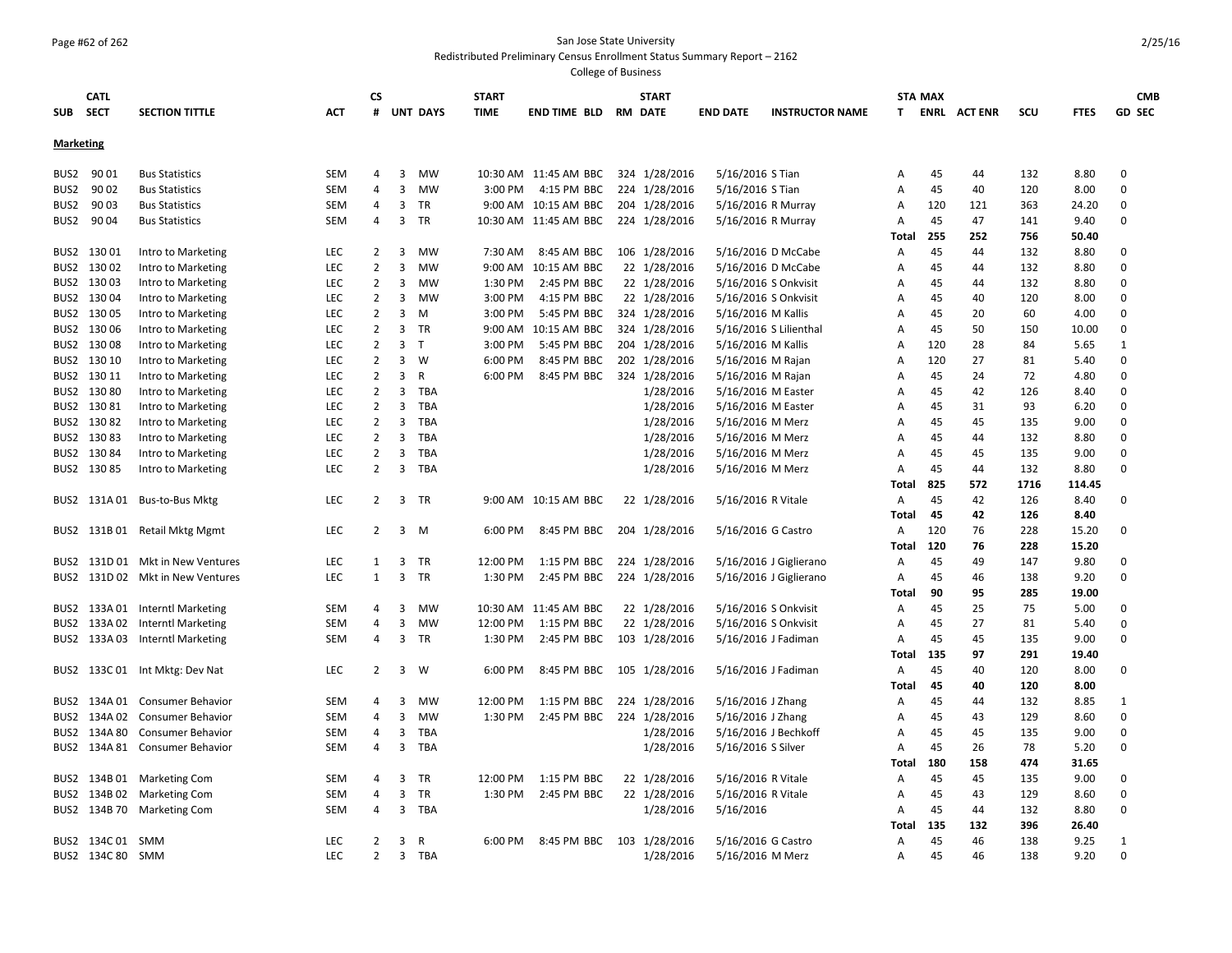## Page #62 of 262 San Jose State University

#### Redistributed Preliminary Census Enrollment Status Summary Report – 2162

| <b>Marketing</b><br>90 01<br><b>SEM</b><br>3<br><b>MW</b><br>10:30 AM 11:45 AM BBC<br>324 1/28/2016<br>5/16/2016 S Tian<br>45<br>132<br>8.80<br>$\mathbf 0$<br>BUS2<br><b>Bus Statistics</b><br>4<br>44<br>А<br>90 02<br><b>SEM</b><br>4<br>3<br>MW<br>3:00 PM<br>4:15 PM BBC<br>224 1/28/2016<br>5/16/2016 S Tian<br>45<br>120<br>$\mathbf 0$<br>BUS <sub>2</sub><br><b>Bus Statistics</b><br>40<br>8.00<br>А<br>90 03<br>4<br>3<br><b>TR</b><br>9:00 AM 10:15 AM BBC<br>204 1/28/2016<br>120<br>121<br><b>Bus Statistics</b><br><b>SEM</b><br>5/16/2016 R Murray<br>363<br>24.20<br>0<br>BUS <sub>2</sub><br>Α<br>3<br>BUS <sub>2</sub><br>90 04<br><b>Bus Statistics</b><br><b>SEM</b><br>4<br>TR<br>10:30 AM 11:45 AM BBC<br>224 1/28/2016<br>5/16/2016 R Murray<br>45<br>47<br>141<br>9.40<br>$\mathbf 0$<br>Α<br>255<br>252<br>756<br>50.40<br>Total<br>13001<br>Intro to Marketing<br><b>LEC</b><br>2<br>3<br><b>MW</b><br>7:30 AM<br>8:45 AM BBC<br>106 1/28/2016<br>5/16/2016 D McCabe<br>45<br>44<br>132<br>BUS2<br>A<br>8.80<br>0<br>$\overline{2}$<br>13002<br>Intro to Marketing<br><b>LEC</b><br>3<br><b>MW</b><br>$9:00$ AM<br>10:15 AM BBC<br>22 1/28/2016<br>5/16/2016 D McCabe<br>45<br>132<br>8.80<br>$\Omega$<br>BUS2<br>A<br>44<br>$\overline{2}$<br>3<br><b>MW</b><br>22 1/28/2016<br>45<br>132<br>BUS2<br>13003<br>Intro to Marketing<br><b>LEC</b><br>1:30 PM<br>2:45 PM BBC<br>5/16/2016 S Onkvisit<br>A<br>44<br>8.80<br>0<br>$\overline{2}$<br>BUS2 130 04<br>22 1/28/2016<br>5/16/2016 S Onkvisit<br>45<br>Intro to Marketing<br><b>LEC</b><br>3<br>MW<br>3:00 PM<br>4:15 PM BBC<br>40<br>120<br>8.00<br>0<br>A<br>$\overline{2}$<br>3<br>324 1/28/2016<br>5/16/2016 M Kallis<br>45<br>BUS2<br>13005<br>Intro to Marketing<br><b>LEC</b><br>M<br>3:00 PM<br>5:45 PM BBC<br>A<br>20<br>60<br>4.00<br>0<br>$\overline{2}$<br>130 06<br>324 1/28/2016<br>5/16/2016 S Lilienthal<br>45<br>50<br>$\mathbf 0$<br>Intro to Marketing<br><b>LEC</b><br>3<br><b>TR</b><br>9:00 AM<br>10:15 AM BBC<br>150<br>10.00<br>BUS2<br>A<br>$\overline{2}$<br>3<br>T<br>204 1/28/2016<br>13008<br>Intro to Marketing<br><b>LEC</b><br>3:00 PM<br>5:45 PM BBC<br>5/16/2016 M Kallis<br>120<br>28<br>84<br>5.65<br>BUS2<br>A<br>1<br>$\overline{2}$<br>3<br>202 1/28/2016<br>27<br>0<br>130 10<br><b>LEC</b><br>W<br>6:00 PM<br>8:45 PM BBC<br>5/16/2016 M Rajan<br>120<br>81<br>BUS2<br>Intro to Marketing<br>Α<br>5.40<br>$\overline{2}$<br>3<br>$\mathsf{R}$<br>130 11<br>LEC<br>6:00 PM<br>8:45 PM BBC<br>324 1/28/2016<br>5/16/2016 M Rajan<br>45<br>24<br>72<br>4.80<br>0<br>BUS2<br>Intro to Marketing<br>Α<br>$\overline{2}$<br>TBA<br>13080<br><b>LEC</b><br>3<br>1/28/2016<br>5/16/2016 M Easter<br>45<br>42<br>126<br>0<br>BUS2<br>Intro to Marketing<br>A<br>8.40<br>13081<br><b>LEC</b><br>2<br>3<br>TBA<br>1/28/2016<br>5/16/2016 M Easter<br>45<br>31<br>93<br>0<br>BUS2<br>Intro to Marketing<br>Α<br>6.20<br>13082<br><b>LEC</b><br>2<br>3<br><b>TBA</b><br>1/28/2016<br>45<br>135<br>0<br>BUS2<br>Intro to Marketing<br>5/16/2016 M Merz<br>A<br>45<br>9.00<br>LEC<br>$\overline{2}$<br>3<br><b>TBA</b><br>1/28/2016<br>45<br>132<br>$\mathbf 0$<br>BUS2<br>13083<br>Intro to Marketing<br>5/16/2016 M Merz<br>Α<br>44<br>8.80<br>13084<br>LEC<br>$\overline{2}$<br>3<br>TBA<br>1/28/2016<br>45<br>135<br>$\mathbf 0$<br>BUS2<br>Intro to Marketing<br>5/16/2016 M Merz<br>Α<br>45<br>9.00<br>$\overline{2}$<br>45<br>$\Omega$<br>BUS2 130 85<br><b>LEC</b><br>3<br>TBA<br>1/28/2016<br>5/16/2016 M Merz<br>Α<br>44<br>132<br>8.80<br>Intro to Marketing<br><b>Total</b><br>825<br>572<br>1716<br>114.45<br>45<br>BUS2 131A 01 Bus-to-Bus Mktg<br>2<br>TR<br>9:00 AM 10:15 AM BBC<br>22 1/28/2016<br>5/16/2016 R Vitale<br>42<br>126<br><b>LEC</b><br>3<br>A<br>8.40<br>$\Omega$<br>45<br>42<br>126<br>Total<br>8.40<br>131B 01 Retail Mktg Mgmt<br><b>LEC</b><br>2<br>3<br>6:00 PM<br>8:45 PM BBC<br>204 1/28/2016<br>120<br>76<br>228<br>15.20<br>0<br>M<br>5/16/2016 G Castro<br>$\mathsf{A}$<br>BUS2<br>120<br>76<br>228<br>15.20<br>Total<br>LEC<br>3<br><b>TR</b><br>12:00 PM<br>45<br>49<br>131D 01 Mkt in New Ventures<br>1:15 PM BBC<br>224 1/28/2016<br>5/16/2016 J Giglierano<br>Α<br>147<br>9.80<br>0<br>BUS2<br>1<br>131D 02 Mkt in New Ventures<br>LEC<br>$\mathbf{1}$<br>3<br><b>TR</b><br>1:30 PM<br>2:45 PM BBC<br>224 1/28/2016<br>45<br>138<br>BUS2<br>5/16/2016 J Giglierano<br>Α<br>46<br>9.20<br>0<br>90<br>95<br>285<br>19.00<br>Total<br>MW<br>25<br>75<br>BUS2<br>133A 01 Interntl Marketing<br><b>SEM</b><br>4<br>3<br>10:30 AM 11:45 AM BBC<br>22 1/28/2016<br>5/16/2016 S Onkvisit<br>Α<br>45<br>5.00<br>0<br>3<br>27<br>133A 02 Interntl Marketing<br><b>SEM</b><br>4<br>MW<br>12:00 PM<br>1:15 PM BBC<br>22 1/28/2016<br>5/16/2016 S Onkvisit<br>45<br>81<br>5.40<br>0<br>BUS2<br>Α<br>BUS2 133A 03 Interntl Marketing<br><b>SEM</b><br>4<br>3<br><b>TR</b><br>1:30 PM<br>2:45 PM BBC<br>103 1/28/2016<br>5/16/2016 J Fadiman<br>45<br>45<br>135<br>9.00<br>$\Omega$<br>A<br>135<br>97<br>291<br>19.40<br>Total<br>BUS2 133C 01 Int Mktg: Dev Nat<br>6:00 PM<br>105 1/28/2016<br>45<br>40<br><b>LEC</b><br>2<br>3<br>W<br>8:45 PM BBC<br>5/16/2016 J Fadiman<br>$\mathsf{A}$<br>120<br>8.00<br>0<br>45<br>Total<br>40<br>120<br>8.00<br>132<br>134A 01 Consumer Behavior<br><b>SEM</b><br>4<br>3<br>MW<br>12:00 PM<br>1:15 PM BBC<br>224 1/28/2016<br>5/16/2016 J Zhang<br>45<br>8.85<br>BUS2<br>A<br>44<br>1<br>3<br>1:30 PM<br>224 1/28/2016<br>5/16/2016 J Zhang<br>$\mathbf 0$<br>134A 02 Consumer Behavior<br><b>SEM</b><br>4<br><b>MW</b><br>2:45 PM BBC<br>45<br>43<br>129<br>8.60<br>BUS2<br>A<br>1/28/2016<br>5/16/2016 J Bechkoff<br>45<br>134A 80<br><b>SEM</b><br>4<br>3<br><b>TBA</b><br>45<br>135<br>9.00<br>0<br>BUS2<br>Consumer Behavior<br>Α<br>3<br>1/28/2016<br>45<br>134A 81 Consumer Behavior<br><b>SEM</b><br>4<br><b>TBA</b><br>5/16/2016 S Silver<br>26<br>78<br>5.20<br>0<br>BUS2<br>A<br>180<br>158<br>474<br>31.65<br>Total<br>134B 01 Marketing Com<br><b>SEM</b><br>3<br>TR<br>12:00 PM<br>1:15 PM BBC<br>22 1/28/2016<br>5/16/2016 R Vitale<br>45<br>45<br>135<br>9.00<br>0<br>BUS2<br>4<br>Α<br>134B 02 Marketing Com<br><b>SEM</b><br>4<br>3<br>TR<br>1:30 PM<br>2:45 PM BBC<br>22 1/28/2016<br>5/16/2016 R Vitale<br>45<br>43<br>129<br>$\mathbf 0$<br>BUS2<br>Α<br>8.60<br>134B 70 Marketing Com<br>3<br>TBA<br>1/28/2016<br>5/16/2016<br>45<br>0<br>BUS2<br><b>SEM</b><br>4<br>44<br>132<br>8.80<br>A<br>132<br>396<br>Total<br>135<br>26.40<br>BUS2 134C 01 SMM<br>45<br>46<br>138<br>9.25<br><b>LEC</b><br>2<br>3<br>R<br>6:00 PM<br>8:45 PM BBC<br>103 1/28/2016<br>5/16/2016 G Castro<br>A<br>1<br>$\overline{2}$<br>$\Omega$<br>LEC<br><b>TBA</b><br>1/28/2016<br>45<br>BUS2 134C 80<br>SMM<br>3<br>5/16/2016 M Merz<br>46<br>138<br>9.20<br>A | <b>SUB</b> | <b>CATL</b><br><b>SECT</b> | <b>SECTION TITTLE</b> | <b>ACT</b> | <b>CS</b><br># | <b>UNT DAYS</b> | <b>START</b><br><b>TIME</b> | END TIME BLD | <b>START</b><br><b>RM DATE</b> | <b>END DATE</b> | <b>INSTRUCTOR NAME</b> | T. | <b>STA MAX</b> | <b>ENRL ACTENR</b> | scu | <b>FTES</b> | <b>CMB</b><br><b>GD SEC</b> |
|------------------------------------------------------------------------------------------------------------------------------------------------------------------------------------------------------------------------------------------------------------------------------------------------------------------------------------------------------------------------------------------------------------------------------------------------------------------------------------------------------------------------------------------------------------------------------------------------------------------------------------------------------------------------------------------------------------------------------------------------------------------------------------------------------------------------------------------------------------------------------------------------------------------------------------------------------------------------------------------------------------------------------------------------------------------------------------------------------------------------------------------------------------------------------------------------------------------------------------------------------------------------------------------------------------------------------------------------------------------------------------------------------------------------------------------------------------------------------------------------------------------------------------------------------------------------------------------------------------------------------------------------------------------------------------------------------------------------------------------------------------------------------------------------------------------------------------------------------------------------------------------------------------------------------------------------------------------------------------------------------------------------------------------------------------------------------------------------------------------------------------------------------------------------------------------------------------------------------------------------------------------------------------------------------------------------------------------------------------------------------------------------------------------------------------------------------------------------------------------------------------------------------------------------------------------------------------------------------------------------------------------------------------------------------------------------------------------------------------------------------------------------------------------------------------------------------------------------------------------------------------------------------------------------------------------------------------------------------------------------------------------------------------------------------------------------------------------------------------------------------------------------------------------------------------------------------------------------------------------------------------------------------------------------------------------------------------------------------------------------------------------------------------------------------------------------------------------------------------------------------------------------------------------------------------------------------------------------------------------------------------------------------------------------------------------------------------------------------------------------------------------------------------------------------------------------------------------------------------------------------------------------------------------------------------------------------------------------------------------------------------------------------------------------------------------------------------------------------------------------------------------------------------------------------------------------------------------------------------------------------------------------------------------------------------------------------------------------------------------------------------------------------------------------------------------------------------------------------------------------------------------------------------------------------------------------------------------------------------------------------------------------------------------------------------------------------------------------------------------------------------------------------------------------------------------------------------------------------------------------------------------------------------------------------------------------------------------------------------------------------------------------------------------------------------------------------------------------------------------------------------------------------------------------------------------------------------------------------------------------------------------------------------------------------------------------------------------------------------------------------------------------------------------------------------------------------------------------------------------------------------------------------------------------------------------------------------------------------------------------------------------------------------------------------------------------------------------------------------------------------------------------------------------------------------------------------------------------------------------------------------------------------------------------------------------------------------------------------------------------------------------------------------------------------------------------------------------------------------------------------------------------------------------------------------------------------------------------------------------------------------------------------------------------------------------------------------------------------------------------------------------------------------------------------------------------------------------------------------------------------------------------------------------------------------------------------------------------------------------------------------------------------------------------------------------------------------------------------------------------------------------------------------------------------------------------------------------------|------------|----------------------------|-----------------------|------------|----------------|-----------------|-----------------------------|--------------|--------------------------------|-----------------|------------------------|----|----------------|--------------------|-----|-------------|-----------------------------|
|                                                                                                                                                                                                                                                                                                                                                                                                                                                                                                                                                                                                                                                                                                                                                                                                                                                                                                                                                                                                                                                                                                                                                                                                                                                                                                                                                                                                                                                                                                                                                                                                                                                                                                                                                                                                                                                                                                                                                                                                                                                                                                                                                                                                                                                                                                                                                                                                                                                                                                                                                                                                                                                                                                                                                                                                                                                                                                                                                                                                                                                                                                                                                                                                                                                                                                                                                                                                                                                                                                                                                                                                                                                                                                                                                                                                                                                                                                                                                                                                                                                                                                                                                                                                                                                                                                                                                                                                                                                                                                                                                                                                                                                                                                                                                                                                                                                                                                                                                                                                                                                                                                                                                                                                                                                                                                                                                                                                                                                                                                                                                                                                                                                                                                                                                                                                                                                                                                                                                                                                                                                                                                                                                                                                                                                                                                                                                                                                                                                                                                                                                                                                                                                                                                                                                                                                                                                |            |                            |                       |            |                |                 |                             |              |                                |                 |                        |    |                |                    |     |             |                             |
|                                                                                                                                                                                                                                                                                                                                                                                                                                                                                                                                                                                                                                                                                                                                                                                                                                                                                                                                                                                                                                                                                                                                                                                                                                                                                                                                                                                                                                                                                                                                                                                                                                                                                                                                                                                                                                                                                                                                                                                                                                                                                                                                                                                                                                                                                                                                                                                                                                                                                                                                                                                                                                                                                                                                                                                                                                                                                                                                                                                                                                                                                                                                                                                                                                                                                                                                                                                                                                                                                                                                                                                                                                                                                                                                                                                                                                                                                                                                                                                                                                                                                                                                                                                                                                                                                                                                                                                                                                                                                                                                                                                                                                                                                                                                                                                                                                                                                                                                                                                                                                                                                                                                                                                                                                                                                                                                                                                                                                                                                                                                                                                                                                                                                                                                                                                                                                                                                                                                                                                                                                                                                                                                                                                                                                                                                                                                                                                                                                                                                                                                                                                                                                                                                                                                                                                                                                                |            |                            |                       |            |                |                 |                             |              |                                |                 |                        |    |                |                    |     |             |                             |
|                                                                                                                                                                                                                                                                                                                                                                                                                                                                                                                                                                                                                                                                                                                                                                                                                                                                                                                                                                                                                                                                                                                                                                                                                                                                                                                                                                                                                                                                                                                                                                                                                                                                                                                                                                                                                                                                                                                                                                                                                                                                                                                                                                                                                                                                                                                                                                                                                                                                                                                                                                                                                                                                                                                                                                                                                                                                                                                                                                                                                                                                                                                                                                                                                                                                                                                                                                                                                                                                                                                                                                                                                                                                                                                                                                                                                                                                                                                                                                                                                                                                                                                                                                                                                                                                                                                                                                                                                                                                                                                                                                                                                                                                                                                                                                                                                                                                                                                                                                                                                                                                                                                                                                                                                                                                                                                                                                                                                                                                                                                                                                                                                                                                                                                                                                                                                                                                                                                                                                                                                                                                                                                                                                                                                                                                                                                                                                                                                                                                                                                                                                                                                                                                                                                                                                                                                                                |            |                            |                       |            |                |                 |                             |              |                                |                 |                        |    |                |                    |     |             |                             |
|                                                                                                                                                                                                                                                                                                                                                                                                                                                                                                                                                                                                                                                                                                                                                                                                                                                                                                                                                                                                                                                                                                                                                                                                                                                                                                                                                                                                                                                                                                                                                                                                                                                                                                                                                                                                                                                                                                                                                                                                                                                                                                                                                                                                                                                                                                                                                                                                                                                                                                                                                                                                                                                                                                                                                                                                                                                                                                                                                                                                                                                                                                                                                                                                                                                                                                                                                                                                                                                                                                                                                                                                                                                                                                                                                                                                                                                                                                                                                                                                                                                                                                                                                                                                                                                                                                                                                                                                                                                                                                                                                                                                                                                                                                                                                                                                                                                                                                                                                                                                                                                                                                                                                                                                                                                                                                                                                                                                                                                                                                                                                                                                                                                                                                                                                                                                                                                                                                                                                                                                                                                                                                                                                                                                                                                                                                                                                                                                                                                                                                                                                                                                                                                                                                                                                                                                                                                |            |                            |                       |            |                |                 |                             |              |                                |                 |                        |    |                |                    |     |             |                             |
|                                                                                                                                                                                                                                                                                                                                                                                                                                                                                                                                                                                                                                                                                                                                                                                                                                                                                                                                                                                                                                                                                                                                                                                                                                                                                                                                                                                                                                                                                                                                                                                                                                                                                                                                                                                                                                                                                                                                                                                                                                                                                                                                                                                                                                                                                                                                                                                                                                                                                                                                                                                                                                                                                                                                                                                                                                                                                                                                                                                                                                                                                                                                                                                                                                                                                                                                                                                                                                                                                                                                                                                                                                                                                                                                                                                                                                                                                                                                                                                                                                                                                                                                                                                                                                                                                                                                                                                                                                                                                                                                                                                                                                                                                                                                                                                                                                                                                                                                                                                                                                                                                                                                                                                                                                                                                                                                                                                                                                                                                                                                                                                                                                                                                                                                                                                                                                                                                                                                                                                                                                                                                                                                                                                                                                                                                                                                                                                                                                                                                                                                                                                                                                                                                                                                                                                                                                                |            |                            |                       |            |                |                 |                             |              |                                |                 |                        |    |                |                    |     |             |                             |
|                                                                                                                                                                                                                                                                                                                                                                                                                                                                                                                                                                                                                                                                                                                                                                                                                                                                                                                                                                                                                                                                                                                                                                                                                                                                                                                                                                                                                                                                                                                                                                                                                                                                                                                                                                                                                                                                                                                                                                                                                                                                                                                                                                                                                                                                                                                                                                                                                                                                                                                                                                                                                                                                                                                                                                                                                                                                                                                                                                                                                                                                                                                                                                                                                                                                                                                                                                                                                                                                                                                                                                                                                                                                                                                                                                                                                                                                                                                                                                                                                                                                                                                                                                                                                                                                                                                                                                                                                                                                                                                                                                                                                                                                                                                                                                                                                                                                                                                                                                                                                                                                                                                                                                                                                                                                                                                                                                                                                                                                                                                                                                                                                                                                                                                                                                                                                                                                                                                                                                                                                                                                                                                                                                                                                                                                                                                                                                                                                                                                                                                                                                                                                                                                                                                                                                                                                                                |            |                            |                       |            |                |                 |                             |              |                                |                 |                        |    |                |                    |     |             |                             |
|                                                                                                                                                                                                                                                                                                                                                                                                                                                                                                                                                                                                                                                                                                                                                                                                                                                                                                                                                                                                                                                                                                                                                                                                                                                                                                                                                                                                                                                                                                                                                                                                                                                                                                                                                                                                                                                                                                                                                                                                                                                                                                                                                                                                                                                                                                                                                                                                                                                                                                                                                                                                                                                                                                                                                                                                                                                                                                                                                                                                                                                                                                                                                                                                                                                                                                                                                                                                                                                                                                                                                                                                                                                                                                                                                                                                                                                                                                                                                                                                                                                                                                                                                                                                                                                                                                                                                                                                                                                                                                                                                                                                                                                                                                                                                                                                                                                                                                                                                                                                                                                                                                                                                                                                                                                                                                                                                                                                                                                                                                                                                                                                                                                                                                                                                                                                                                                                                                                                                                                                                                                                                                                                                                                                                                                                                                                                                                                                                                                                                                                                                                                                                                                                                                                                                                                                                                                |            |                            |                       |            |                |                 |                             |              |                                |                 |                        |    |                |                    |     |             |                             |
|                                                                                                                                                                                                                                                                                                                                                                                                                                                                                                                                                                                                                                                                                                                                                                                                                                                                                                                                                                                                                                                                                                                                                                                                                                                                                                                                                                                                                                                                                                                                                                                                                                                                                                                                                                                                                                                                                                                                                                                                                                                                                                                                                                                                                                                                                                                                                                                                                                                                                                                                                                                                                                                                                                                                                                                                                                                                                                                                                                                                                                                                                                                                                                                                                                                                                                                                                                                                                                                                                                                                                                                                                                                                                                                                                                                                                                                                                                                                                                                                                                                                                                                                                                                                                                                                                                                                                                                                                                                                                                                                                                                                                                                                                                                                                                                                                                                                                                                                                                                                                                                                                                                                                                                                                                                                                                                                                                                                                                                                                                                                                                                                                                                                                                                                                                                                                                                                                                                                                                                                                                                                                                                                                                                                                                                                                                                                                                                                                                                                                                                                                                                                                                                                                                                                                                                                                                                |            |                            |                       |            |                |                 |                             |              |                                |                 |                        |    |                |                    |     |             |                             |
|                                                                                                                                                                                                                                                                                                                                                                                                                                                                                                                                                                                                                                                                                                                                                                                                                                                                                                                                                                                                                                                                                                                                                                                                                                                                                                                                                                                                                                                                                                                                                                                                                                                                                                                                                                                                                                                                                                                                                                                                                                                                                                                                                                                                                                                                                                                                                                                                                                                                                                                                                                                                                                                                                                                                                                                                                                                                                                                                                                                                                                                                                                                                                                                                                                                                                                                                                                                                                                                                                                                                                                                                                                                                                                                                                                                                                                                                                                                                                                                                                                                                                                                                                                                                                                                                                                                                                                                                                                                                                                                                                                                                                                                                                                                                                                                                                                                                                                                                                                                                                                                                                                                                                                                                                                                                                                                                                                                                                                                                                                                                                                                                                                                                                                                                                                                                                                                                                                                                                                                                                                                                                                                                                                                                                                                                                                                                                                                                                                                                                                                                                                                                                                                                                                                                                                                                                                                |            |                            |                       |            |                |                 |                             |              |                                |                 |                        |    |                |                    |     |             |                             |
|                                                                                                                                                                                                                                                                                                                                                                                                                                                                                                                                                                                                                                                                                                                                                                                                                                                                                                                                                                                                                                                                                                                                                                                                                                                                                                                                                                                                                                                                                                                                                                                                                                                                                                                                                                                                                                                                                                                                                                                                                                                                                                                                                                                                                                                                                                                                                                                                                                                                                                                                                                                                                                                                                                                                                                                                                                                                                                                                                                                                                                                                                                                                                                                                                                                                                                                                                                                                                                                                                                                                                                                                                                                                                                                                                                                                                                                                                                                                                                                                                                                                                                                                                                                                                                                                                                                                                                                                                                                                                                                                                                                                                                                                                                                                                                                                                                                                                                                                                                                                                                                                                                                                                                                                                                                                                                                                                                                                                                                                                                                                                                                                                                                                                                                                                                                                                                                                                                                                                                                                                                                                                                                                                                                                                                                                                                                                                                                                                                                                                                                                                                                                                                                                                                                                                                                                                                                |            |                            |                       |            |                |                 |                             |              |                                |                 |                        |    |                |                    |     |             |                             |
|                                                                                                                                                                                                                                                                                                                                                                                                                                                                                                                                                                                                                                                                                                                                                                                                                                                                                                                                                                                                                                                                                                                                                                                                                                                                                                                                                                                                                                                                                                                                                                                                                                                                                                                                                                                                                                                                                                                                                                                                                                                                                                                                                                                                                                                                                                                                                                                                                                                                                                                                                                                                                                                                                                                                                                                                                                                                                                                                                                                                                                                                                                                                                                                                                                                                                                                                                                                                                                                                                                                                                                                                                                                                                                                                                                                                                                                                                                                                                                                                                                                                                                                                                                                                                                                                                                                                                                                                                                                                                                                                                                                                                                                                                                                                                                                                                                                                                                                                                                                                                                                                                                                                                                                                                                                                                                                                                                                                                                                                                                                                                                                                                                                                                                                                                                                                                                                                                                                                                                                                                                                                                                                                                                                                                                                                                                                                                                                                                                                                                                                                                                                                                                                                                                                                                                                                                                                |            |                            |                       |            |                |                 |                             |              |                                |                 |                        |    |                |                    |     |             |                             |
|                                                                                                                                                                                                                                                                                                                                                                                                                                                                                                                                                                                                                                                                                                                                                                                                                                                                                                                                                                                                                                                                                                                                                                                                                                                                                                                                                                                                                                                                                                                                                                                                                                                                                                                                                                                                                                                                                                                                                                                                                                                                                                                                                                                                                                                                                                                                                                                                                                                                                                                                                                                                                                                                                                                                                                                                                                                                                                                                                                                                                                                                                                                                                                                                                                                                                                                                                                                                                                                                                                                                                                                                                                                                                                                                                                                                                                                                                                                                                                                                                                                                                                                                                                                                                                                                                                                                                                                                                                                                                                                                                                                                                                                                                                                                                                                                                                                                                                                                                                                                                                                                                                                                                                                                                                                                                                                                                                                                                                                                                                                                                                                                                                                                                                                                                                                                                                                                                                                                                                                                                                                                                                                                                                                                                                                                                                                                                                                                                                                                                                                                                                                                                                                                                                                                                                                                                                                |            |                            |                       |            |                |                 |                             |              |                                |                 |                        |    |                |                    |     |             |                             |
|                                                                                                                                                                                                                                                                                                                                                                                                                                                                                                                                                                                                                                                                                                                                                                                                                                                                                                                                                                                                                                                                                                                                                                                                                                                                                                                                                                                                                                                                                                                                                                                                                                                                                                                                                                                                                                                                                                                                                                                                                                                                                                                                                                                                                                                                                                                                                                                                                                                                                                                                                                                                                                                                                                                                                                                                                                                                                                                                                                                                                                                                                                                                                                                                                                                                                                                                                                                                                                                                                                                                                                                                                                                                                                                                                                                                                                                                                                                                                                                                                                                                                                                                                                                                                                                                                                                                                                                                                                                                                                                                                                                                                                                                                                                                                                                                                                                                                                                                                                                                                                                                                                                                                                                                                                                                                                                                                                                                                                                                                                                                                                                                                                                                                                                                                                                                                                                                                                                                                                                                                                                                                                                                                                                                                                                                                                                                                                                                                                                                                                                                                                                                                                                                                                                                                                                                                                                |            |                            |                       |            |                |                 |                             |              |                                |                 |                        |    |                |                    |     |             |                             |
|                                                                                                                                                                                                                                                                                                                                                                                                                                                                                                                                                                                                                                                                                                                                                                                                                                                                                                                                                                                                                                                                                                                                                                                                                                                                                                                                                                                                                                                                                                                                                                                                                                                                                                                                                                                                                                                                                                                                                                                                                                                                                                                                                                                                                                                                                                                                                                                                                                                                                                                                                                                                                                                                                                                                                                                                                                                                                                                                                                                                                                                                                                                                                                                                                                                                                                                                                                                                                                                                                                                                                                                                                                                                                                                                                                                                                                                                                                                                                                                                                                                                                                                                                                                                                                                                                                                                                                                                                                                                                                                                                                                                                                                                                                                                                                                                                                                                                                                                                                                                                                                                                                                                                                                                                                                                                                                                                                                                                                                                                                                                                                                                                                                                                                                                                                                                                                                                                                                                                                                                                                                                                                                                                                                                                                                                                                                                                                                                                                                                                                                                                                                                                                                                                                                                                                                                                                                |            |                            |                       |            |                |                 |                             |              |                                |                 |                        |    |                |                    |     |             |                             |
|                                                                                                                                                                                                                                                                                                                                                                                                                                                                                                                                                                                                                                                                                                                                                                                                                                                                                                                                                                                                                                                                                                                                                                                                                                                                                                                                                                                                                                                                                                                                                                                                                                                                                                                                                                                                                                                                                                                                                                                                                                                                                                                                                                                                                                                                                                                                                                                                                                                                                                                                                                                                                                                                                                                                                                                                                                                                                                                                                                                                                                                                                                                                                                                                                                                                                                                                                                                                                                                                                                                                                                                                                                                                                                                                                                                                                                                                                                                                                                                                                                                                                                                                                                                                                                                                                                                                                                                                                                                                                                                                                                                                                                                                                                                                                                                                                                                                                                                                                                                                                                                                                                                                                                                                                                                                                                                                                                                                                                                                                                                                                                                                                                                                                                                                                                                                                                                                                                                                                                                                                                                                                                                                                                                                                                                                                                                                                                                                                                                                                                                                                                                                                                                                                                                                                                                                                                                |            |                            |                       |            |                |                 |                             |              |                                |                 |                        |    |                |                    |     |             |                             |
|                                                                                                                                                                                                                                                                                                                                                                                                                                                                                                                                                                                                                                                                                                                                                                                                                                                                                                                                                                                                                                                                                                                                                                                                                                                                                                                                                                                                                                                                                                                                                                                                                                                                                                                                                                                                                                                                                                                                                                                                                                                                                                                                                                                                                                                                                                                                                                                                                                                                                                                                                                                                                                                                                                                                                                                                                                                                                                                                                                                                                                                                                                                                                                                                                                                                                                                                                                                                                                                                                                                                                                                                                                                                                                                                                                                                                                                                                                                                                                                                                                                                                                                                                                                                                                                                                                                                                                                                                                                                                                                                                                                                                                                                                                                                                                                                                                                                                                                                                                                                                                                                                                                                                                                                                                                                                                                                                                                                                                                                                                                                                                                                                                                                                                                                                                                                                                                                                                                                                                                                                                                                                                                                                                                                                                                                                                                                                                                                                                                                                                                                                                                                                                                                                                                                                                                                                                                |            |                            |                       |            |                |                 |                             |              |                                |                 |                        |    |                |                    |     |             |                             |
|                                                                                                                                                                                                                                                                                                                                                                                                                                                                                                                                                                                                                                                                                                                                                                                                                                                                                                                                                                                                                                                                                                                                                                                                                                                                                                                                                                                                                                                                                                                                                                                                                                                                                                                                                                                                                                                                                                                                                                                                                                                                                                                                                                                                                                                                                                                                                                                                                                                                                                                                                                                                                                                                                                                                                                                                                                                                                                                                                                                                                                                                                                                                                                                                                                                                                                                                                                                                                                                                                                                                                                                                                                                                                                                                                                                                                                                                                                                                                                                                                                                                                                                                                                                                                                                                                                                                                                                                                                                                                                                                                                                                                                                                                                                                                                                                                                                                                                                                                                                                                                                                                                                                                                                                                                                                                                                                                                                                                                                                                                                                                                                                                                                                                                                                                                                                                                                                                                                                                                                                                                                                                                                                                                                                                                                                                                                                                                                                                                                                                                                                                                                                                                                                                                                                                                                                                                                |            |                            |                       |            |                |                 |                             |              |                                |                 |                        |    |                |                    |     |             |                             |
|                                                                                                                                                                                                                                                                                                                                                                                                                                                                                                                                                                                                                                                                                                                                                                                                                                                                                                                                                                                                                                                                                                                                                                                                                                                                                                                                                                                                                                                                                                                                                                                                                                                                                                                                                                                                                                                                                                                                                                                                                                                                                                                                                                                                                                                                                                                                                                                                                                                                                                                                                                                                                                                                                                                                                                                                                                                                                                                                                                                                                                                                                                                                                                                                                                                                                                                                                                                                                                                                                                                                                                                                                                                                                                                                                                                                                                                                                                                                                                                                                                                                                                                                                                                                                                                                                                                                                                                                                                                                                                                                                                                                                                                                                                                                                                                                                                                                                                                                                                                                                                                                                                                                                                                                                                                                                                                                                                                                                                                                                                                                                                                                                                                                                                                                                                                                                                                                                                                                                                                                                                                                                                                                                                                                                                                                                                                                                                                                                                                                                                                                                                                                                                                                                                                                                                                                                                                |            |                            |                       |            |                |                 |                             |              |                                |                 |                        |    |                |                    |     |             |                             |
|                                                                                                                                                                                                                                                                                                                                                                                                                                                                                                                                                                                                                                                                                                                                                                                                                                                                                                                                                                                                                                                                                                                                                                                                                                                                                                                                                                                                                                                                                                                                                                                                                                                                                                                                                                                                                                                                                                                                                                                                                                                                                                                                                                                                                                                                                                                                                                                                                                                                                                                                                                                                                                                                                                                                                                                                                                                                                                                                                                                                                                                                                                                                                                                                                                                                                                                                                                                                                                                                                                                                                                                                                                                                                                                                                                                                                                                                                                                                                                                                                                                                                                                                                                                                                                                                                                                                                                                                                                                                                                                                                                                                                                                                                                                                                                                                                                                                                                                                                                                                                                                                                                                                                                                                                                                                                                                                                                                                                                                                                                                                                                                                                                                                                                                                                                                                                                                                                                                                                                                                                                                                                                                                                                                                                                                                                                                                                                                                                                                                                                                                                                                                                                                                                                                                                                                                                                                |            |                            |                       |            |                |                 |                             |              |                                |                 |                        |    |                |                    |     |             |                             |
|                                                                                                                                                                                                                                                                                                                                                                                                                                                                                                                                                                                                                                                                                                                                                                                                                                                                                                                                                                                                                                                                                                                                                                                                                                                                                                                                                                                                                                                                                                                                                                                                                                                                                                                                                                                                                                                                                                                                                                                                                                                                                                                                                                                                                                                                                                                                                                                                                                                                                                                                                                                                                                                                                                                                                                                                                                                                                                                                                                                                                                                                                                                                                                                                                                                                                                                                                                                                                                                                                                                                                                                                                                                                                                                                                                                                                                                                                                                                                                                                                                                                                                                                                                                                                                                                                                                                                                                                                                                                                                                                                                                                                                                                                                                                                                                                                                                                                                                                                                                                                                                                                                                                                                                                                                                                                                                                                                                                                                                                                                                                                                                                                                                                                                                                                                                                                                                                                                                                                                                                                                                                                                                                                                                                                                                                                                                                                                                                                                                                                                                                                                                                                                                                                                                                                                                                                                                |            |                            |                       |            |                |                 |                             |              |                                |                 |                        |    |                |                    |     |             |                             |
|                                                                                                                                                                                                                                                                                                                                                                                                                                                                                                                                                                                                                                                                                                                                                                                                                                                                                                                                                                                                                                                                                                                                                                                                                                                                                                                                                                                                                                                                                                                                                                                                                                                                                                                                                                                                                                                                                                                                                                                                                                                                                                                                                                                                                                                                                                                                                                                                                                                                                                                                                                                                                                                                                                                                                                                                                                                                                                                                                                                                                                                                                                                                                                                                                                                                                                                                                                                                                                                                                                                                                                                                                                                                                                                                                                                                                                                                                                                                                                                                                                                                                                                                                                                                                                                                                                                                                                                                                                                                                                                                                                                                                                                                                                                                                                                                                                                                                                                                                                                                                                                                                                                                                                                                                                                                                                                                                                                                                                                                                                                                                                                                                                                                                                                                                                                                                                                                                                                                                                                                                                                                                                                                                                                                                                                                                                                                                                                                                                                                                                                                                                                                                                                                                                                                                                                                                                                |            |                            |                       |            |                |                 |                             |              |                                |                 |                        |    |                |                    |     |             |                             |
|                                                                                                                                                                                                                                                                                                                                                                                                                                                                                                                                                                                                                                                                                                                                                                                                                                                                                                                                                                                                                                                                                                                                                                                                                                                                                                                                                                                                                                                                                                                                                                                                                                                                                                                                                                                                                                                                                                                                                                                                                                                                                                                                                                                                                                                                                                                                                                                                                                                                                                                                                                                                                                                                                                                                                                                                                                                                                                                                                                                                                                                                                                                                                                                                                                                                                                                                                                                                                                                                                                                                                                                                                                                                                                                                                                                                                                                                                                                                                                                                                                                                                                                                                                                                                                                                                                                                                                                                                                                                                                                                                                                                                                                                                                                                                                                                                                                                                                                                                                                                                                                                                                                                                                                                                                                                                                                                                                                                                                                                                                                                                                                                                                                                                                                                                                                                                                                                                                                                                                                                                                                                                                                                                                                                                                                                                                                                                                                                                                                                                                                                                                                                                                                                                                                                                                                                                                                |            |                            |                       |            |                |                 |                             |              |                                |                 |                        |    |                |                    |     |             |                             |
|                                                                                                                                                                                                                                                                                                                                                                                                                                                                                                                                                                                                                                                                                                                                                                                                                                                                                                                                                                                                                                                                                                                                                                                                                                                                                                                                                                                                                                                                                                                                                                                                                                                                                                                                                                                                                                                                                                                                                                                                                                                                                                                                                                                                                                                                                                                                                                                                                                                                                                                                                                                                                                                                                                                                                                                                                                                                                                                                                                                                                                                                                                                                                                                                                                                                                                                                                                                                                                                                                                                                                                                                                                                                                                                                                                                                                                                                                                                                                                                                                                                                                                                                                                                                                                                                                                                                                                                                                                                                                                                                                                                                                                                                                                                                                                                                                                                                                                                                                                                                                                                                                                                                                                                                                                                                                                                                                                                                                                                                                                                                                                                                                                                                                                                                                                                                                                                                                                                                                                                                                                                                                                                                                                                                                                                                                                                                                                                                                                                                                                                                                                                                                                                                                                                                                                                                                                                |            |                            |                       |            |                |                 |                             |              |                                |                 |                        |    |                |                    |     |             |                             |
|                                                                                                                                                                                                                                                                                                                                                                                                                                                                                                                                                                                                                                                                                                                                                                                                                                                                                                                                                                                                                                                                                                                                                                                                                                                                                                                                                                                                                                                                                                                                                                                                                                                                                                                                                                                                                                                                                                                                                                                                                                                                                                                                                                                                                                                                                                                                                                                                                                                                                                                                                                                                                                                                                                                                                                                                                                                                                                                                                                                                                                                                                                                                                                                                                                                                                                                                                                                                                                                                                                                                                                                                                                                                                                                                                                                                                                                                                                                                                                                                                                                                                                                                                                                                                                                                                                                                                                                                                                                                                                                                                                                                                                                                                                                                                                                                                                                                                                                                                                                                                                                                                                                                                                                                                                                                                                                                                                                                                                                                                                                                                                                                                                                                                                                                                                                                                                                                                                                                                                                                                                                                                                                                                                                                                                                                                                                                                                                                                                                                                                                                                                                                                                                                                                                                                                                                                                                |            |                            |                       |            |                |                 |                             |              |                                |                 |                        |    |                |                    |     |             |                             |
|                                                                                                                                                                                                                                                                                                                                                                                                                                                                                                                                                                                                                                                                                                                                                                                                                                                                                                                                                                                                                                                                                                                                                                                                                                                                                                                                                                                                                                                                                                                                                                                                                                                                                                                                                                                                                                                                                                                                                                                                                                                                                                                                                                                                                                                                                                                                                                                                                                                                                                                                                                                                                                                                                                                                                                                                                                                                                                                                                                                                                                                                                                                                                                                                                                                                                                                                                                                                                                                                                                                                                                                                                                                                                                                                                                                                                                                                                                                                                                                                                                                                                                                                                                                                                                                                                                                                                                                                                                                                                                                                                                                                                                                                                                                                                                                                                                                                                                                                                                                                                                                                                                                                                                                                                                                                                                                                                                                                                                                                                                                                                                                                                                                                                                                                                                                                                                                                                                                                                                                                                                                                                                                                                                                                                                                                                                                                                                                                                                                                                                                                                                                                                                                                                                                                                                                                                                                |            |                            |                       |            |                |                 |                             |              |                                |                 |                        |    |                |                    |     |             |                             |
|                                                                                                                                                                                                                                                                                                                                                                                                                                                                                                                                                                                                                                                                                                                                                                                                                                                                                                                                                                                                                                                                                                                                                                                                                                                                                                                                                                                                                                                                                                                                                                                                                                                                                                                                                                                                                                                                                                                                                                                                                                                                                                                                                                                                                                                                                                                                                                                                                                                                                                                                                                                                                                                                                                                                                                                                                                                                                                                                                                                                                                                                                                                                                                                                                                                                                                                                                                                                                                                                                                                                                                                                                                                                                                                                                                                                                                                                                                                                                                                                                                                                                                                                                                                                                                                                                                                                                                                                                                                                                                                                                                                                                                                                                                                                                                                                                                                                                                                                                                                                                                                                                                                                                                                                                                                                                                                                                                                                                                                                                                                                                                                                                                                                                                                                                                                                                                                                                                                                                                                                                                                                                                                                                                                                                                                                                                                                                                                                                                                                                                                                                                                                                                                                                                                                                                                                                                                |            |                            |                       |            |                |                 |                             |              |                                |                 |                        |    |                |                    |     |             |                             |
|                                                                                                                                                                                                                                                                                                                                                                                                                                                                                                                                                                                                                                                                                                                                                                                                                                                                                                                                                                                                                                                                                                                                                                                                                                                                                                                                                                                                                                                                                                                                                                                                                                                                                                                                                                                                                                                                                                                                                                                                                                                                                                                                                                                                                                                                                                                                                                                                                                                                                                                                                                                                                                                                                                                                                                                                                                                                                                                                                                                                                                                                                                                                                                                                                                                                                                                                                                                                                                                                                                                                                                                                                                                                                                                                                                                                                                                                                                                                                                                                                                                                                                                                                                                                                                                                                                                                                                                                                                                                                                                                                                                                                                                                                                                                                                                                                                                                                                                                                                                                                                                                                                                                                                                                                                                                                                                                                                                                                                                                                                                                                                                                                                                                                                                                                                                                                                                                                                                                                                                                                                                                                                                                                                                                                                                                                                                                                                                                                                                                                                                                                                                                                                                                                                                                                                                                                                                |            |                            |                       |            |                |                 |                             |              |                                |                 |                        |    |                |                    |     |             |                             |
|                                                                                                                                                                                                                                                                                                                                                                                                                                                                                                                                                                                                                                                                                                                                                                                                                                                                                                                                                                                                                                                                                                                                                                                                                                                                                                                                                                                                                                                                                                                                                                                                                                                                                                                                                                                                                                                                                                                                                                                                                                                                                                                                                                                                                                                                                                                                                                                                                                                                                                                                                                                                                                                                                                                                                                                                                                                                                                                                                                                                                                                                                                                                                                                                                                                                                                                                                                                                                                                                                                                                                                                                                                                                                                                                                                                                                                                                                                                                                                                                                                                                                                                                                                                                                                                                                                                                                                                                                                                                                                                                                                                                                                                                                                                                                                                                                                                                                                                                                                                                                                                                                                                                                                                                                                                                                                                                                                                                                                                                                                                                                                                                                                                                                                                                                                                                                                                                                                                                                                                                                                                                                                                                                                                                                                                                                                                                                                                                                                                                                                                                                                                                                                                                                                                                                                                                                                                |            |                            |                       |            |                |                 |                             |              |                                |                 |                        |    |                |                    |     |             |                             |
|                                                                                                                                                                                                                                                                                                                                                                                                                                                                                                                                                                                                                                                                                                                                                                                                                                                                                                                                                                                                                                                                                                                                                                                                                                                                                                                                                                                                                                                                                                                                                                                                                                                                                                                                                                                                                                                                                                                                                                                                                                                                                                                                                                                                                                                                                                                                                                                                                                                                                                                                                                                                                                                                                                                                                                                                                                                                                                                                                                                                                                                                                                                                                                                                                                                                                                                                                                                                                                                                                                                                                                                                                                                                                                                                                                                                                                                                                                                                                                                                                                                                                                                                                                                                                                                                                                                                                                                                                                                                                                                                                                                                                                                                                                                                                                                                                                                                                                                                                                                                                                                                                                                                                                                                                                                                                                                                                                                                                                                                                                                                                                                                                                                                                                                                                                                                                                                                                                                                                                                                                                                                                                                                                                                                                                                                                                                                                                                                                                                                                                                                                                                                                                                                                                                                                                                                                                                |            |                            |                       |            |                |                 |                             |              |                                |                 |                        |    |                |                    |     |             |                             |
|                                                                                                                                                                                                                                                                                                                                                                                                                                                                                                                                                                                                                                                                                                                                                                                                                                                                                                                                                                                                                                                                                                                                                                                                                                                                                                                                                                                                                                                                                                                                                                                                                                                                                                                                                                                                                                                                                                                                                                                                                                                                                                                                                                                                                                                                                                                                                                                                                                                                                                                                                                                                                                                                                                                                                                                                                                                                                                                                                                                                                                                                                                                                                                                                                                                                                                                                                                                                                                                                                                                                                                                                                                                                                                                                                                                                                                                                                                                                                                                                                                                                                                                                                                                                                                                                                                                                                                                                                                                                                                                                                                                                                                                                                                                                                                                                                                                                                                                                                                                                                                                                                                                                                                                                                                                                                                                                                                                                                                                                                                                                                                                                                                                                                                                                                                                                                                                                                                                                                                                                                                                                                                                                                                                                                                                                                                                                                                                                                                                                                                                                                                                                                                                                                                                                                                                                                                                |            |                            |                       |            |                |                 |                             |              |                                |                 |                        |    |                |                    |     |             |                             |
|                                                                                                                                                                                                                                                                                                                                                                                                                                                                                                                                                                                                                                                                                                                                                                                                                                                                                                                                                                                                                                                                                                                                                                                                                                                                                                                                                                                                                                                                                                                                                                                                                                                                                                                                                                                                                                                                                                                                                                                                                                                                                                                                                                                                                                                                                                                                                                                                                                                                                                                                                                                                                                                                                                                                                                                                                                                                                                                                                                                                                                                                                                                                                                                                                                                                                                                                                                                                                                                                                                                                                                                                                                                                                                                                                                                                                                                                                                                                                                                                                                                                                                                                                                                                                                                                                                                                                                                                                                                                                                                                                                                                                                                                                                                                                                                                                                                                                                                                                                                                                                                                                                                                                                                                                                                                                                                                                                                                                                                                                                                                                                                                                                                                                                                                                                                                                                                                                                                                                                                                                                                                                                                                                                                                                                                                                                                                                                                                                                                                                                                                                                                                                                                                                                                                                                                                                                                |            |                            |                       |            |                |                 |                             |              |                                |                 |                        |    |                |                    |     |             |                             |
|                                                                                                                                                                                                                                                                                                                                                                                                                                                                                                                                                                                                                                                                                                                                                                                                                                                                                                                                                                                                                                                                                                                                                                                                                                                                                                                                                                                                                                                                                                                                                                                                                                                                                                                                                                                                                                                                                                                                                                                                                                                                                                                                                                                                                                                                                                                                                                                                                                                                                                                                                                                                                                                                                                                                                                                                                                                                                                                                                                                                                                                                                                                                                                                                                                                                                                                                                                                                                                                                                                                                                                                                                                                                                                                                                                                                                                                                                                                                                                                                                                                                                                                                                                                                                                                                                                                                                                                                                                                                                                                                                                                                                                                                                                                                                                                                                                                                                                                                                                                                                                                                                                                                                                                                                                                                                                                                                                                                                                                                                                                                                                                                                                                                                                                                                                                                                                                                                                                                                                                                                                                                                                                                                                                                                                                                                                                                                                                                                                                                                                                                                                                                                                                                                                                                                                                                                                                |            |                            |                       |            |                |                 |                             |              |                                |                 |                        |    |                |                    |     |             |                             |
|                                                                                                                                                                                                                                                                                                                                                                                                                                                                                                                                                                                                                                                                                                                                                                                                                                                                                                                                                                                                                                                                                                                                                                                                                                                                                                                                                                                                                                                                                                                                                                                                                                                                                                                                                                                                                                                                                                                                                                                                                                                                                                                                                                                                                                                                                                                                                                                                                                                                                                                                                                                                                                                                                                                                                                                                                                                                                                                                                                                                                                                                                                                                                                                                                                                                                                                                                                                                                                                                                                                                                                                                                                                                                                                                                                                                                                                                                                                                                                                                                                                                                                                                                                                                                                                                                                                                                                                                                                                                                                                                                                                                                                                                                                                                                                                                                                                                                                                                                                                                                                                                                                                                                                                                                                                                                                                                                                                                                                                                                                                                                                                                                                                                                                                                                                                                                                                                                                                                                                                                                                                                                                                                                                                                                                                                                                                                                                                                                                                                                                                                                                                                                                                                                                                                                                                                                                                |            |                            |                       |            |                |                 |                             |              |                                |                 |                        |    |                |                    |     |             |                             |
|                                                                                                                                                                                                                                                                                                                                                                                                                                                                                                                                                                                                                                                                                                                                                                                                                                                                                                                                                                                                                                                                                                                                                                                                                                                                                                                                                                                                                                                                                                                                                                                                                                                                                                                                                                                                                                                                                                                                                                                                                                                                                                                                                                                                                                                                                                                                                                                                                                                                                                                                                                                                                                                                                                                                                                                                                                                                                                                                                                                                                                                                                                                                                                                                                                                                                                                                                                                                                                                                                                                                                                                                                                                                                                                                                                                                                                                                                                                                                                                                                                                                                                                                                                                                                                                                                                                                                                                                                                                                                                                                                                                                                                                                                                                                                                                                                                                                                                                                                                                                                                                                                                                                                                                                                                                                                                                                                                                                                                                                                                                                                                                                                                                                                                                                                                                                                                                                                                                                                                                                                                                                                                                                                                                                                                                                                                                                                                                                                                                                                                                                                                                                                                                                                                                                                                                                                                                |            |                            |                       |            |                |                 |                             |              |                                |                 |                        |    |                |                    |     |             |                             |
|                                                                                                                                                                                                                                                                                                                                                                                                                                                                                                                                                                                                                                                                                                                                                                                                                                                                                                                                                                                                                                                                                                                                                                                                                                                                                                                                                                                                                                                                                                                                                                                                                                                                                                                                                                                                                                                                                                                                                                                                                                                                                                                                                                                                                                                                                                                                                                                                                                                                                                                                                                                                                                                                                                                                                                                                                                                                                                                                                                                                                                                                                                                                                                                                                                                                                                                                                                                                                                                                                                                                                                                                                                                                                                                                                                                                                                                                                                                                                                                                                                                                                                                                                                                                                                                                                                                                                                                                                                                                                                                                                                                                                                                                                                                                                                                                                                                                                                                                                                                                                                                                                                                                                                                                                                                                                                                                                                                                                                                                                                                                                                                                                                                                                                                                                                                                                                                                                                                                                                                                                                                                                                                                                                                                                                                                                                                                                                                                                                                                                                                                                                                                                                                                                                                                                                                                                                                |            |                            |                       |            |                |                 |                             |              |                                |                 |                        |    |                |                    |     |             |                             |
|                                                                                                                                                                                                                                                                                                                                                                                                                                                                                                                                                                                                                                                                                                                                                                                                                                                                                                                                                                                                                                                                                                                                                                                                                                                                                                                                                                                                                                                                                                                                                                                                                                                                                                                                                                                                                                                                                                                                                                                                                                                                                                                                                                                                                                                                                                                                                                                                                                                                                                                                                                                                                                                                                                                                                                                                                                                                                                                                                                                                                                                                                                                                                                                                                                                                                                                                                                                                                                                                                                                                                                                                                                                                                                                                                                                                                                                                                                                                                                                                                                                                                                                                                                                                                                                                                                                                                                                                                                                                                                                                                                                                                                                                                                                                                                                                                                                                                                                                                                                                                                                                                                                                                                                                                                                                                                                                                                                                                                                                                                                                                                                                                                                                                                                                                                                                                                                                                                                                                                                                                                                                                                                                                                                                                                                                                                                                                                                                                                                                                                                                                                                                                                                                                                                                                                                                                                                |            |                            |                       |            |                |                 |                             |              |                                |                 |                        |    |                |                    |     |             |                             |
|                                                                                                                                                                                                                                                                                                                                                                                                                                                                                                                                                                                                                                                                                                                                                                                                                                                                                                                                                                                                                                                                                                                                                                                                                                                                                                                                                                                                                                                                                                                                                                                                                                                                                                                                                                                                                                                                                                                                                                                                                                                                                                                                                                                                                                                                                                                                                                                                                                                                                                                                                                                                                                                                                                                                                                                                                                                                                                                                                                                                                                                                                                                                                                                                                                                                                                                                                                                                                                                                                                                                                                                                                                                                                                                                                                                                                                                                                                                                                                                                                                                                                                                                                                                                                                                                                                                                                                                                                                                                                                                                                                                                                                                                                                                                                                                                                                                                                                                                                                                                                                                                                                                                                                                                                                                                                                                                                                                                                                                                                                                                                                                                                                                                                                                                                                                                                                                                                                                                                                                                                                                                                                                                                                                                                                                                                                                                                                                                                                                                                                                                                                                                                                                                                                                                                                                                                                                |            |                            |                       |            |                |                 |                             |              |                                |                 |                        |    |                |                    |     |             |                             |
|                                                                                                                                                                                                                                                                                                                                                                                                                                                                                                                                                                                                                                                                                                                                                                                                                                                                                                                                                                                                                                                                                                                                                                                                                                                                                                                                                                                                                                                                                                                                                                                                                                                                                                                                                                                                                                                                                                                                                                                                                                                                                                                                                                                                                                                                                                                                                                                                                                                                                                                                                                                                                                                                                                                                                                                                                                                                                                                                                                                                                                                                                                                                                                                                                                                                                                                                                                                                                                                                                                                                                                                                                                                                                                                                                                                                                                                                                                                                                                                                                                                                                                                                                                                                                                                                                                                                                                                                                                                                                                                                                                                                                                                                                                                                                                                                                                                                                                                                                                                                                                                                                                                                                                                                                                                                                                                                                                                                                                                                                                                                                                                                                                                                                                                                                                                                                                                                                                                                                                                                                                                                                                                                                                                                                                                                                                                                                                                                                                                                                                                                                                                                                                                                                                                                                                                                                                                |            |                            |                       |            |                |                 |                             |              |                                |                 |                        |    |                |                    |     |             |                             |
|                                                                                                                                                                                                                                                                                                                                                                                                                                                                                                                                                                                                                                                                                                                                                                                                                                                                                                                                                                                                                                                                                                                                                                                                                                                                                                                                                                                                                                                                                                                                                                                                                                                                                                                                                                                                                                                                                                                                                                                                                                                                                                                                                                                                                                                                                                                                                                                                                                                                                                                                                                                                                                                                                                                                                                                                                                                                                                                                                                                                                                                                                                                                                                                                                                                                                                                                                                                                                                                                                                                                                                                                                                                                                                                                                                                                                                                                                                                                                                                                                                                                                                                                                                                                                                                                                                                                                                                                                                                                                                                                                                                                                                                                                                                                                                                                                                                                                                                                                                                                                                                                                                                                                                                                                                                                                                                                                                                                                                                                                                                                                                                                                                                                                                                                                                                                                                                                                                                                                                                                                                                                                                                                                                                                                                                                                                                                                                                                                                                                                                                                                                                                                                                                                                                                                                                                                                                |            |                            |                       |            |                |                 |                             |              |                                |                 |                        |    |                |                    |     |             |                             |
|                                                                                                                                                                                                                                                                                                                                                                                                                                                                                                                                                                                                                                                                                                                                                                                                                                                                                                                                                                                                                                                                                                                                                                                                                                                                                                                                                                                                                                                                                                                                                                                                                                                                                                                                                                                                                                                                                                                                                                                                                                                                                                                                                                                                                                                                                                                                                                                                                                                                                                                                                                                                                                                                                                                                                                                                                                                                                                                                                                                                                                                                                                                                                                                                                                                                                                                                                                                                                                                                                                                                                                                                                                                                                                                                                                                                                                                                                                                                                                                                                                                                                                                                                                                                                                                                                                                                                                                                                                                                                                                                                                                                                                                                                                                                                                                                                                                                                                                                                                                                                                                                                                                                                                                                                                                                                                                                                                                                                                                                                                                                                                                                                                                                                                                                                                                                                                                                                                                                                                                                                                                                                                                                                                                                                                                                                                                                                                                                                                                                                                                                                                                                                                                                                                                                                                                                                                                |            |                            |                       |            |                |                 |                             |              |                                |                 |                        |    |                |                    |     |             |                             |
|                                                                                                                                                                                                                                                                                                                                                                                                                                                                                                                                                                                                                                                                                                                                                                                                                                                                                                                                                                                                                                                                                                                                                                                                                                                                                                                                                                                                                                                                                                                                                                                                                                                                                                                                                                                                                                                                                                                                                                                                                                                                                                                                                                                                                                                                                                                                                                                                                                                                                                                                                                                                                                                                                                                                                                                                                                                                                                                                                                                                                                                                                                                                                                                                                                                                                                                                                                                                                                                                                                                                                                                                                                                                                                                                                                                                                                                                                                                                                                                                                                                                                                                                                                                                                                                                                                                                                                                                                                                                                                                                                                                                                                                                                                                                                                                                                                                                                                                                                                                                                                                                                                                                                                                                                                                                                                                                                                                                                                                                                                                                                                                                                                                                                                                                                                                                                                                                                                                                                                                                                                                                                                                                                                                                                                                                                                                                                                                                                                                                                                                                                                                                                                                                                                                                                                                                                                                |            |                            |                       |            |                |                 |                             |              |                                |                 |                        |    |                |                    |     |             |                             |
|                                                                                                                                                                                                                                                                                                                                                                                                                                                                                                                                                                                                                                                                                                                                                                                                                                                                                                                                                                                                                                                                                                                                                                                                                                                                                                                                                                                                                                                                                                                                                                                                                                                                                                                                                                                                                                                                                                                                                                                                                                                                                                                                                                                                                                                                                                                                                                                                                                                                                                                                                                                                                                                                                                                                                                                                                                                                                                                                                                                                                                                                                                                                                                                                                                                                                                                                                                                                                                                                                                                                                                                                                                                                                                                                                                                                                                                                                                                                                                                                                                                                                                                                                                                                                                                                                                                                                                                                                                                                                                                                                                                                                                                                                                                                                                                                                                                                                                                                                                                                                                                                                                                                                                                                                                                                                                                                                                                                                                                                                                                                                                                                                                                                                                                                                                                                                                                                                                                                                                                                                                                                                                                                                                                                                                                                                                                                                                                                                                                                                                                                                                                                                                                                                                                                                                                                                                                |            |                            |                       |            |                |                 |                             |              |                                |                 |                        |    |                |                    |     |             |                             |
|                                                                                                                                                                                                                                                                                                                                                                                                                                                                                                                                                                                                                                                                                                                                                                                                                                                                                                                                                                                                                                                                                                                                                                                                                                                                                                                                                                                                                                                                                                                                                                                                                                                                                                                                                                                                                                                                                                                                                                                                                                                                                                                                                                                                                                                                                                                                                                                                                                                                                                                                                                                                                                                                                                                                                                                                                                                                                                                                                                                                                                                                                                                                                                                                                                                                                                                                                                                                                                                                                                                                                                                                                                                                                                                                                                                                                                                                                                                                                                                                                                                                                                                                                                                                                                                                                                                                                                                                                                                                                                                                                                                                                                                                                                                                                                                                                                                                                                                                                                                                                                                                                                                                                                                                                                                                                                                                                                                                                                                                                                                                                                                                                                                                                                                                                                                                                                                                                                                                                                                                                                                                                                                                                                                                                                                                                                                                                                                                                                                                                                                                                                                                                                                                                                                                                                                                                                                |            |                            |                       |            |                |                 |                             |              |                                |                 |                        |    |                |                    |     |             |                             |
|                                                                                                                                                                                                                                                                                                                                                                                                                                                                                                                                                                                                                                                                                                                                                                                                                                                                                                                                                                                                                                                                                                                                                                                                                                                                                                                                                                                                                                                                                                                                                                                                                                                                                                                                                                                                                                                                                                                                                                                                                                                                                                                                                                                                                                                                                                                                                                                                                                                                                                                                                                                                                                                                                                                                                                                                                                                                                                                                                                                                                                                                                                                                                                                                                                                                                                                                                                                                                                                                                                                                                                                                                                                                                                                                                                                                                                                                                                                                                                                                                                                                                                                                                                                                                                                                                                                                                                                                                                                                                                                                                                                                                                                                                                                                                                                                                                                                                                                                                                                                                                                                                                                                                                                                                                                                                                                                                                                                                                                                                                                                                                                                                                                                                                                                                                                                                                                                                                                                                                                                                                                                                                                                                                                                                                                                                                                                                                                                                                                                                                                                                                                                                                                                                                                                                                                                                                                |            |                            |                       |            |                |                 |                             |              |                                |                 |                        |    |                |                    |     |             |                             |
|                                                                                                                                                                                                                                                                                                                                                                                                                                                                                                                                                                                                                                                                                                                                                                                                                                                                                                                                                                                                                                                                                                                                                                                                                                                                                                                                                                                                                                                                                                                                                                                                                                                                                                                                                                                                                                                                                                                                                                                                                                                                                                                                                                                                                                                                                                                                                                                                                                                                                                                                                                                                                                                                                                                                                                                                                                                                                                                                                                                                                                                                                                                                                                                                                                                                                                                                                                                                                                                                                                                                                                                                                                                                                                                                                                                                                                                                                                                                                                                                                                                                                                                                                                                                                                                                                                                                                                                                                                                                                                                                                                                                                                                                                                                                                                                                                                                                                                                                                                                                                                                                                                                                                                                                                                                                                                                                                                                                                                                                                                                                                                                                                                                                                                                                                                                                                                                                                                                                                                                                                                                                                                                                                                                                                                                                                                                                                                                                                                                                                                                                                                                                                                                                                                                                                                                                                                                |            |                            |                       |            |                |                 |                             |              |                                |                 |                        |    |                |                    |     |             |                             |
|                                                                                                                                                                                                                                                                                                                                                                                                                                                                                                                                                                                                                                                                                                                                                                                                                                                                                                                                                                                                                                                                                                                                                                                                                                                                                                                                                                                                                                                                                                                                                                                                                                                                                                                                                                                                                                                                                                                                                                                                                                                                                                                                                                                                                                                                                                                                                                                                                                                                                                                                                                                                                                                                                                                                                                                                                                                                                                                                                                                                                                                                                                                                                                                                                                                                                                                                                                                                                                                                                                                                                                                                                                                                                                                                                                                                                                                                                                                                                                                                                                                                                                                                                                                                                                                                                                                                                                                                                                                                                                                                                                                                                                                                                                                                                                                                                                                                                                                                                                                                                                                                                                                                                                                                                                                                                                                                                                                                                                                                                                                                                                                                                                                                                                                                                                                                                                                                                                                                                                                                                                                                                                                                                                                                                                                                                                                                                                                                                                                                                                                                                                                                                                                                                                                                                                                                                                                |            |                            |                       |            |                |                 |                             |              |                                |                 |                        |    |                |                    |     |             |                             |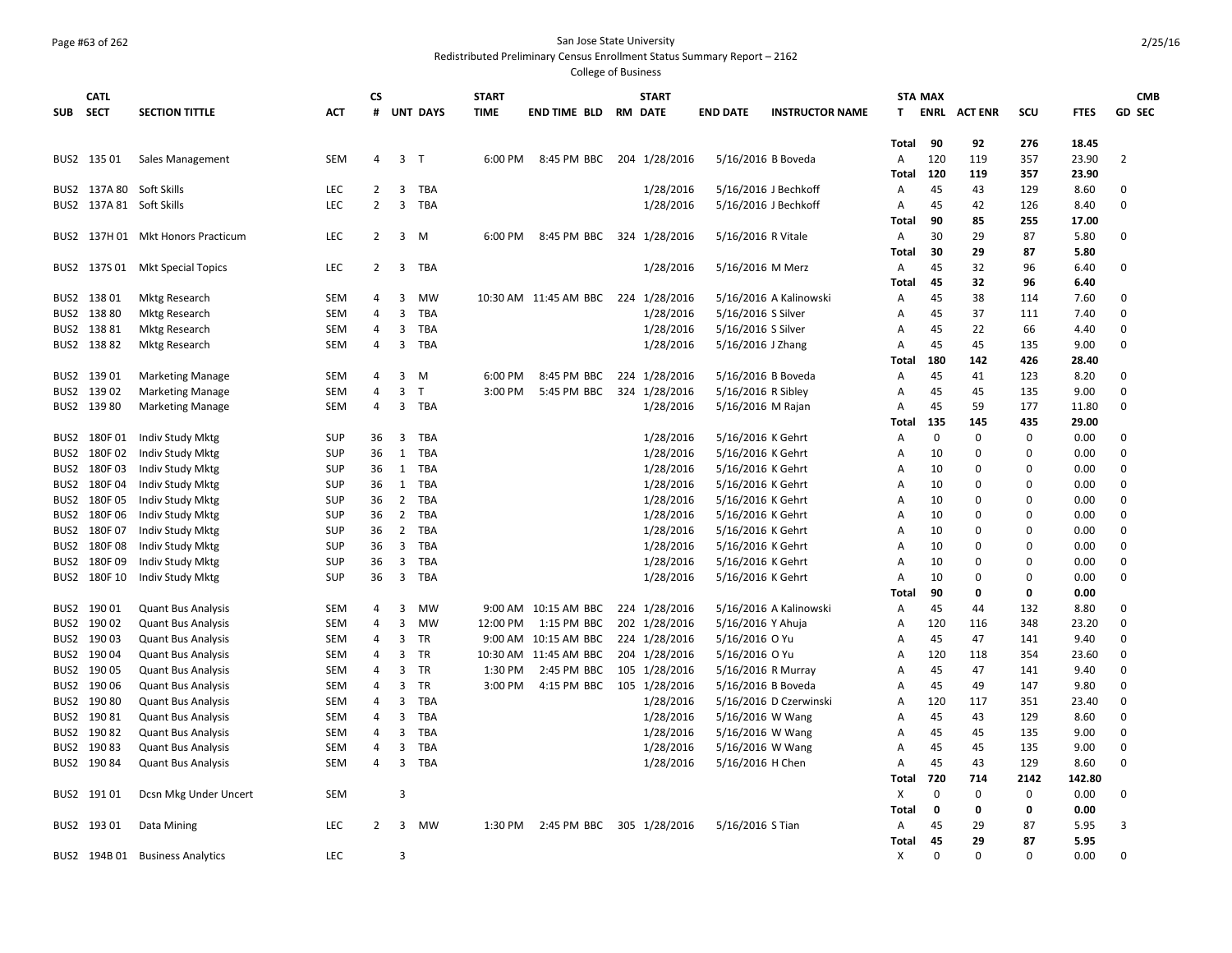## Page #63 of 262 San Jose State University

Redistributed Preliminary Census Enrollment Status Summary Report – 2162

|                  | <b>CATL</b>  |                                 |            | <b>CS</b>      |                         |                 | <b>START</b> |                                     | <b>START</b>  |                    |                        | <b>STA MAX</b> |             |                |          |             | <b>CMB</b>     |
|------------------|--------------|---------------------------------|------------|----------------|-------------------------|-----------------|--------------|-------------------------------------|---------------|--------------------|------------------------|----------------|-------------|----------------|----------|-------------|----------------|
| <b>SUB</b>       | SECT         | <b>SECTION TITTLE</b>           | <b>ACT</b> | #              |                         | <b>UNT DAYS</b> | <b>TIME</b>  | <b>END TIME BLD RM DATE</b>         |               | <b>END DATE</b>    | <b>INSTRUCTOR NAME</b> | T.             | <b>ENRL</b> | <b>ACT ENR</b> | scu      | <b>FTES</b> | <b>GD SEC</b>  |
|                  |              |                                 |            |                |                         |                 |              |                                     |               |                    |                        |                |             |                |          |             |                |
|                  |              |                                 |            |                |                         |                 |              |                                     |               |                    |                        | Total          | 90          | 92             | 276      | 18.45       |                |
|                  | BUS2 135 01  | Sales Management                | <b>SEM</b> | 4              | 3 <sub>T</sub>          |                 | 6:00 PM      | 8:45 PM BBC                         | 204 1/28/2016 | 5/16/2016 B Boveda |                        | A              | 120         | 119            | 357      | 23.90       | $\overline{2}$ |
|                  |              |                                 |            |                |                         |                 |              |                                     |               |                    |                        | Total          | 120         | 119            | 357      | 23.90       |                |
|                  |              | BUS2 137A 80 Soft Skills        | <b>LEC</b> | 2              | 3                       | <b>TBA</b>      |              |                                     | 1/28/2016     |                    | 5/16/2016 J Bechkoff   | A              | 45          | 43             | 129      | 8.60        | 0              |
|                  |              | BUS2 137A 81 Soft Skills        | <b>LEC</b> | $\overline{2}$ | 3                       | <b>TBA</b>      |              |                                     | 1/28/2016     |                    | 5/16/2016 J Bechkoff   | A              | 45          | 42             | 126      | 8.40        | $\mathbf 0$    |
|                  |              |                                 |            |                |                         |                 |              |                                     |               |                    |                        | Total          | 90          | 85             | 255      | 17.00       |                |
| BUS2             |              | 137H 01 Mkt Honors Practicum    | LEC        | $\overline{2}$ | 3                       | M               | 6:00 PM      | 8:45 PM BBC                         | 324 1/28/2016 | 5/16/2016 R Vitale |                        | Α              | 30          | 29             | 87       | 5.80        | 0              |
|                  |              |                                 |            |                |                         |                 |              |                                     |               |                    |                        | Total          | 30          | 29             | 87       | 5.80        |                |
|                  |              | BUS2 137S 01 Mkt Special Topics | <b>LEC</b> | $\overline{2}$ | 3                       | TBA             |              |                                     | 1/28/2016     | 5/16/2016 M Merz   |                        | A              | 45          | 32             | 96       | 6.40        | 0              |
|                  |              |                                 |            |                |                         |                 |              |                                     |               |                    |                        | Total          | 45          | 32             | 96       | 6.40        |                |
|                  | BUS2 138 01  | Mktg Research                   | SEM        | 4              | 3                       | MW              |              | 10:30 AM 11:45 AM BBC 224 1/28/2016 |               |                    | 5/16/2016 A Kalinowski | A              | 45          | 38             | 114      | 7.60        | $\mathbf 0$    |
| BUS2             | 13880        | <b>Mktg Research</b>            | <b>SEM</b> | 4              | 3                       | <b>TBA</b>      |              |                                     | 1/28/2016     | 5/16/2016 S Silver |                        | Α              | 45          | 37             | 111      | 7.40        | $\mathbf 0$    |
|                  | BUS2 13881   | Mktg Research                   | SEM        | 4              | 3                       | <b>TBA</b>      |              |                                     | 1/28/2016     | 5/16/2016 S Silver |                        | Α              | 45          | 22             | 66       | 4.40        | 0              |
|                  | BUS2 13882   | Mktg Research                   | <b>SEM</b> | 4              | 3                       | <b>TBA</b>      |              |                                     | 1/28/2016     | 5/16/2016 J Zhang  |                        | $\mathsf{A}$   | 45          | 45             | 135      | 9.00        | $\Omega$       |
|                  |              |                                 |            |                |                         |                 |              |                                     |               |                    |                        | Total          | 180         | 142            | 426      | 28.40       |                |
| BUS2             | 13901        | <b>Marketing Manage</b>         | <b>SEM</b> | 4              | 3                       | M               | 6:00 PM      | 8:45 PM BBC                         | 224 1/28/2016 | 5/16/2016 B Boveda |                        | A              | 45          | 41             | 123      | 8.20        | 0              |
| BUS2             | 13902        | <b>Marketing Manage</b>         | <b>SEM</b> | 4              | 3                       | T               | 3:00 PM      | 5:45 PM BBC                         | 324 1/28/2016 | 5/16/2016 R Sibley |                        | Α              | 45          | 45             | 135      | 9.00        | $\mathbf 0$    |
|                  | BUS2 139 80  | <b>Marketing Manage</b>         | <b>SEM</b> | 4              | $\overline{\mathbf{3}}$ | <b>TBA</b>      |              |                                     | 1/28/2016     | 5/16/2016 M Rajan  |                        | $\overline{A}$ | 45          | 59             | 177      | 11.80       | $\Omega$       |
|                  |              |                                 |            |                |                         |                 |              |                                     |               |                    |                        | Total          | 135         | 145            | 435      | 29.00       |                |
| BUS2             | 180F01       | Indiv Study Mktg                | <b>SUP</b> | 36             | 3                       | TBA             |              |                                     | 1/28/2016     | 5/16/2016 K Gehrt  |                        | A              | $\Omega$    | $\mathbf 0$    | $\Omega$ | 0.00        | 0              |
| BUS2             | 180F02       | Indiv Study Mktg                | <b>SUP</b> | 36             | 1                       | <b>TBA</b>      |              |                                     | 1/28/2016     | 5/16/2016 K Gehrt  |                        | A              | 10          | $\mathbf 0$    | $\Omega$ | 0.00        | $\mathbf 0$    |
| BUS2             | 180F03       | Indiv Study Mktg                | <b>SUP</b> | 36             | 1                       | <b>TBA</b>      |              |                                     | 1/28/2016     | 5/16/2016 K Gehrt  |                        | Α              | 10          | 0              | $\Omega$ | 0.00        | $\mathbf 0$    |
| BUS2             | 180F04       | Indiv Study Mktg                | <b>SUP</b> | 36             | 1                       | TBA             |              |                                     | 1/28/2016     | 5/16/2016 K Gehrt  |                        | Α              | 10          | 0              | $\Omega$ | 0.00        | $\mathbf 0$    |
| BUS2             | 180F05       | Indiv Study Mktg                | <b>SUP</b> | 36             | 2                       | TBA             |              |                                     | 1/28/2016     | 5/16/2016 K Gehrt  |                        | A              | 10          | $\mathbf 0$    | $\Omega$ | 0.00        | $\mathbf 0$    |
| BUS2             | 180F06       | Indiv Study Mktg                | SUP        | 36             | $\overline{2}$          | TBA             |              |                                     | 1/28/2016     | 5/16/2016 K Gehrt  |                        | A              | 10          | $\mathbf 0$    | $\Omega$ | 0.00        | $\mathbf 0$    |
| BUS2             | 180F07       | Indiv Study Mktg                | <b>SUP</b> | 36             | $\overline{2}$          | TBA             |              |                                     | 1/28/2016     | 5/16/2016 K Gehrt  |                        | A              | 10          | 0              | $\Omega$ | 0.00        | $\mathbf 0$    |
| BUS2             | 180F08       | Indiv Study Mktg                | <b>SUP</b> | 36             | 3                       | TBA             |              |                                     | 1/28/2016     | 5/16/2016 K Gehrt  |                        | Α              | 10          | 0              | $\Omega$ | 0.00        | $\mathbf 0$    |
| BUS2             | 180F09       | Indiv Study Mktg                | <b>SUP</b> | 36             | 3                       | TBA             |              |                                     | 1/28/2016     | 5/16/2016 K Gehrt  |                        | $\overline{A}$ | 10          | $\mathbf 0$    | $\Omega$ | 0.00        | $\mathbf 0$    |
|                  | BUS2 180F 10 | Indiv Study Mktg                | <b>SUP</b> | 36             |                         | 3 TBA           |              |                                     | 1/28/2016     | 5/16/2016 K Gehrt  |                        | A              | 10          | $\mathbf 0$    | $\Omega$ | 0.00        | $\Omega$       |
|                  |              |                                 |            |                |                         |                 |              |                                     |               |                    |                        | Total          | 90          | 0              | 0        | 0.00        |                |
| BUS2             | 19001        | <b>Quant Bus Analysis</b>       | <b>SEM</b> | 4              | 3                       | MW              |              | 9:00 AM 10:15 AM BBC                | 224 1/28/2016 |                    | 5/16/2016 A Kalinowski | A              | 45          | 44             | 132      | 8.80        | $\mathbf 0$    |
| BUS2             | 190 02       | <b>Quant Bus Analysis</b>       | <b>SEM</b> | 4              | 3                       | MW              | 12:00 PM     | 1:15 PM BBC                         | 202 1/28/2016 | 5/16/2016 Y Ahuja  |                        | Α              | 120         | 116            | 348      | 23.20       | $\mathbf 0$    |
| BUS2             | 19003        | <b>Quant Bus Analysis</b>       | <b>SEM</b> | 4              | 3                       | <b>TR</b>       |              | 9:00 AM 10:15 AM BBC                | 224 1/28/2016 | 5/16/2016 O Yu     |                        | $\overline{A}$ | 45          | 47             | 141      | 9.40        | $\Omega$       |
| BUS2             | 19004        | <b>Quant Bus Analysis</b>       | SEM        | 4              | 3                       | <b>TR</b>       |              | 10:30 AM 11:45 AM BBC               | 204 1/28/2016 | 5/16/2016 O Yu     |                        | A              | 120         | 118            | 354      | 23.60       | $\Omega$       |
|                  | BUS2 190 05  | <b>Quant Bus Analysis</b>       | <b>SEM</b> | 4              | 3                       | TR              | 1:30 PM      | 2:45 PM BBC                         | 105 1/28/2016 | 5/16/2016 R Murray |                        | A              | 45          | 47             | 141      | 9.40        | $\mathbf 0$    |
| BUS2             | 190 06       | <b>Quant Bus Analysis</b>       | <b>SEM</b> | 4              | 3                       | <b>TR</b>       | 3:00 PM      | 4:15 PM BBC                         | 105 1/28/2016 | 5/16/2016 B Boveda |                        | $\overline{A}$ | 45          | 49             | 147      | 9.80        | $\mathbf 0$    |
|                  | BUS2 190 80  | <b>Quant Bus Analysis</b>       | <b>SEM</b> | 4              | 3                       | <b>TBA</b>      |              |                                     | 1/28/2016     |                    | 5/16/2016 D Czerwinski | Α              | 120         | 117            | 351      | 23.40       | $\mathbf 0$    |
| BUS2             | 190 81       | <b>Quant Bus Analysis</b>       | <b>SEM</b> | 4              | 3                       | <b>TBA</b>      |              |                                     | 1/28/2016     | 5/16/2016 W Wang   |                        | A              | 45          | 43             | 129      | 8.60        | $\mathbf 0$    |
| BUS <sub>2</sub> | 19082        | <b>Quant Bus Analysis</b>       | SEM        | 4              | 3                       | <b>TBA</b>      |              |                                     | 1/28/2016     | 5/16/2016 W Wang   |                        | $\overline{A}$ | 45          | 45             | 135      | 9.00        | $\mathbf 0$    |
| BUS2             | 19083        | <b>Quant Bus Analysis</b>       | SEM        | 4              | 3                       | <b>TBA</b>      |              |                                     | 1/28/2016     | 5/16/2016 W Wang   |                        | Α              | 45          | 45             | 135      | 9.00        | $\mathbf 0$    |
|                  | BUS2 190 84  | <b>Quant Bus Analysis</b>       | <b>SEM</b> | 4              | 3                       | TBA             |              |                                     | 1/28/2016     | 5/16/2016 H Chen   |                        | A              | 45          | 43             | 129      | 8.60        | $\mathbf 0$    |
|                  |              |                                 |            |                |                         |                 |              |                                     |               |                    |                        | Total          | 720         | 714            | 2142     | 142.80      |                |
|                  | BUS2 19101   | Dcsn Mkg Under Uncert           | SEM        |                | 3                       |                 |              |                                     |               |                    |                        | $\times$       | $\Omega$    | $\mathbf 0$    | $\Omega$ | 0.00        | $\mathbf 0$    |
|                  |              |                                 |            |                |                         |                 |              |                                     |               |                    |                        | Total          | 0           | 0              | 0        | 0.00        |                |
|                  | BUS2 193 01  | Data Mining                     | <b>LEC</b> | $\overline{2}$ | 3                       | MW              | 1:30 PM      | 2:45 PM BBC 305 1/28/2016           |               | 5/16/2016 S Tian   |                        | A              | 45          | 29             | 87       | 5.95        | $\overline{3}$ |
|                  |              |                                 |            |                |                         |                 |              |                                     |               |                    |                        | Total          | 45          | 29             | 87       | 5.95        |                |
|                  |              | BUS2 194B 01 Business Analytics | LEC        |                | 3                       |                 |              |                                     |               |                    |                        | X              | $\Omega$    | $\Omega$       | $\Omega$ | 0.00        | $\Omega$       |
|                  |              |                                 |            |                |                         |                 |              |                                     |               |                    |                        |                |             |                |          |             |                |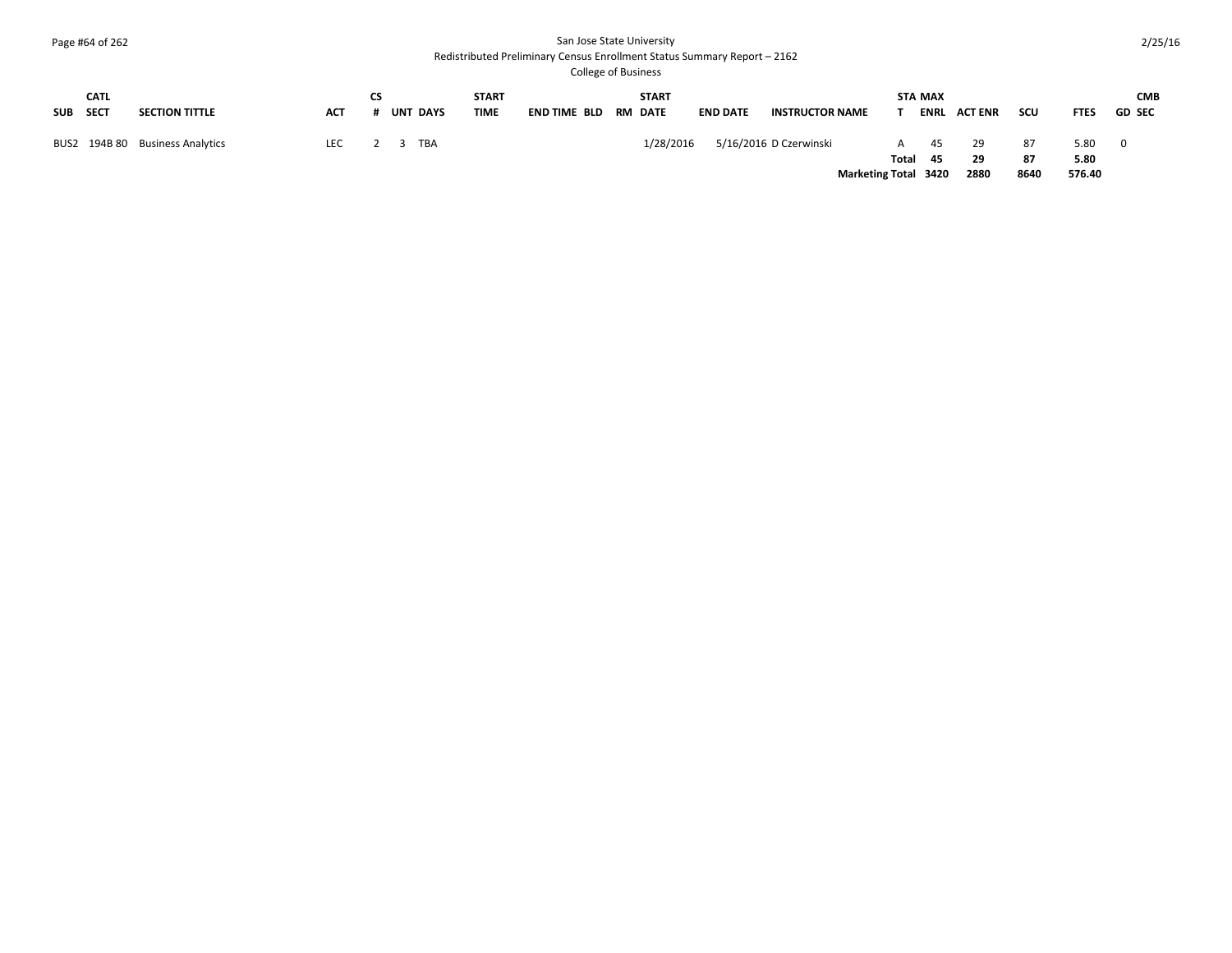## Page #64 of 262 San Jose State University

#### Redistributed Preliminary Census Enrollment Status Summary Report – 2162

| SUB SECT | <b>CATL</b> | <b>SECTION TITTLE</b>           | <b>ACT</b> | <b>UNT DAYS</b> | <b>START</b><br><b>TIME</b> | END TIME BLD | <b>START</b><br><b>RM DATE</b> | <b>END DATE</b> | <b>INSTRUCTOR NAME</b> |                             | <b>STA MAX</b><br><b>ENRL</b> | <b>ACT ENR</b> | scu      | <b>FTES</b>  | <b>CMB</b><br><b>GD SEC</b> |
|----------|-------------|---------------------------------|------------|-----------------|-----------------------------|--------------|--------------------------------|-----------------|------------------------|-----------------------------|-------------------------------|----------------|----------|--------------|-----------------------------|
|          |             | BUS2 194B 80 Business Analytics | <b>LEC</b> | TBA             |                             |              | 1/28/2016                      |                 | 5/16/2016 D Czerwinski | A<br>Total                  | 45<br>- 45                    | 29<br>29       | 87<br>87 | 5.80<br>5.80 | - 0                         |
|          |             |                                 |            |                 |                             |              |                                |                 |                        | <b>Marketing Total 3420</b> |                               | 2880           | 8640     | 576.40       |                             |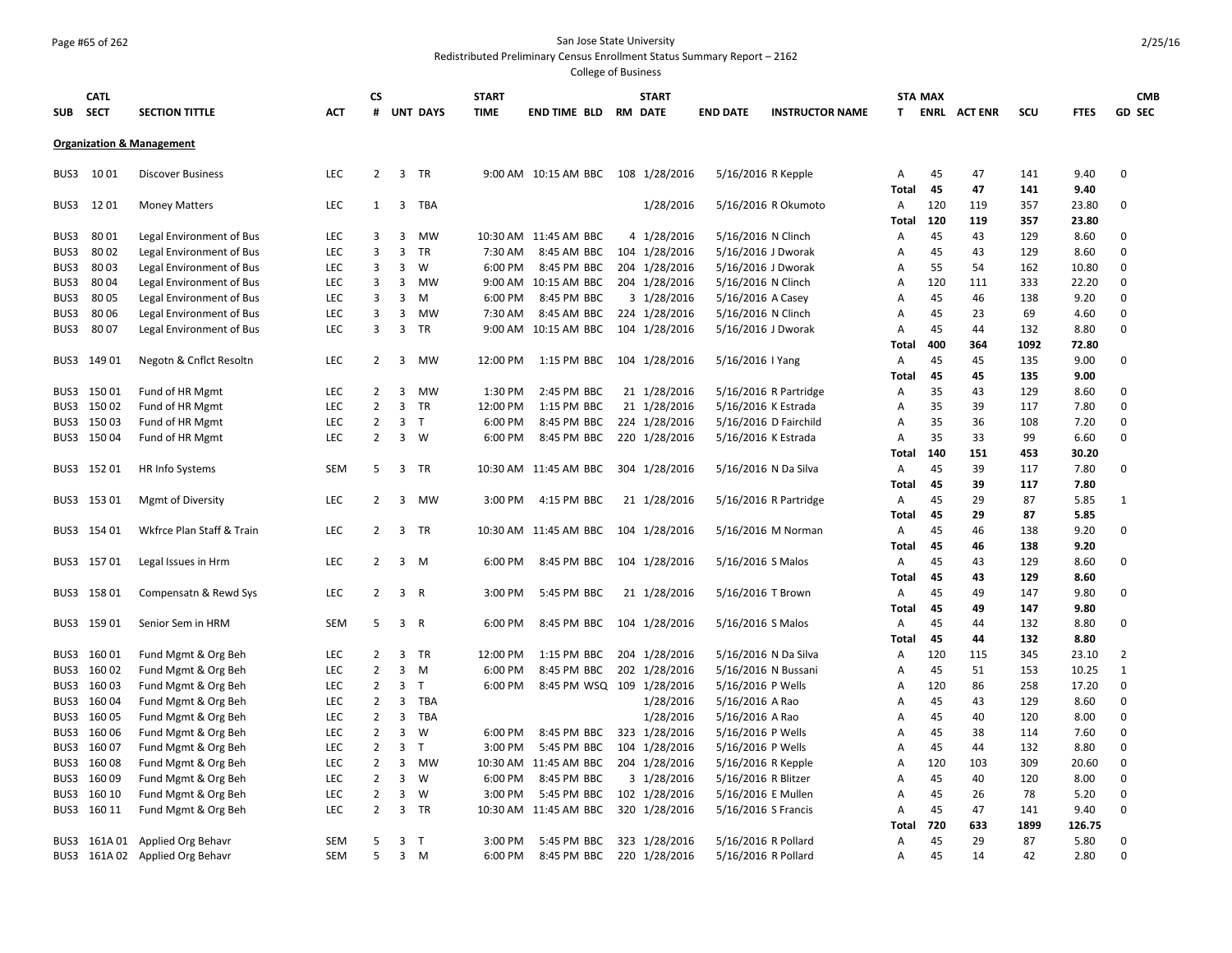## Page #65 of 262 San Jose State University

#### Redistributed Preliminary Census Enrollment Status Summary Report – 2162

| SUB          | <b>CATL</b><br><b>SECT</b> | <b>SECTION TITTLE</b>                      | <b>ACT</b>               | CS<br>#                          | <b>UNT DAYS</b>                             | <b>START</b><br><b>TIME</b> | END TIME BLD RM DATE                 | <b>START</b>                   | <b>END DATE</b>                           | <b>INSTRUCTOR NAME</b> | T.           | <b>STA MAX</b> | <b>ENRL ACTENR</b> | scu        | <b>FTES</b>    | <b>CMB</b><br><b>GD SEC</b> |
|--------------|----------------------------|--------------------------------------------|--------------------------|----------------------------------|---------------------------------------------|-----------------------------|--------------------------------------|--------------------------------|-------------------------------------------|------------------------|--------------|----------------|--------------------|------------|----------------|-----------------------------|
|              |                            |                                            |                          |                                  |                                             |                             |                                      |                                |                                           |                        |              |                |                    |            |                |                             |
|              |                            | <b>Organization &amp; Management</b>       |                          |                                  |                                             |                             |                                      |                                |                                           |                        |              |                |                    |            |                |                             |
| BUS3         | 1001                       | <b>Discover Business</b>                   | <b>LEC</b>               | $\overline{2}$                   | 3 TR                                        |                             | 9:00 AM 10:15 AM BBC 108 1/28/2016   |                                | 5/16/2016 R Kepple                        |                        | Α            | 45             | 47                 | 141        | 9.40           | $\Omega$                    |
|              |                            |                                            |                          |                                  |                                             |                             |                                      |                                |                                           |                        | Total        | 45             | 47                 | 141        | 9.40           |                             |
| BUS3         | 1201                       | <b>Money Matters</b>                       | LEC                      | $\mathbf{1}$                     | $\overline{3}$<br>TBA                       |                             |                                      | 1/28/2016                      |                                           | 5/16/2016 R Okumoto    | Α            | 120            | 119                | 357        | 23.80          | $\mathbf 0$                 |
|              |                            |                                            |                          |                                  |                                             |                             |                                      |                                |                                           |                        | Total        | 120            | 119                | 357        | 23.80          |                             |
| BUS3         | 80 01                      | Legal Environment of Bus                   | <b>LEC</b>               | 3                                | $\overline{3}$<br>MW                        |                             | 10:30 AM 11:45 AM BBC                | 4 1/28/2016                    | 5/16/2016 N Clinch                        |                        | Α            | 45             | 43                 | 129        | 8.60           | $\mathbf 0$                 |
| BUS3         | 8002                       | Legal Environment of Bus                   | <b>LEC</b>               | 3                                | 3<br><b>TR</b>                              | 7:30 AM                     | 8:45 AM BBC                          | 104 1/28/2016                  | 5/16/2016 J Dworak                        |                        | A            | 45             | 43                 | 129        | 8.60           | $\mathbf 0$                 |
| BUS3         | 8003                       | Legal Environment of Bus                   | <b>LEC</b>               | 3                                | 3<br>W                                      | 6:00 PM                     | 8:45 PM BBC                          | 204 1/28/2016                  | 5/16/2016 J Dworak                        |                        | Α            | 55             | 54                 | 162        | 10.80          | $\mathbf 0$                 |
| BUS3         | 8004                       | Legal Environment of Bus                   | <b>LEC</b>               | 3                                | 3<br>MW                                     | 9:00 AM                     | 10:15 AM BBC                         | 204 1/28/2016                  | 5/16/2016 N Clinch                        |                        | A            | 120            | 111                | 333        | 22.20          | $\mathbf 0$                 |
| BUS3         | 8005                       | Legal Environment of Bus                   | <b>LEC</b>               | 3                                | $\overline{3}$<br>M                         | 6:00 PM                     | 8:45 PM BBC                          | 3 1/28/2016                    | 5/16/2016 A Casey                         |                        | Α            | 45             | 46                 | 138        | 9.20           | $\mathbf 0$                 |
| BUS3         | 8006                       | Legal Environment of Bus                   | <b>LEC</b>               | 3                                | 3<br>MW                                     | 7:30 AM                     | 8:45 AM BBC                          | 224 1/28/2016                  | 5/16/2016 N Clinch                        |                        | Α            | 45             | 23                 | 69         | 4.60           | $\mathbf 0$                 |
| BUS3         | 8007                       | Legal Environment of Bus                   | <b>LEC</b>               | 3                                | $\overline{3}$<br>TR                        | 9:00 AM                     | 10:15 AM BBC                         | 104 1/28/2016                  | 5/16/2016 J Dworak                        |                        | A            | 45             | 44                 | 132        | 8.80           | $\mathbf 0$                 |
|              |                            |                                            |                          |                                  |                                             |                             |                                      |                                |                                           |                        | Total        | 400            | 364                | 1092       | 72.80          |                             |
| BUS3         | 149 01                     | Negotn & Cnflct Resoltn                    | <b>LEC</b>               | $\overline{2}$                   | 3<br>MW                                     | 12:00 PM                    | 1:15 PM BBC                          | 104 1/28/2016                  | 5/16/2016   Yang                          |                        | Α            | 45             | 45                 | 135        | 9.00           | $\mathbf 0$                 |
|              |                            |                                            |                          |                                  |                                             |                             |                                      |                                |                                           |                        | <b>Total</b> | 45             | 45                 | 135        | 9.00           |                             |
| BUS3         | 15001                      | Fund of HR Mgmt                            | <b>LEC</b>               | 2                                | 3<br>MW                                     | 1:30 PM                     | 2:45 PM BBC                          | 21 1/28/2016                   |                                           | 5/16/2016 R Partridge  | Α            | 35             | 43                 | 129        | 8.60           | 0                           |
| BUS3         | 15002                      | Fund of HR Mgmt                            | <b>LEC</b>               | $\overline{2}$                   | $\overline{3}$<br>TR                        | 12:00 PM                    | 1:15 PM BBC                          | 21 1/28/2016                   | 5/16/2016 K Estrada                       |                        | A            | 35             | 39                 | 117        | 7.80           | $\Omega$                    |
| BUS3         | 15003                      | Fund of HR Mgmt                            | <b>LEC</b>               | $\overline{2}$                   | 3<br>T                                      | 6:00 PM                     | 8:45 PM BBC                          | 224 1/28/2016                  |                                           | 5/16/2016 D Fairchild  | A            | 35             | 36                 | 108        | 7.20           | $\Omega$                    |
|              | BUS3 15004                 | Fund of HR Mgmt                            | <b>LEC</b>               | 2                                | 3 W                                         | 6:00 PM                     | 8:45 PM BBC                          | 220 1/28/2016                  | 5/16/2016 K Estrada                       |                        | A            | 35             | 33                 | 99         | 6.60           | $\Omega$                    |
|              |                            |                                            |                          |                                  |                                             |                             |                                      |                                |                                           |                        | Total        | 140            | 151                | 453        | 30.20          |                             |
|              | BUS3 15201                 | HR Info Systems                            | SEM                      | 5                                | 3 TR                                        |                             | 10:30 AM 11:45 AM BBC                | 304 1/28/2016                  |                                           | 5/16/2016 N Da Silva   | Α            | 45             | 39                 | 117        | 7.80           | $\mathbf 0$                 |
|              |                            |                                            |                          |                                  |                                             |                             |                                      |                                |                                           |                        | Total        | 45             | 39                 | 117        | 7.80           |                             |
|              | BUS3 153 01                | Mgmt of Diversity                          | <b>LEC</b>               | $\overline{2}$                   | $\overline{3}$<br>MW                        | 3:00 PM                     | 4:15 PM BBC                          | 21 1/28/2016                   |                                           | 5/16/2016 R Partridge  | Α            | 45             | 29                 | 87         | 5.85           | $\mathbf{1}$                |
|              |                            |                                            |                          |                                  |                                             |                             |                                      |                                |                                           |                        | <b>Total</b> | 45             | 29                 | 87         | 5.85           |                             |
|              | BUS3 154 01                | Wkfrce Plan Staff & Train                  | <b>LEC</b>               | $\overline{2}$                   | 3 TR                                        |                             | 10:30 AM 11:45 AM BBC 104 1/28/2016  |                                |                                           | 5/16/2016 M Norman     | Α            | 45             | 46                 | 138        | 9.20           | 0                           |
|              |                            |                                            |                          |                                  |                                             |                             |                                      |                                |                                           |                        | <b>Total</b> | 45             | 46                 | 138        | 9.20           |                             |
|              | BUS3 157 01                | Legal Issues in Hrm                        | <b>LEC</b>               | $\overline{2}$                   | $\overline{3}$<br>M                         | 6:00 PM                     | 8:45 PM BBC 104 1/28/2016            |                                | 5/16/2016 S Malos                         |                        | Α            | 45             | 43                 | 129        | 8.60           | 0                           |
|              |                            |                                            |                          |                                  |                                             |                             |                                      |                                |                                           |                        | Total        | 45             | 43                 | 129        | 8.60           |                             |
|              | BUS3 158 01                | Compensatn & Rewd Sys                      | <b>LEC</b>               | 2                                | 3 R                                         | 3:00 PM                     | 5:45 PM BBC                          | 21 1/28/2016                   | 5/16/2016 T Brown                         |                        | Α            | 45             | 49                 | 147        | 9.80           | 0                           |
|              |                            |                                            |                          |                                  |                                             |                             |                                      |                                |                                           |                        | Total        | 45             | 49                 | 147        | 9.80           |                             |
| BUS3         | 159 01                     | Senior Sem in HRM                          | <b>SEM</b>               | 5                                | $\overline{3}$<br>R                         | 6:00 PM                     | 8:45 PM BBC                          | 104 1/28/2016                  | 5/16/2016 S Malos                         |                        | Α            | 45<br>45       | 44                 | 132        | 8.80           | $\mathbf 0$                 |
|              |                            |                                            |                          |                                  |                                             |                             |                                      |                                |                                           |                        | Total        |                | 44                 | 132        | 8.80           |                             |
| BUS3         | 16001<br>160 02            | Fund Mgmt & Org Beh                        | <b>LEC</b><br><b>LEC</b> | $\overline{2}$<br>$\overline{2}$ | $\overline{3}$<br>TR<br>$\overline{3}$<br>M | 12:00 PM<br>6:00 PM         | 1:15 PM BBC<br>8:45 PM BBC           | 204 1/28/2016                  | 5/16/2016 N Da Silva                      |                        | Α            | 120<br>45      | 115<br>51          | 345<br>153 | 23.10<br>10.25 | 2                           |
| BUS3         | 160 03                     | Fund Mgmt & Org Beh                        | <b>LEC</b>               | $\overline{2}$                   | $\overline{3}$<br>T                         | 6:00 PM                     |                                      | 202 1/28/2016                  | 5/16/2016 N Bussani                       |                        | Α            | 120            | 86                 | 258        | 17.20          | 1<br>$\mathbf 0$            |
| BUS3         | 16004                      | Fund Mgmt & Org Beh                        | <b>LEC</b>               | $\overline{2}$                   | 3 TBA                                       |                             | 8:45 PM WSQ 109 1/28/2016            |                                | 5/16/2016 P Wells                         |                        | A            | 45             |                    | 129        |                | $\mathbf 0$                 |
| BUS3         | 16005                      | Fund Mgmt & Org Beh                        | <b>LEC</b>               | $\overline{2}$                   | 3<br>TBA                                    |                             |                                      | 1/28/2016<br>1/28/2016         | 5/16/2016 A Rao                           |                        | A<br>A       | 45             | 43<br>40           | 120        | 8.60           | $\mathbf 0$                 |
| BUS3         |                            | Fund Mgmt & Org Beh                        |                          | $\overline{2}$                   | $\overline{3}$<br>W                         |                             |                                      |                                | 5/16/2016 A Rao                           |                        |              | 45             |                    |            | 8.00           | $\mathbf 0$                 |
| BUS3         | 160 06<br>160 07           | Fund Mgmt & Org Beh                        | <b>LEC</b><br><b>LEC</b> | $\overline{2}$                   | $\overline{3}$<br>T                         | 6:00 PM<br>3:00 PM          | 8:45 PM BBC                          | 323 1/28/2016<br>104 1/28/2016 | 5/16/2016 P Wells                         |                        | A<br>A       | 45             | 38<br>44           | 114        | 7.60<br>8.80   | $\mathbf 0$                 |
| BUS3         |                            | Fund Mgmt & Org Beh                        |                          |                                  |                                             |                             | 5:45 PM BBC                          |                                | 5/16/2016 P Wells                         |                        |              |                |                    | 132        |                | $\Omega$                    |
| BUS3         | 16008                      | Fund Mgmt & Org Beh                        | <b>LEC</b><br><b>LEC</b> | $\overline{2}$<br>$\overline{2}$ | $\overline{3}$<br>MW<br>$\overline{3}$      | 6:00 PM                     | 10:30 AM 11:45 AM BBC                | 204 1/28/2016                  | 5/16/2016 R Kepple                        |                        | A            | 120<br>45      | 103<br>40          | 309        | 20.60          | $\Omega$                    |
| BUS3<br>BUS3 | 16009<br>160 10            | Fund Mgmt & Org Beh                        | LEC                      | $\overline{2}$                   | W<br>$\overline{3}$<br>W                    | 3:00 PM                     | 8:45 PM BBC                          | 3 1/28/2016                    | 5/16/2016 R Blitzer<br>5/16/2016 E Mullen |                        | A<br>A       | 45             | 26                 | 120<br>78  | 8.00<br>5.20   | $\Omega$                    |
| BUS3         | 160 11                     | Fund Mgmt & Org Beh<br>Fund Mgmt & Org Beh | <b>LEC</b>               | $\overline{2}$                   | 3<br>TR                                     |                             | 5:45 PM BBC<br>10:30 AM 11:45 AM BBC | 102 1/28/2016<br>320 1/28/2016 | 5/16/2016 S Francis                       |                        | Α            | 45             | 47                 | 141        | 9.40           | $\mathbf 0$                 |
|              |                            |                                            |                          |                                  |                                             |                             |                                      |                                |                                           |                        | Total        | 720            | 633                | 1899       | 126.75         |                             |
| BUS3         |                            | 161A 01 Applied Org Behavr                 | <b>SEM</b>               | 5                                | 3<br>$\mathsf{T}$                           | 3:00 PM                     | 5:45 PM BBC                          | 323 1/28/2016                  | 5/16/2016 R Pollard                       |                        | A            | 45             | 29                 | 87         | 5.80           | $\Omega$                    |
|              |                            | BUS3 161A 02 Applied Org Behavr            | <b>SEM</b>               | 5                                | $\overline{3}$<br>M                         | 6:00 PM                     | 8:45 PM BBC                          | 220 1/28/2016                  | 5/16/2016 R Pollard                       |                        | A            | 45             | 14                 | 42         | 2.80           | $\Omega$                    |
|              |                            |                                            |                          |                                  |                                             |                             |                                      |                                |                                           |                        |              |                |                    |            |                |                             |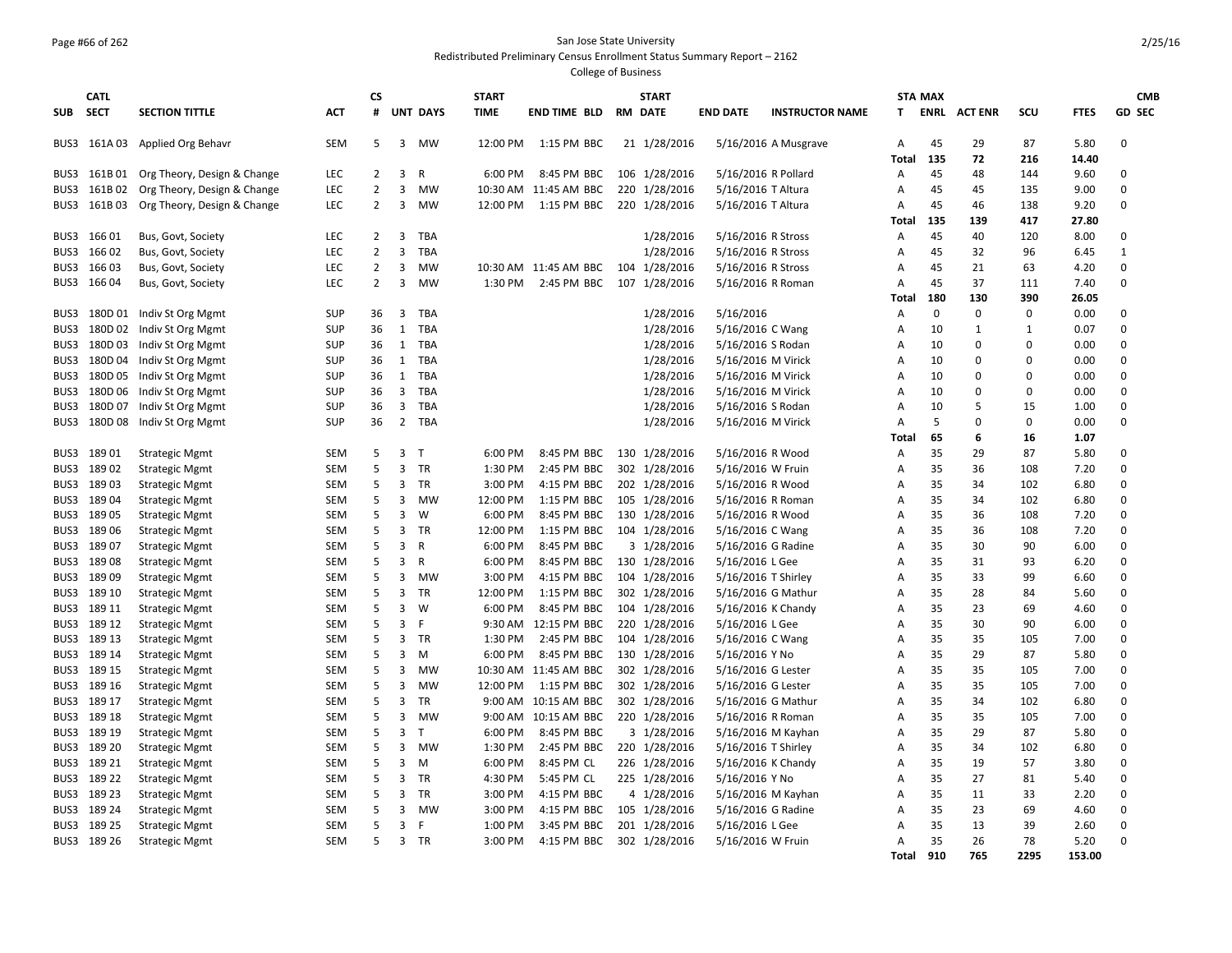## Page #66 of 262 San Jose State University

Redistributed Preliminary Census Enrollment Status Summary Report – 2162

|            | <b>CATL</b> |                             | <b>CS</b>  |                |                |                 | <b>START</b>      |                       | <b>START</b> |                |                     | <b>STA MAX</b>         |                |             |                |              | <b>CMB</b>  |               |
|------------|-------------|-----------------------------|------------|----------------|----------------|-----------------|-------------------|-----------------------|--------------|----------------|---------------------|------------------------|----------------|-------------|----------------|--------------|-------------|---------------|
| <b>SUB</b> | <b>SECT</b> | <b>SECTION TITTLE</b>       | АСТ        | #              |                | <b>UNT DAYS</b> | <b>TIME</b>       | <b>END TIME BLD</b>   |              | <b>RM DATE</b> | <b>END DATE</b>     | <b>INSTRUCTOR NAME</b> | T.             | ENRL        | <b>ACT ENR</b> | scu          | <b>FTES</b> | <b>GD SEC</b> |
| BUS3       |             | 161A 03 Applied Org Behavr  | <b>SEM</b> | 5              | 3              | MW              | 12:00 PM          | 1:15 PM BBC           |              | 21 1/28/2016   |                     | 5/16/2016 A Musgrave   | A              | 45          | 29             | 87           | 5.80        | $\Omega$      |
|            |             |                             |            |                |                |                 |                   |                       |              |                |                     |                        | Total          | 135         | 72             | 216          | 14.40       |               |
| BUS3       | 161B 01     | Org Theory, Design & Change | <b>LEC</b> | $\overline{2}$ | 3              | $\mathsf{R}$    | 6:00 PM           | 8:45 PM BBC           |              | 106 1/28/2016  | 5/16/2016 R Pollard |                        | Α              | 45          | 48             | 144          | 9.60        | $\Omega$      |
| BUS3       | 161B02      | Org Theory, Design & Change | <b>LEC</b> | $\overline{2}$ | 3              | <b>MW</b>       | 10:30 AM          | 11:45 AM BBC          |              | 220 1/28/2016  | 5/16/2016 T Altura  |                        | A              | 45          | 45             | 135          | 9.00        | $\Omega$      |
| BUS3       | 161B 03     | Org Theory, Design & Change | <b>LEC</b> | $\overline{2}$ | $\overline{3}$ | MW              | 12:00 PM          | 1:15 PM BBC           |              | 220 1/28/2016  | 5/16/2016 T Altura  |                        | A              | 45          | 46             | 138          | 9.20        | $\Omega$      |
|            |             |                             |            |                |                |                 |                   |                       |              |                |                     |                        | Total          | 135         | 139            | 417          | 27.80       |               |
| BUS3       | 16601       | Bus, Govt, Society          | <b>LEC</b> | $\overline{2}$ | 3              | <b>TBA</b>      |                   |                       |              | 1/28/2016      | 5/16/2016 R Stross  |                        | Α              | 45          | 40             | 120          | 8.00        | $\Omega$      |
| BUS3       | 166 02      | Bus, Govt, Society          | <b>LEC</b> | $\overline{2}$ | 3              | <b>TBA</b>      |                   |                       |              | 1/28/2016      | 5/16/2016 R Stross  |                        | A              | 45          | 32             | 96           | 6.45        | $\mathbf{1}$  |
| BUS3       | 166 03      | Bus, Govt, Society          | <b>LEC</b> | $\overline{2}$ | 3              | <b>MW</b>       |                   | 10:30 AM 11:45 AM BBC |              | 104 1/28/2016  | 5/16/2016 R Stross  |                        | A              | 45          | 21             | 63           | 4.20        | $\Omega$      |
| BUS3       | 16604       | Bus, Govt, Society          | <b>LEC</b> | $\overline{2}$ | $\overline{3}$ | <b>MW</b>       | 1:30 PM           | 2:45 PM BBC           |              | 107 1/28/2016  | 5/16/2016 R Roman   |                        | $\overline{A}$ | 45          | 37             | 111          | 7.40        | $\mathbf 0$   |
|            |             |                             |            |                |                |                 |                   |                       |              |                |                     |                        | Total          | 180         | 130            | 390          | 26.05       |               |
| BUS3       | 180D 01     | Indiv St Org Mgmt           | <b>SUP</b> | 36             | 3              | <b>TBA</b>      |                   |                       |              | 1/28/2016      | 5/16/2016           |                        | Α              | $\mathbf 0$ | $\mathbf 0$    | $\mathbf 0$  | 0.00        | $\Omega$      |
| BUS3       |             | 180D 02 Indiv St Org Mgmt   | <b>SUP</b> | 36             | $\mathbf{1}$   | <b>TBA</b>      |                   |                       |              | 1/28/2016      | 5/16/2016 C Wang    |                        | $\overline{A}$ | 10          | 1              | $\mathbf{1}$ | 0.07        | $\mathbf 0$   |
| BUS3       | 180D 03     | Indiv St Org Mgmt           | <b>SUP</b> | 36             | 1              | <b>TBA</b>      |                   |                       |              | 1/28/2016      | 5/16/2016 S Rodan   |                        | A              | 10          | $\Omega$       | 0            | 0.00        | $\mathbf 0$   |
| BUS3       |             | 180D 04 Indiv St Org Mgmt   | <b>SUP</b> | 36             | 1              | <b>TBA</b>      |                   |                       |              | 1/28/2016      | 5/16/2016 M Virick  |                        | $\overline{A}$ | 10          | $\Omega$       | $\mathbf 0$  | 0.00        | $\mathbf 0$   |
| BUS3       | 180D 05     | Indiv St Org Mgmt           | <b>SUP</b> | 36             | $\mathbf{1}$   | <b>TBA</b>      |                   |                       |              | 1/28/2016      | 5/16/2016 M Virick  |                        | A              | 10          | $\Omega$       | 0            | 0.00        | $\Omega$      |
| BUS3       |             | 180D 06 Indiv St Org Mgmt   | <b>SUP</b> | 36             | 3              | <b>TBA</b>      |                   |                       |              | 1/28/2016      | 5/16/2016 M Virick  |                        | A              | 10          | 0              | 0            | 0.00        | $\mathbf 0$   |
| BUS3       | 180D07      | Indiv St Org Mgmt           | <b>SUP</b> | 36             | $\overline{3}$ | <b>TBA</b>      |                   |                       |              | 1/28/2016      | 5/16/2016 S Rodan   |                        | Α              | 10          | 5              | 15           | 1.00        | $\Omega$      |
| BUS3       | 180D 08     | Indiv St Org Mgmt           | <b>SUP</b> | 36             | $\overline{2}$ | <b>TBA</b>      |                   |                       |              | 1/28/2016      | 5/16/2016 M Virick  |                        | $\overline{A}$ | 5           | $\Omega$       | 0            | 0.00        | $\Omega$      |
|            |             |                             |            |                |                |                 |                   |                       |              |                |                     |                        | Total          | 65          | 6              | 16           | 1.07        |               |
| BUS3       | 18901       | <b>Strategic Mgmt</b>       | SEM        | 5              | $\overline{3}$ | $\mathsf{T}$    | 6:00 PM           | 8:45 PM BBC           |              | 130 1/28/2016  | 5/16/2016 R Wood    |                        | Α              | 35          | 29             | 87           | 5.80        | $\mathbf 0$   |
| BUS3       | 18902       | <b>Strategic Mgmt</b>       | <b>SEM</b> | 5              | 3              | <b>TR</b>       | 1:30 PM           | 2:45 PM BBC           |              | 302 1/28/2016  | 5/16/2016 W Fruin   |                        | Α              | 35          | 36             | 108          | 7.20        | $\Omega$      |
| BUS3       | 189 03      | <b>Strategic Mgmt</b>       | SEM        | 5              | 3              | TR              | 3:00 PM           | 4:15 PM BBC           |              | 202 1/28/2016  | 5/16/2016 R Wood    |                        | A              | 35          | 34             | 102          | 6.80        | $\Omega$      |
| BUS3       | 18904       | <b>Strategic Mgmt</b>       | <b>SEM</b> | 5              | 3              | <b>MW</b>       | 12:00 PM          | 1:15 PM BBC           |              | 105 1/28/2016  | 5/16/2016 R Roman   |                        | Α              | 35          | 34             | 102          | 6.80        | $\Omega$      |
| BUS3       | 18905       | <b>Strategic Mgmt</b>       | <b>SEM</b> | 5              | $\overline{3}$ | W               | 6:00 PM           | 8:45 PM BBC           |              | 130 1/28/2016  | 5/16/2016 R Wood    |                        | Α              | 35          | 36             | 108          | 7.20        | $\Omega$      |
| BUS3       | 18906       | <b>Strategic Mgmt</b>       | <b>SEM</b> | 5              | 3              | <b>TR</b>       | 12:00 PM          | 1:15 PM BBC           |              | 104 1/28/2016  | 5/16/2016 C Wang    |                        | A              | 35          | 36             | 108          | 7.20        | $\Omega$      |
| BUS3       | 18907       | <b>Strategic Mgmt</b>       | SEM        | 5              | $\overline{3}$ | $\mathsf{R}$    | 6:00 PM           | 8:45 PM BBC           |              | 3 1/28/2016    | 5/16/2016 G Radine  |                        | $\overline{A}$ | 35          | 30             | 90           | 6.00        | $\Omega$      |
| BUS3       | 18908       | <b>Strategic Mgmt</b>       | <b>SEM</b> | 5              | 3              | $\mathsf{R}$    | 6:00 PM           | 8:45 PM BBC           |              | 130 1/28/2016  | 5/16/2016 L Gee     |                        | A              | 35          | 31             | 93           | 6.20        | $\Omega$      |
| BUS3       | 18909       | <b>Strategic Mgmt</b>       | <b>SEM</b> | 5              | 3              | MW              | 3:00 PM           | 4:15 PM BBC           |              | 104 1/28/2016  | 5/16/2016 T Shirley |                        | A              | 35          | 33             | 99           | 6.60        | $\Omega$      |
| BUS3       | 189 10      | <b>Strategic Mgmt</b>       | SEM        | 5              | 3              | <b>TR</b>       | 12:00 PM          | 1:15 PM BBC           |              | 302 1/28/2016  | 5/16/2016 G Mathur  |                        | Α              | 35          | 28             | 84           | 5.60        | $\Omega$      |
| BUS3       | 189 11      | <b>Strategic Mgmt</b>       | SEM        | 5              | 3              | W               | 6:00 PM           | 8:45 PM BBC           |              | 104 1/28/2016  | 5/16/2016 K Chandy  |                        | Α              | 35          | 23             | 69           | 4.60        | $\Omega$      |
| BUS3       | 189 12      | <b>Strategic Mgmt</b>       | <b>SEM</b> | 5              | 3              | F               | 9:30 AM           | 12:15 PM BBC          |              | 220 1/28/2016  | 5/16/2016 L Gee     |                        | A              | 35          | 30             | 90           | 6.00        | $\Omega$      |
| BUS3       | 189 13      | <b>Strategic Mgmt</b>       | <b>SEM</b> | 5              | 3              | <b>TR</b>       | 1:30 PM           | 2:45 PM BBC           |              | 104 1/28/2016  | 5/16/2016 C Wang    |                        | $\overline{A}$ | 35          | 35             | 105          | 7.00        | $\Omega$      |
| BUS3       | 189 14      | <b>Strategic Mgmt</b>       | <b>SEM</b> | 5              | $\overline{3}$ | M               | 6:00 PM           | 8:45 PM BBC           |              | 130 1/28/2016  | 5/16/2016 Y No      |                        | Α              | 35          | 29             | 87           | 5.80        | $\Omega$      |
| BUS3       | 189 15      | <b>Strategic Mgmt</b>       | SEM        | 5              | 3              | MW              | 10:30 AM          | 11:45 AM BBC          |              | 302 1/28/2016  | 5/16/2016 G Lester  |                        | A              | 35          | 35             | 105          | 7.00        | $\Omega$      |
| BUS3       | 189 16      | <b>Strategic Mgmt</b>       | <b>SEM</b> | 5              | 3              | <b>MW</b>       | 12:00 PM          | 1:15 PM BBC           |              | 302 1/28/2016  | 5/16/2016 G Lester  |                        | $\overline{A}$ | 35          | 35             | 105          | 7.00        | $\Omega$      |
| BUS3       | 189 17      | <b>Strategic Mgmt</b>       | SEM        | 5              | $\overline{3}$ | <b>TR</b>       | 9:00 AM           | 10:15 AM BBC          |              | 302 1/28/2016  | 5/16/2016 G Mathur  |                        | A              | 35          | 34             | 102          | 6.80        | $\Omega$      |
| BUS3       | 189 18      | <b>Strategic Mgmt</b>       | <b>SEM</b> | 5              | 3              | MW              | $9:00 \text{ AM}$ | 10:15 AM BBC          |              | 220 1/28/2016  | 5/16/2016 R Roman   |                        | A              | 35          | 35             | 105          | 7.00        | $\Omega$      |
| BUS3       | 189 19      | <b>Strategic Mgmt</b>       | <b>SEM</b> | 5              | $\overline{3}$ | T               | 6:00 PM           | 8:45 PM BBC           |              | 3 1/28/2016    | 5/16/2016 M Kayhan  |                        | $\overline{A}$ | 35          | 29             | 87           | 5.80        | $\Omega$      |
| BUS3       | 189 20      |                             | SEM        | 5              | 3              | MW              | 1:30 PM           | 2:45 PM BBC           |              | 220 1/28/2016  | 5/16/2016 T Shirley |                        | Α              | 35          | 34             | 102          | 6.80        | $\Omega$      |
|            |             | <b>Strategic Mgmt</b>       |            | 5              | $\overline{3}$ |                 |                   |                       |              |                |                     |                        |                |             |                |              |             | $\Omega$      |
| BUS3       | 189 21      | <b>Strategic Mgmt</b>       | <b>SEM</b> | 5              |                | M               | 6:00 PM           | 8:45 PM CL            |              | 226 1/28/2016  | 5/16/2016 K Chandy  |                        | A              | 35          | 19             | 57           | 3.80        | $\Omega$      |
| BUS3       | 189 22      | <b>Strategic Mgmt</b>       | SEM        |                | 3              | <b>TR</b>       | 4:30 PM           | 5:45 PM CL            |              | 225 1/28/2016  | 5/16/2016 Y No      |                        | Α              | 35          | 27             | 81           | 5.40        |               |
| BUS3       | 189 23      | <b>Strategic Mgmt</b>       | SEM        | 5              | 3              | TR              | 3:00 PM           | 4:15 PM BBC           |              | 4 1/28/2016    | 5/16/2016 M Kayhan  |                        | Α              | 35          | 11             | 33           | 2.20        | $\Omega$      |
| BUS3       | 189 24      | <b>Strategic Mgmt</b>       | <b>SEM</b> | 5              | 3              | MW              | 3:00 PM           | 4:15 PM BBC           |              | 105 1/28/2016  | 5/16/2016 G Radine  |                        | A              | 35          | 23             | 69           | 4.60        | $\Omega$      |
| BUS3       | 189 25      | <b>Strategic Mgmt</b>       | <b>SEM</b> | 5              | $\overline{3}$ | F               | 1:00 PM           | 3:45 PM BBC           |              | 201 1/28/2016  | 5/16/2016 L Gee     |                        | $\overline{A}$ | 35          | 13             | 39           | 2.60        | $\Omega$      |
|            | BUS3 189 26 | <b>Strategic Mgmt</b>       | SEM        | 5              | 3              | TR              | 3:00 PM           | 4:15 PM BBC           |              | 302 1/28/2016  | 5/16/2016 W Fruin   |                        | Α              | 35          | 26             | 78           | 5.20        | $\Omega$      |
|            |             |                             |            |                |                |                 |                   |                       |              |                |                     |                        | Total          | 910         | 765            | 2295         | 153.00      |               |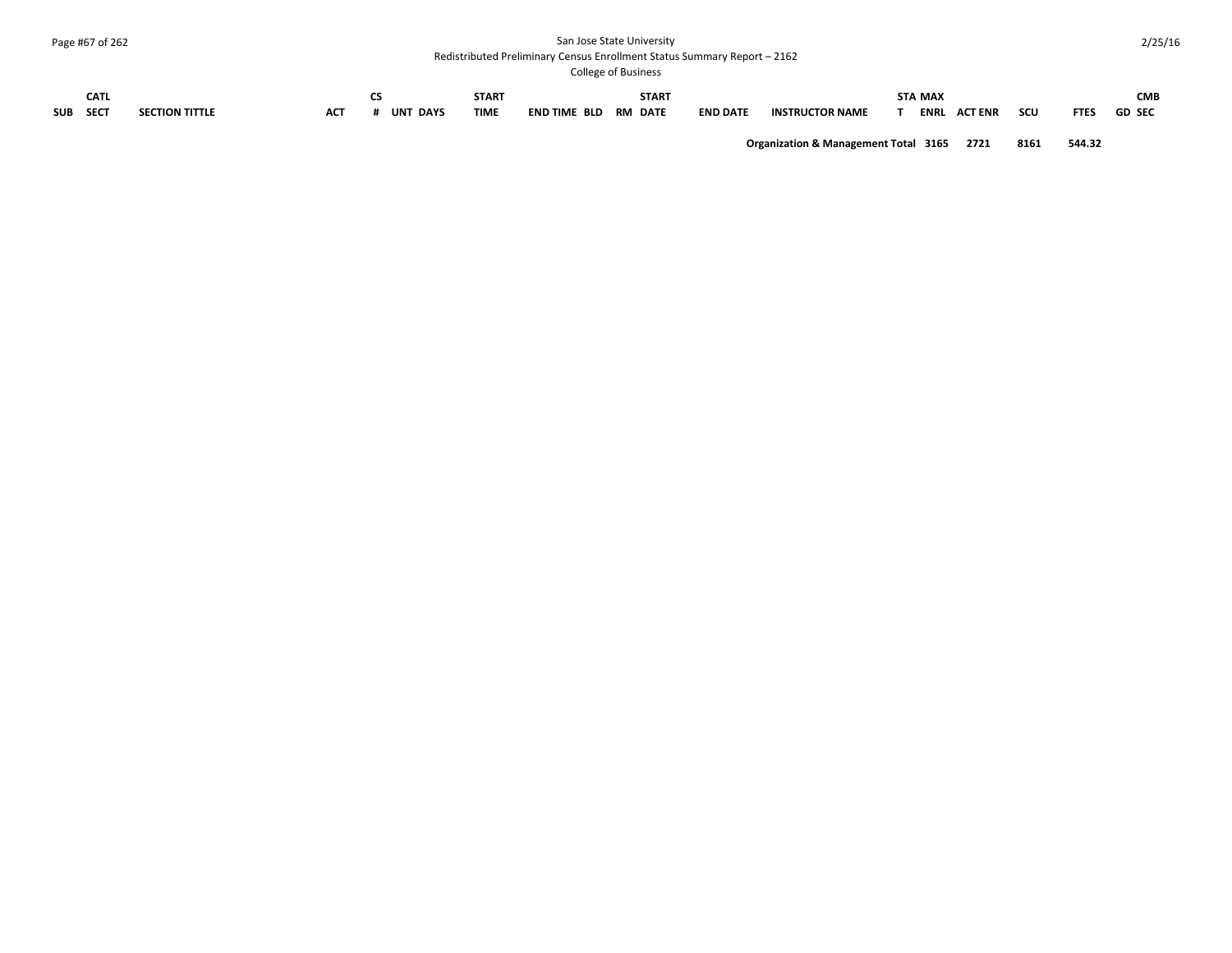## Page #67 of 262 San Jose State University

#### Redistributed Preliminary Census Enrollment Status Summary Report – 2162

College of Business

|          | <b>CONCAC OF DUSTROSS</b>    |                       |            |                 |             |                      |                 |                        |                               |                    |               |  |  |
|----------|------------------------------|-----------------------|------------|-----------------|-------------|----------------------|-----------------|------------------------|-------------------------------|--------------------|---------------|--|--|
|          | <b>CATL</b><br>$\sim$ $\sim$ |                       |            |                 | START       |                      | <b>START</b>    |                        | <b>STA MAX</b>                |                    | <b>CMB</b>    |  |  |
| SUB SECT |                              | <b>SECTION TITTLE</b> | <b>ACT</b> | <b>UNT DAYS</b> | <b>TIME</b> | END TIME BLD RM DATE | <b>END DATE</b> | <b>INSTRUCTOR NAME</b> | <b>ACT ENR</b><br><b>ENRL</b> | scu<br><b>FTES</b> | <b>GD SEC</b> |  |  |

**Organization & Management Total 3165 2721 8161 544.32**